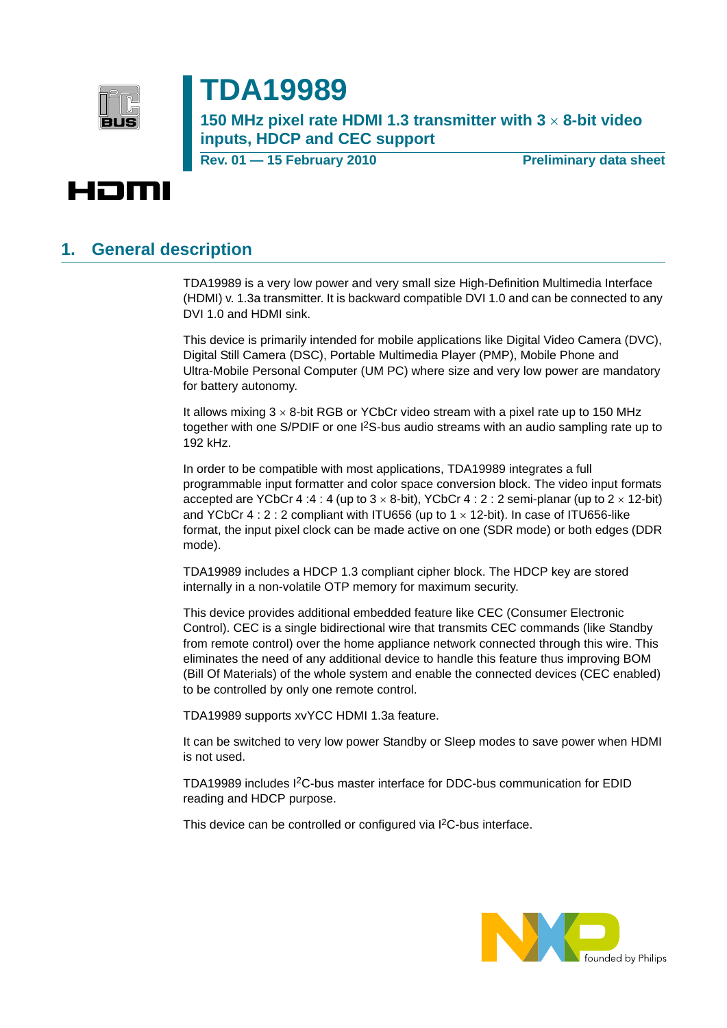

# **TDA19989**

**150 MHz pixel rate HDMI 1.3 transmitter with 3** × **8-bit video inputs, HDCP and CEC support**

**Rev. 01 — 15 February 2010** Preliminary data sheet



#### **1. General description**

TDA19989 is a very low power and very small size High-Definition Multimedia Interface (HDMI) v. 1.3a transmitter. It is backward compatible DVI 1.0 and can be connected to any DVI 1.0 and HDMI sink.

This device is primarily intended for mobile applications like Digital Video Camera (DVC), Digital Still Camera (DSC), Portable Multimedia Player (PMP), Mobile Phone and Ultra-Mobile Personal Computer (UM PC) where size and very low power are mandatory for battery autonomy.

It allows mixing  $3 \times 8$ -bit RGB or YCbCr video stream with a pixel rate up to 150 MHz together with one S/PDIF or one I2S-bus audio streams with an audio sampling rate up to 192 kHz.

In order to be compatible with most applications, TDA19989 integrates a full programmable input formatter and color space conversion block. The video input formats accepted are YCbCr 4 :4 : 4 (up to  $3 \times 8$ -bit), YCbCr 4 : 2 : 2 semi-planar (up to  $2 \times 12$ -bit) and YCbCr 4 : 2 : 2 compliant with ITU656 (up to  $1 \times 12$ -bit). In case of ITU656-like format, the input pixel clock can be made active on one (SDR mode) or both edges (DDR mode).

TDA19989 includes a HDCP 1.3 compliant cipher block. The HDCP key are stored internally in a non-volatile OTP memory for maximum security.

This device provides additional embedded feature like CEC (Consumer Electronic Control). CEC is a single bidirectional wire that transmits CEC commands (like Standby from remote control) over the home appliance network connected through this wire. This eliminates the need of any additional device to handle this feature thus improving BOM (Bill Of Materials) of the whole system and enable the connected devices (CEC enabled) to be controlled by only one remote control.

TDA19989 supports xvYCC HDMI 1.3a feature.

It can be switched to very low power Standby or Sleep modes to save power when HDMI is not used.

TDA19989 includes I2C-bus master interface for DDC-bus communication for EDID reading and HDCP purpose.

This device can be controlled or configured via I<sup>2</sup>C-bus interface.

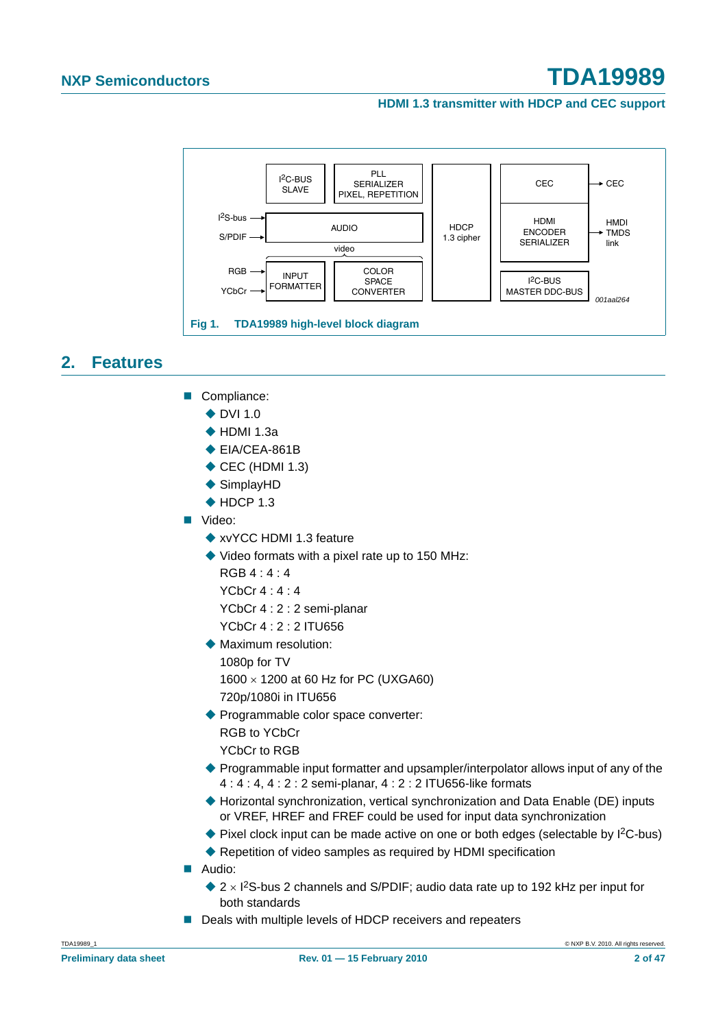**HDMI 1.3 transmitter with HDCP and CEC support**



#### **2. Features**

- Compliance:
	- $\triangle$  DVI 1.0
	- $\triangle$  HDMI 1.3a
	- ◆ EIA/CEA-861B
	- $\triangle$  CEC (HDMI 1.3)
	- ◆ SimplayHD
	- $\triangle$  HDCP 1.3
- Video:
	- ◆ xvYCC HDMI 1.3 feature
	- ◆ Video formats with a pixel rate up to 150 MHz:
		- $RGB 4 \cdot 4 \cdot 4$
		- YCbCr 4 : 4 : 4
		- YCbCr 4 : 2 : 2 semi-planar
		- YCbCr 4 : 2 : 2 ITU656
	- **Maximum resolution:** 1080p for TV
		- 1600 × 1200 at 60 Hz for PC (UXGA60) 720p/1080i in ITU656
	- ◆ Programmable color space converter: RGB to YCbCr YCbCr to RGB
	- ◆ Programmable input formatter and upsampler/interpolator allows input of any of the 4 : 4 : 4, 4 : 2 : 2 semi-planar, 4 : 2 : 2 ITU656-like formats
	- ◆ Horizontal synchronization, vertical synchronization and Data Enable (DE) inputs or VREF, HREF and FREF could be used for input data synchronization
	- ◆ Pixel clock input can be made active on one or both edges (selectable by I<sup>2</sup>C-bus)
	- ◆ Repetition of video samples as required by HDMI specification
- **Audio:** 
	- $2 \times$  1<sup>2</sup>S-bus 2 channels and S/PDIF; audio data rate up to 192 kHz per input for both standards
- Deals with multiple levels of HDCP receivers and repeaters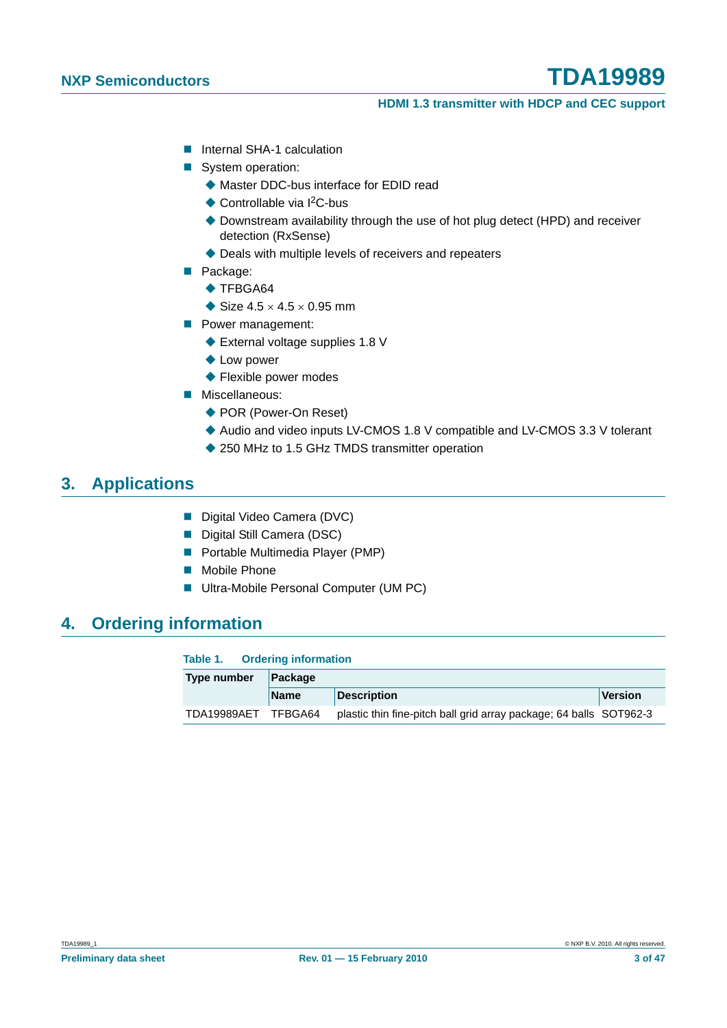#### **HDMI 1.3 transmitter with HDCP and CEC support**

- **Internal SHA-1 calculation**
- System operation:
	- ◆ Master DDC-bus interface for EDID read
	- ◆ Controllable via I<sup>2</sup>C-bus
	- ◆ Downstream availability through the use of hot plug detect (HPD) and receiver detection (RxSense)
	- Deals with multiple levels of receivers and repeaters
- Package:
	- $\triangle$  TFBGA64
	- Size  $4.5 \times 4.5 \times 0.95$  mm
- **Power management:** 
	- ◆ External voltage supplies 1.8 V
	- ◆ Low power
	- ◆ Flexible power modes
- **Miscellaneous:** 
	- ◆ POR (Power-On Reset)
	- Audio and video inputs LV-CMOS 1.8 V compatible and LV-CMOS 3.3 V tolerant
	- ◆ 250 MHz to 1.5 GHz TMDS transmitter operation

### **3. Applications**

- Digital Video Camera (DVC)
- Digital Still Camera (DSC)
- **Portable Multimedia Player (PMP)**
- **Mobile Phone**
- **Ultra-Mobile Personal Computer (UM PC)**

#### **4. Ordering information**

#### **Table 1. Ordering information**

| Type number | Package     |                                                                    |                |  |  |  |  |  |
|-------------|-------------|--------------------------------------------------------------------|----------------|--|--|--|--|--|
|             | <b>Name</b> | <b>Description</b>                                                 | <b>Version</b> |  |  |  |  |  |
| TDA19989AET | TFBGA64     | plastic thin fine-pitch ball grid array package; 64 balls SOT962-3 |                |  |  |  |  |  |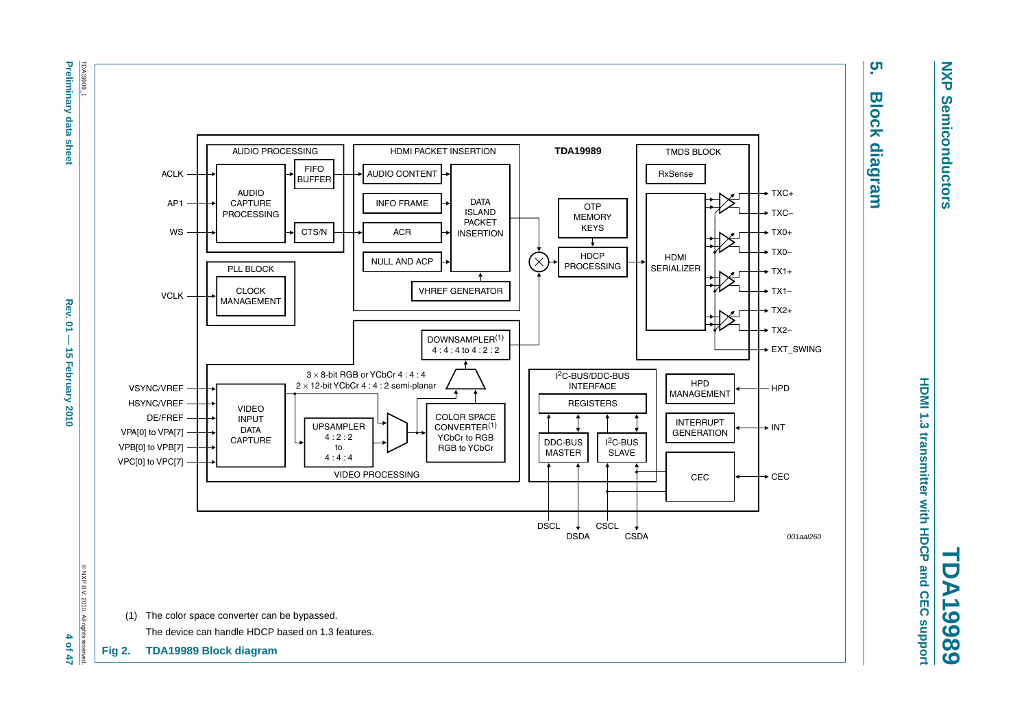

**Fig 2. TDA19989 Block diagram**



# <u>ូ</u> **5. Block diagram Block diagram**

**NXP Semiconductors**

**Semiconductors** 

**NXP** 

**HDMI 1.3 transmitter with HDCP and CEC support HDMI 1.3 transmitter with HDCP and CEC support TDA19989**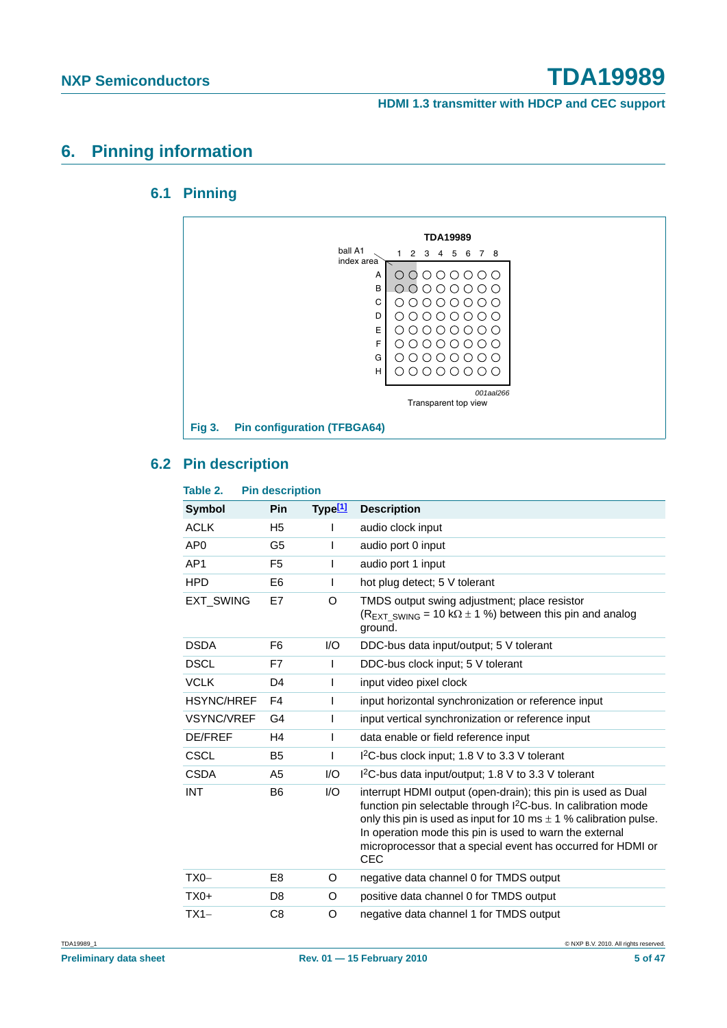**HDMI 1.3 transmitter with HDCP and CEC support**

#### **6. Pinning information**

#### **6.1 Pinning**



#### **6.2 Pin description**

| Table 2.          | <b>Pin description</b> |                        |                                                                                                                                                                                                                                                                                                                                                             |
|-------------------|------------------------|------------------------|-------------------------------------------------------------------------------------------------------------------------------------------------------------------------------------------------------------------------------------------------------------------------------------------------------------------------------------------------------------|
| Symbol            | Pin                    | Type $[1]$             | <b>Description</b>                                                                                                                                                                                                                                                                                                                                          |
| <b>ACLK</b>       | H <sub>5</sub>         |                        | audio clock input                                                                                                                                                                                                                                                                                                                                           |
| AP <sub>0</sub>   | G5                     | I                      | audio port 0 input                                                                                                                                                                                                                                                                                                                                          |
| AP <sub>1</sub>   | F <sub>5</sub>         |                        | audio port 1 input                                                                                                                                                                                                                                                                                                                                          |
| <b>HPD</b>        | E6                     | I                      | hot plug detect; 5 V tolerant                                                                                                                                                                                                                                                                                                                               |
| <b>EXT SWING</b>  | E7                     | O                      | TMDS output swing adjustment; place resistor<br>$(R_{\text{EXT}}$ swing = 10 k $\Omega$ ± 1 %) between this pin and analog<br>ground.                                                                                                                                                                                                                       |
| <b>DSDA</b>       | F6                     | 1/O                    | DDC-bus data input/output; 5 V tolerant                                                                                                                                                                                                                                                                                                                     |
| <b>DSCL</b>       | F7                     | I.                     | DDC-bus clock input; 5 V tolerant                                                                                                                                                                                                                                                                                                                           |
| <b>VCLK</b>       | D <sub>4</sub>         | I                      | input video pixel clock                                                                                                                                                                                                                                                                                                                                     |
| <b>HSYNC/HREF</b> | F4                     | T                      | input horizontal synchronization or reference input                                                                                                                                                                                                                                                                                                         |
| <b>VSYNC/VREF</b> | G4                     | T                      | input vertical synchronization or reference input                                                                                                                                                                                                                                                                                                           |
| <b>DE/FREF</b>    | H4                     | L                      | data enable or field reference input                                                                                                                                                                                                                                                                                                                        |
| <b>CSCL</b>       | B <sub>5</sub>         | I                      | I <sup>2</sup> C-bus clock input; 1.8 V to 3.3 V tolerant                                                                                                                                                                                                                                                                                                   |
| <b>CSDA</b>       | A5                     | 1/O                    | $12C$ -bus data input/output; 1.8 V to 3.3 V tolerant                                                                                                                                                                                                                                                                                                       |
| <b>INT</b>        | B6                     | $\mathsf{U}\mathsf{O}$ | interrupt HDMI output (open-drain); this pin is used as Dual<br>function pin selectable through I <sup>2</sup> C-bus. In calibration mode<br>only this pin is used as input for 10 ms $\pm$ 1 % calibration pulse.<br>In operation mode this pin is used to warn the external<br>microprocessor that a special event has occurred for HDMI or<br><b>CEC</b> |
| $TX0-$            | E <sub>8</sub>         | O                      | negative data channel 0 for TMDS output                                                                                                                                                                                                                                                                                                                     |
| $TX0+$            | D <sub>8</sub>         | O                      | positive data channel 0 for TMDS output                                                                                                                                                                                                                                                                                                                     |
| $TX1-$            | C8                     | O                      | negative data channel 1 for TMDS output                                                                                                                                                                                                                                                                                                                     |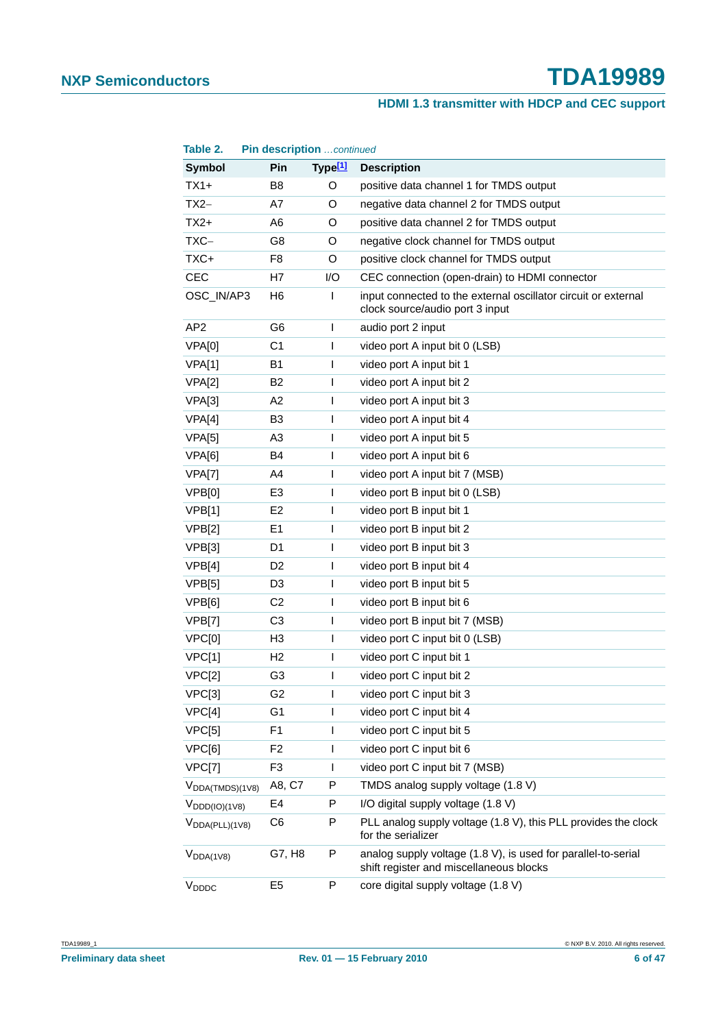#### **HDMI 1.3 transmitter with HDCP and CEC support**

| Table 2.                             |                | Pin description continued |                                                                                                          |
|--------------------------------------|----------------|---------------------------|----------------------------------------------------------------------------------------------------------|
| Symbol                               | Pin            | Type <sup>[1]</sup>       | <b>Description</b>                                                                                       |
| $TX1+$                               | B <sub>8</sub> | O                         | positive data channel 1 for TMDS output                                                                  |
| $TX2-$                               | A7             | O                         | negative data channel 2 for TMDS output                                                                  |
| $TX2+$                               | A <sub>6</sub> | O                         | positive data channel 2 for TMDS output                                                                  |
| TXC-                                 | G8             | O                         | negative clock channel for TMDS output                                                                   |
| TXC+                                 | F <sub>8</sub> | O                         | positive clock channel for TMDS output                                                                   |
| <b>CEC</b>                           | H7             | I/O                       | CEC connection (open-drain) to HDMI connector                                                            |
| OSC_IN/AP3                           | H <sub>6</sub> | T                         | input connected to the external oscillator circuit or external<br>clock source/audio port 3 input        |
| AP <sub>2</sub>                      | G <sub>6</sub> | T                         | audio port 2 input                                                                                       |
| VPA[0]                               | C <sub>1</sub> | T                         | video port A input bit 0 (LSB)                                                                           |
| VPA[1]                               | <b>B1</b>      | $\overline{1}$            | video port A input bit 1                                                                                 |
| VPA[2]                               | B <sub>2</sub> | $\overline{1}$            | video port A input bit 2                                                                                 |
| VPA[3]                               | A2             | $\overline{1}$            | video port A input bit 3                                                                                 |
| VPA[4]                               | B <sub>3</sub> | T                         | video port A input bit 4                                                                                 |
| VPA[5]                               | A3             | I                         | video port A input bit 5                                                                                 |
| VPA[6]                               | B4             | $\overline{1}$            | video port A input bit 6                                                                                 |
| VPA[7]                               | A4             | $\overline{1}$            | video port A input bit 7 (MSB)                                                                           |
| VPB[0]                               | E <sub>3</sub> | T                         | video port B input bit 0 (LSB)                                                                           |
| VPB[1]                               | E <sub>2</sub> | I                         | video port B input bit 1                                                                                 |
| VPB[2]                               | E <sub>1</sub> | $\overline{1}$            | video port B input bit 2                                                                                 |
| VPB[3]                               | D1             | $\overline{1}$            | video port B input bit 3                                                                                 |
| VPB[4]                               | D <sub>2</sub> | T                         | video port B input bit 4                                                                                 |
| VPB[5]                               | D <sub>3</sub> | I                         | video port B input bit 5                                                                                 |
| VPB[6]                               | C <sub>2</sub> | T                         | video port B input bit 6                                                                                 |
| VPB[7]                               | C <sub>3</sub> | $\overline{1}$            | video port B input bit 7 (MSB)                                                                           |
| VPC[0]                               | H3             | $\mathsf{I}$              | video port C input bit 0 (LSB)                                                                           |
| VPC[1]                               | H <sub>2</sub> | $\overline{1}$            | video port C input bit 1                                                                                 |
| VPC[2]                               | G <sub>3</sub> | $\mathbf{I}$              | video port C input bit 2                                                                                 |
| VPC[3]                               | G <sub>2</sub> | I                         | video port C input bit 3                                                                                 |
| VPC[4]                               | G1             | $\mathsf{I}$              | video port C input bit 4                                                                                 |
| VPC[5]                               | F1             | $\mathsf{I}$              | video port C input bit 5                                                                                 |
| VPC[6]                               | F <sub>2</sub> | $\mathbf{I}$              | video port C input bit 6                                                                                 |
| VPC[7]                               | F <sub>3</sub> | $\mathsf{l}$              | video port C input bit 7 (MSB)                                                                           |
| $V_{DDA(TMDS)(1V8)}$                 | A8, C7         | P                         | TMDS analog supply voltage (1.8 V)                                                                       |
| $V_{\text{DDD}(\text{IO})(1\vee 8)}$ | E <sub>4</sub> | P                         | I/O digital supply voltage (1.8 V)                                                                       |
| $V_{DDA(PLL)(1V8)}$                  | C6             | P                         | PLL analog supply voltage (1.8 V), this PLL provides the clock<br>for the serializer                     |
| $V_{DDA(1V8)}$                       | G7, H8         | P                         | analog supply voltage (1.8 V), is used for parallel-to-serial<br>shift register and miscellaneous blocks |
| V <sub>DDDC</sub>                    | E <sub>5</sub> | P                         | core digital supply voltage (1.8 V)                                                                      |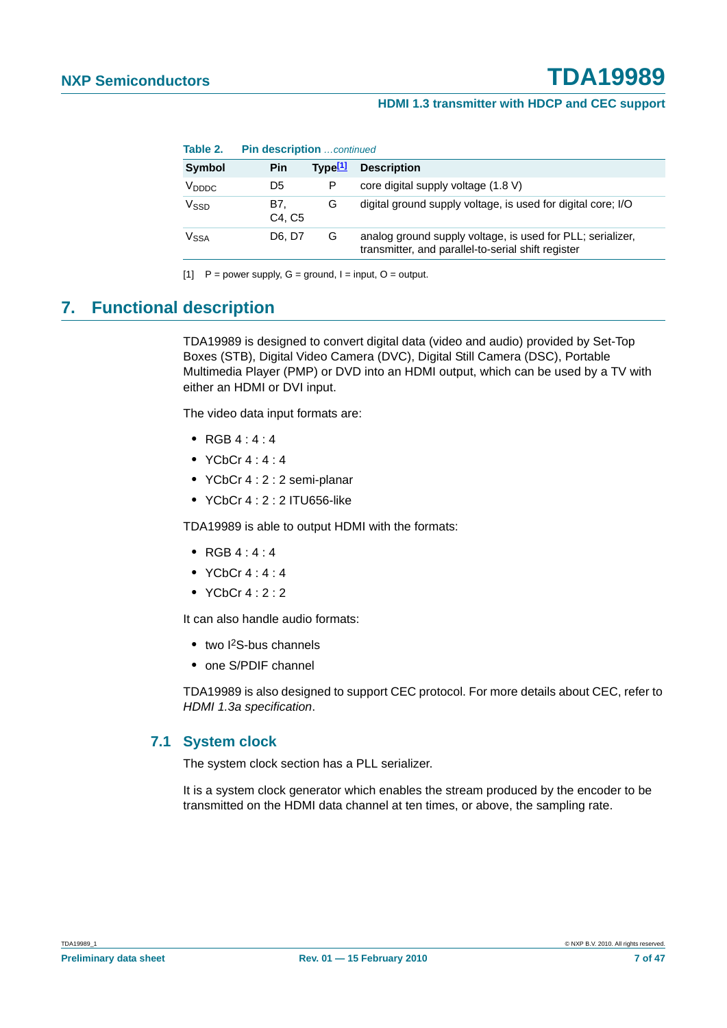| Table 2.          |               | <b>Pin description</b> continued |                                                                                                                  |  |  |  |  |  |
|-------------------|---------------|----------------------------------|------------------------------------------------------------------------------------------------------------------|--|--|--|--|--|
| Symbol            | Pin           | Tvpe $11$                        | <b>Description</b>                                                                                               |  |  |  |  |  |
| V <sub>DDDC</sub> | D5            | P                                | core digital supply voltage (1.8 V)                                                                              |  |  |  |  |  |
| Vssp              | B7.<br>C4. C5 | G                                | digital ground supply voltage, is used for digital core; I/O                                                     |  |  |  |  |  |
| V <sub>SSA</sub>  | D6. D7        | G                                | analog ground supply voltage, is used for PLL; serializer,<br>transmitter, and parallel-to-serial shift register |  |  |  |  |  |

[1]  $P = power$  supply,  $G = ground$ ,  $I = input$ ,  $O = output$ .

#### **7. Functional description**

TDA19989 is designed to convert digital data (video and audio) provided by Set-Top Boxes (STB), Digital Video Camera (DVC), Digital Still Camera (DSC), Portable Multimedia Player (PMP) or DVD into an HDMI output, which can be used by a TV with either an HDMI or DVI input.

The video data input formats are:

- **•** RGB 4 : 4 : 4
- **•** YCbCr 4 : 4 : 4
- **•** YCbCr 4 : 2 : 2 semi-planar
- **•** YCbCr 4 : 2 : 2 ITU656-like

TDA19989 is able to output HDMI with the formats:

- **•** RGB 4 : 4 : 4
- **•** YCbCr 4 : 4 : 4
- **•** YCbCr 4 : 2 : 2

It can also handle audio formats:

- two I<sup>2</sup>S-bus channels
- **•** one S/PDIF channel

TDA19989 is also designed to support CEC protocol. For more details about CEC, refer to *HDMI 1.3a specification*.

#### **7.1 System clock**

The system clock section has a PLL serializer.

It is a system clock generator which enables the stream produced by the encoder to be transmitted on the HDMI data channel at ten times, or above, the sampling rate.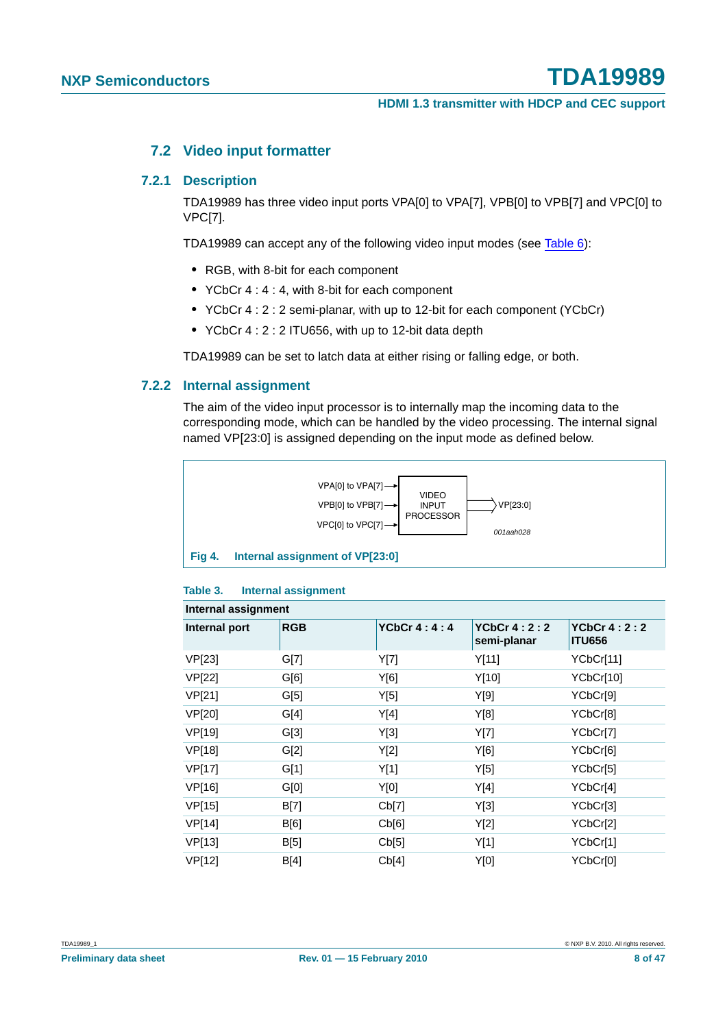#### **7.2 Video input formatter**

#### **7.2.1 Description**

TDA19989 has three video input ports VPA[0] to VPA[7], VPB[0] to VPB[7] and VPC[0] to VPC[7].

TDA19989 can accept any of the following video input modes (see Table 6):

- **•** RGB, with 8-bit for each component
- **•** YCbCr 4 : 4 : 4, with 8-bit for each component
- **•** YCbCr 4 : 2 : 2 semi-planar, with up to 12-bit for each component (YCbCr)
- **•** YCbCr 4 : 2 : 2 ITU656, with up to 12-bit data depth

TDA19989 can be set to latch data at either rising or falling edge, or both.

#### **7.2.2 Internal assignment**

The aim of the video input processor is to internally map the incoming data to the corresponding mode, which can be handled by the video processing. The internal signal named VP[23:0] is assigned depending on the input mode as defined below.



#### **Table 3. Internal assignment**

|               | Internal assignment |                    |                              |                                |  |  |  |  |  |  |
|---------------|---------------------|--------------------|------------------------------|--------------------------------|--|--|--|--|--|--|
| Internal port | <b>RGB</b>          | <b>YCbCr 4:4:4</b> | YCbCr $4:2:2$<br>semi-planar | YCbCr $4:2:2$<br><b>ITU656</b> |  |  |  |  |  |  |
| VP[23]        | G[7]                | Y[7]               | Y[11]                        | YCbCr[11]                      |  |  |  |  |  |  |
| VP[22]        | G[6]                | Y[6]               | Y[10]                        | YCbCr[10]                      |  |  |  |  |  |  |
| VP[21]        | G[5]                | Y[5]               | Y[9]                         | YCbCr[9]                       |  |  |  |  |  |  |
| VP[20]        | G[4]                | Y[4]               | Y[8]                         | YCbCr[8]                       |  |  |  |  |  |  |
| VP[19]        | G[3]                | Y[3]               | Y[7]                         | YCbCr[7]                       |  |  |  |  |  |  |
| VP[18]        | G[2]                | Y[2]               | Y[6]                         | YCbCr[6]                       |  |  |  |  |  |  |
| VP[17]        | G[1]                | Y[1]               | Y[5]                         | YCbCr[5]                       |  |  |  |  |  |  |
| VP[16]        | G[0]                | Y[0]               | Y[4]                         | YCbCr[4]                       |  |  |  |  |  |  |
| VP[15]        | B[7]                | Cb[7]              | Y[3]                         | YCbCr[3]                       |  |  |  |  |  |  |
| VP[14]        | B[6]                | Cb[6]              | Y[2]                         | YCbCr[2]                       |  |  |  |  |  |  |
| VP[13]        | B[5]                | Cb[5]              | Y[1]                         | YCbCr[1]                       |  |  |  |  |  |  |
| VP[12]        | B[4]                | Cb[4]              | Y[0]                         | YCbCr[0]                       |  |  |  |  |  |  |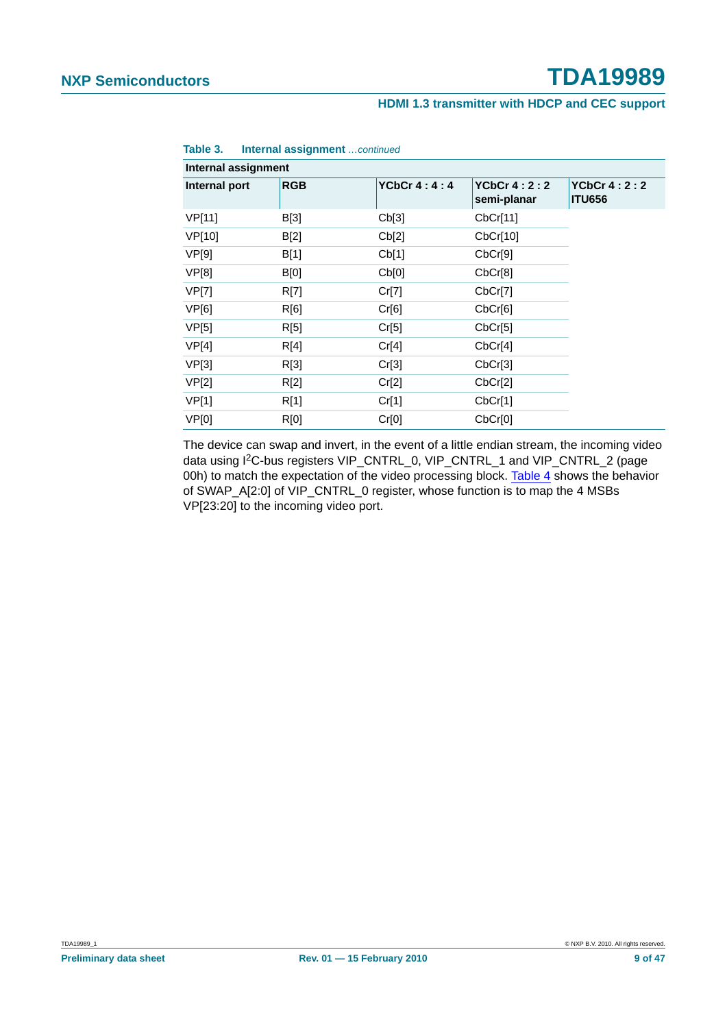#### **HDMI 1.3 transmitter with HDCP and CEC support**

| Internal assignment |             |                    |                                   |                                     |
|---------------------|-------------|--------------------|-----------------------------------|-------------------------------------|
| Internal port       | <b>RGB</b>  | <b>YCbCr 4:4:4</b> | <b>YCbCr 4:2:2</b><br>semi-planar | <b>YCbCr 4:2:2</b><br><b>ITU656</b> |
| VP[11]              | B[3]        | Cb[3]              | CbCr[11]                          |                                     |
| VP[10]              | B[2]        | Cb[2]              | CbCr[10]                          |                                     |
| <b>VP[9]</b>        | B[1]        | Cb[1]              | CbCr[9]                           |                                     |
| VP[8]               | B[0]        | Cb[0]              | CbCr[8]                           |                                     |
| VP[7]               | R[7]        | Cr[7]              | CbCr[7]                           |                                     |
| VP[6]               | R[6]        | Cr[6]              | CbCr[6]                           |                                     |
| VP[5]               | R[5]        | Cr[5]              | CbCr[5]                           |                                     |
| VP[4]               | R[4]        | Cr[4]              | CbCr[4]                           |                                     |
| VP[3]               | R[3]        | Cr[3]              | CbCr[3]                           |                                     |
| VP[2]               | R[2]        | Cr[2]              | CbCr[2]                           |                                     |
| VP[1]               | R[1]        | Cr[1]              | CbCr[1]                           |                                     |
| VP[0]               | <b>R[0]</b> | Cr[0]              | CbCr[0]                           |                                     |

**Table 3. Internal assignment** *…continued*

The device can swap and invert, in the event of a little endian stream, the incoming video data using I2C-bus registers VIP\_CNTRL\_0, VIP\_CNTRL\_1 and VIP\_CNTRL\_2 (page 00h) to match the expectation of the video processing block. Table 4 shows the behavior of SWAP\_A[2:0] of VIP\_CNTRL\_0 register, whose function is to map the 4 MSBs VP[23:20] to the incoming video port.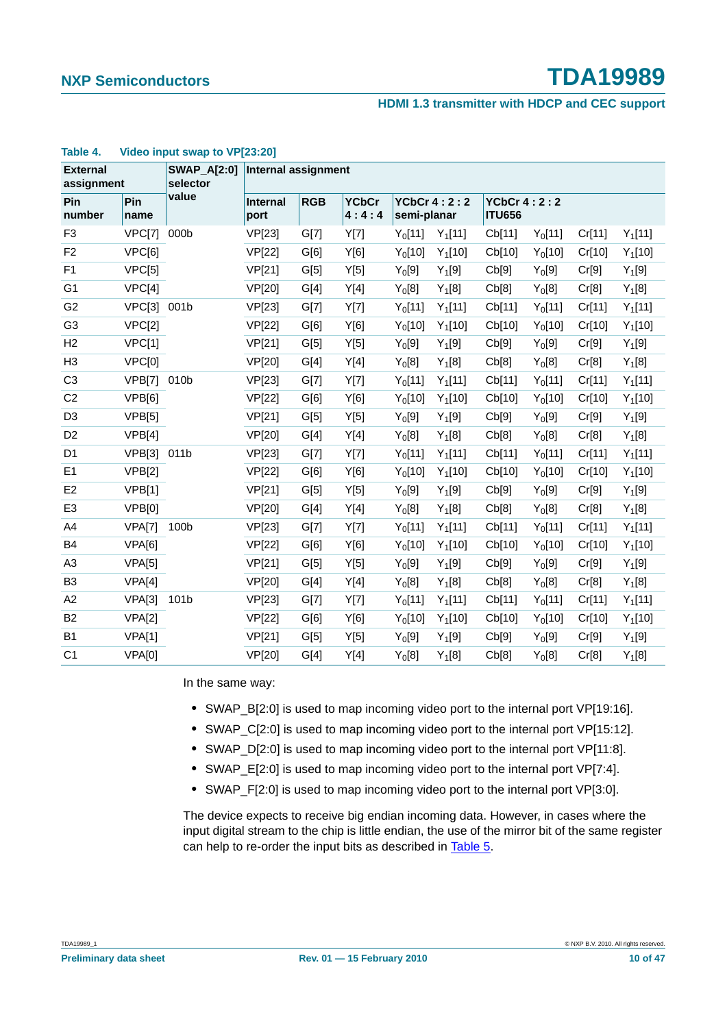**HDMI 1.3 transmitter with HDCP and CEC support**

| <b>External</b><br>assignment |             | <b>SWAP_A[2:0]</b><br>selector | <b>Internal assignment</b> |            |                       |                                   |           |                                     |           |        |           |
|-------------------------------|-------------|--------------------------------|----------------------------|------------|-----------------------|-----------------------------------|-----------|-------------------------------------|-----------|--------|-----------|
| Pin<br>number                 | Pin<br>name | value                          | Internal<br>port           | <b>RGB</b> | <b>YCbCr</b><br>4:4:4 | <b>YCbCr 4:2:2</b><br>semi-planar |           | <b>YCbCr 4:2:2</b><br><b>ITU656</b> |           |        |           |
| F <sub>3</sub>                | VPC[7]      | 000b                           | VP[23]                     | G[7]       | Y[7]                  | $Y_0[11]$                         | $Y_1[11]$ | Cb[11]                              | $Y_0[11]$ | Cr[11] | $Y_1[11]$ |
| F <sub>2</sub>                | VPC[6]      |                                | <b>VP[22]</b>              | G[6]       | Y[6]                  | $Y_0[10]$                         | $Y_1[10]$ | Cb[10]                              | $Y_0[10]$ | Cr[10] | $Y_1[10]$ |
| F <sub>1</sub>                | VPC[5]      |                                | <b>VP[21]</b>              | G[5]       | Y[5]                  | Y <sub>0</sub> [9]                | $Y_1[9]$  | Cb[9]                               | $Y_0[9]$  | Cr[9]  | $Y_1[9]$  |
| G <sub>1</sub>                | VPC[4]      |                                | VP[20]                     | G[4]       | Y[4]                  | $Y_0[8]$                          | $Y_1[8]$  | Cb[8]                               | $Y_0[8]$  | Cr[8]  | $Y_1[8]$  |
| G <sub>2</sub>                | VPC[3]      | 001b                           | VP[23]                     | G[7]       | Y[7]                  | $Y_0[11]$                         | $Y_1[11]$ | Cb[11]                              | $Y_0[11]$ | Cr[11] | $Y_1[11]$ |
| G <sub>3</sub>                | VPC[2]      |                                | <b>VP[22]</b>              | G[6]       | Y[6]                  | $Y_0[10]$                         | $Y_1[10]$ | Cb[10]                              | $Y_0[10]$ | Cr[10] | $Y_1[10]$ |
| H2                            | VPC[1]      |                                | <b>VP[21]</b>              | G[5]       | Y[5]                  | $Y_0[9]$                          | $Y_1[9]$  | Cb[9]                               | $Y_0[9]$  | Cr[9]  | $Y_1[9]$  |
| H <sub>3</sub>                | VPC[0]      |                                | VP[20]                     | G[4]       | Y[4]                  | $Y_0[8]$                          | $Y_1[8]$  | Cb[8]                               | $Y_0[8]$  | Cr[8]  | $Y_1[8]$  |
| C <sub>3</sub>                | VPB[7]      | 010b                           | VP[23]                     | G[7]       | Y[7]                  | $Y_0[11]$                         | $Y_1[11]$ | Cb[11]                              | $Y_0[11]$ | Cr[11] | $Y_1[11]$ |
| C <sub>2</sub>                | VPB[6]      |                                | <b>VP[22]</b>              | G[6]       | Y[6]                  | $Y_0[10]$                         | $Y_1[10]$ | Cb[10]                              | $Y_0[10]$ | Cr[10] | $Y_1[10]$ |
| D <sub>3</sub>                | VPB[5]      |                                | VP[21]                     | G[5]       | Y[5]                  | $Y_0[9]$                          | $Y_1[9]$  | Cb[9]                               | $Y_0[9]$  | Cr[9]  | $Y_1[9]$  |
| D <sub>2</sub>                | VPB[4]      |                                | VP[20]                     | G[4]       | Y[4]                  | $Y_0[8]$                          | $Y_1[8]$  | Cb[8]                               | $Y_0[8]$  | Cr[8]  | $Y_1[8]$  |
| D <sub>1</sub>                | VPB[3]      | 011b                           | VP[23]                     | G[7]       | Y[7]                  | $Y_0[11]$                         | $Y_1[11]$ | Cb[11]                              | $Y_0[11]$ | Cr[11] | $Y_1[11]$ |
| E <sub>1</sub>                | VPB[2]      |                                | <b>VP[22]</b>              | G[6]       | Y[6]                  | $Y_0[10]$                         | $Y_1[10]$ | Cb[10]                              | $Y_0[10]$ | Cr[10] | $Y_1[10]$ |
| E <sub>2</sub>                | VPB[1]      |                                | VP[21]                     | G[5]       | Y[5]                  | $Y_0[9]$                          | $Y_1[9]$  | Cb[9]                               | $Y_0[9]$  | Cr[9]  | $Y_1[9]$  |
| E <sub>3</sub>                | VPB[0]      |                                | <b>VP[20]</b>              | G[4]       | Y[4]                  | $Y_0[8]$                          | $Y_1[8]$  | Cb[8]                               | $Y_0[8]$  | Cr[8]  | $Y_1[8]$  |
| A4                            | VPA[7]      | 100b                           | <b>VP[23]</b>              | G[7]       | Y[7]                  | $Y_0[11]$                         | $Y_1[11]$ | Cb[11]                              | $Y_0[11]$ | Cr[11] | $Y_1[11]$ |
| B <sub>4</sub>                | VPA[6]      |                                | VP[22]                     | G[6]       | Y[6]                  | $Y_0[10]$                         | $Y_1[10]$ | Cb[10]                              | $Y_0[10]$ | Cr[10] | $Y_1[10]$ |
| A <sub>3</sub>                | VPA[5]      |                                | VP[21]                     | G[5]       | Y[5]                  | $Y_0[9]$                          | $Y_1[9]$  | Cb[9]                               | $Y_0[9]$  | Cr[9]  | $Y_1[9]$  |
| B <sub>3</sub>                | VPA[4]      |                                | <b>VP[20]</b>              | G[4]       | Y[4]                  | $Y_0[8]$                          | $Y_1[8]$  | Cb[8]                               | $Y_0[8]$  | Cr[8]  | $Y_1[8]$  |
| A2                            | VPA[3]      | 101b                           | VP[23]                     | G[7]       | Y[7]                  | $Y_0[11]$                         | $Y_1[11]$ | Cb[11]                              | $Y_0[11]$ | Cr[11] | $Y_1[11]$ |
| <b>B2</b>                     | VPA[2]      |                                | VP[22]                     | G[6]       | Y[6]                  | $Y_0[10]$                         | $Y_1[10]$ | Cb[10]                              | $Y_0[10]$ | Cr[10] | $Y_1[10]$ |
| B <sub>1</sub>                | VPA[1]      |                                | <b>VP[21]</b>              | G[5]       | Y[5]                  | $Y_0[9]$                          | $Y_1[9]$  | Cb[9]                               | $Y_0[9]$  | Cr[9]  | $Y_1[9]$  |
| C <sub>1</sub>                | VPA[0]      |                                | <b>VP[20]</b>              | G[4]       | Y[4]                  | $Y_0[8]$                          | $Y_1[8]$  | Cb[8]                               | $Y_0[8]$  | Cr[8]  | $Y_1[8]$  |

#### **Table 4. Video input swap to VP[23:20]**

In the same way:

- **•** SWAP\_B[2:0] is used to map incoming video port to the internal port VP[19:16].
- SWAP C[2:0] is used to map incoming video port to the internal port VP[15:12].
- **•** SWAP\_D[2:0] is used to map incoming video port to the internal port VP[11:8].
- **•** SWAP\_E[2:0] is used to map incoming video port to the internal port VP[7:4].
- **•** SWAP\_F[2:0] is used to map incoming video port to the internal port VP[3:0].

The device expects to receive big endian incoming data. However, in cases where the input digital stream to the chip is little endian, the use of the mirror bit of the same register can help to re-order the input bits as described in Table 5.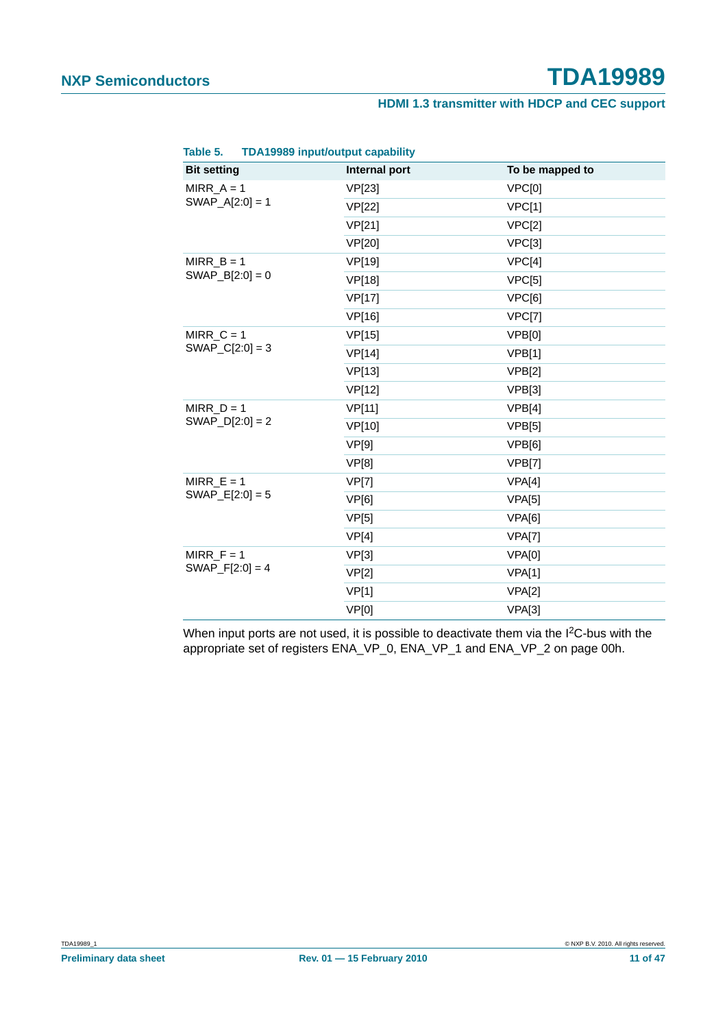| <b>TDA19989 input/output capability</b><br>Table 5. |               |                 |
|-----------------------------------------------------|---------------|-----------------|
| <b>Bit setting</b>                                  | Internal port | To be mapped to |
| MIRR $A = 1$                                        | VP[23]        | VPC[0]          |
| $SWAP_A[2:0] = 1$                                   | <b>VP[22]</b> | VPC[1]          |
|                                                     | VP[21]        | VPC[2]          |
|                                                     | VP[20]        | VPC[3]          |
| MIRR $B = 1$                                        | <b>VP[19]</b> | VPC[4]          |
| $SWAP_B[2:0] = 0$                                   | VP[18]        | VPC[5]          |
|                                                     | <b>VP[17]</b> | VPC[6]          |
|                                                     | VP[16]        | VPC[7]          |
| MIRR $C = 1$                                        | <b>VP[15]</b> | VPB[0]          |
| $SWAP_C[2:0] = 3$                                   | <b>VP[14]</b> | VPB[1]          |
|                                                     | <b>VP[13]</b> | VPB[2]          |
|                                                     | VP[12]        | VPB[3]          |
| MIRR $D = 1$                                        | <b>VP[11]</b> | VPB[4]          |
| $SWAP[D[2:0] = 2$                                   | VP[10]        | VPB[5]          |
|                                                     | VP[9]         | VPB[6]          |
|                                                     | VP[8]         | VPB[7]          |
| MIRR $E = 1$                                        | <b>VP[7]</b>  | VPA[4]          |
| $SWAP$ $E[2:0] = 5$                                 | VP[6]         | VPA[5]          |
|                                                     | VP[5]         | VPA[6]          |
|                                                     | VP[4]         | VPA[7]          |
| $MIRR_F = 1$                                        | VP[3]         | VPA[0]          |
| $SWAP_F[2:0] = 4$                                   | VP[2]         | VPA[1]          |
|                                                     | VP[1]         | VPA[2]          |
|                                                     | VP[0]         | VPA[3]          |

When input ports are not used, it is possible to deactivate them via the I<sup>2</sup>C-bus with the appropriate set of registers ENA\_VP\_0, ENA\_VP\_1 and ENA\_VP\_2 on page 00h.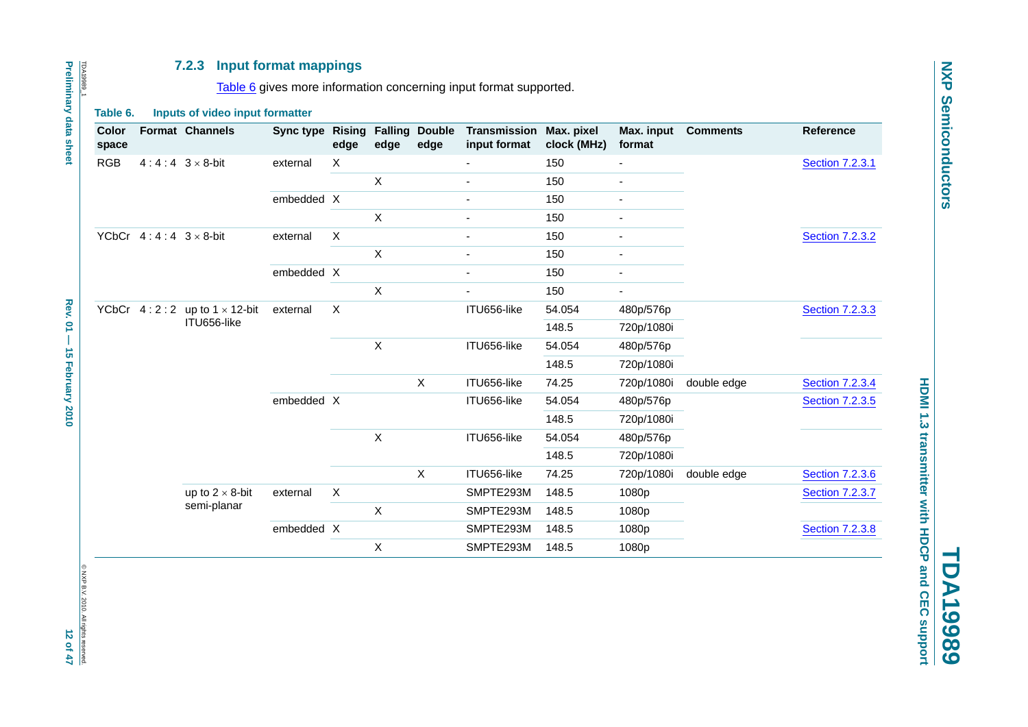#### **7.2.3 Input format mappings**

Table 6 gives more information concerning input format supported.

#### **Table 6. Inputs of video input formatter**

| Color<br>space |                             | <b>Format Channels</b>                 | Sync type  | <b>Rising</b><br>edge | edge         | <b>Falling Double</b><br>edge | Transmission<br>input format | Max. pixel<br>clock (MHz) | Max. input<br>format     | <b>Comments</b> | <b>Reference</b>       |       |  |  |
|----------------|-----------------------------|----------------------------------------|------------|-----------------------|--------------|-------------------------------|------------------------------|---------------------------|--------------------------|-----------------|------------------------|-------|--|--|
| <b>RGB</b>     | $4:4:4:3\times8$ -bit       |                                        | external   | X                     |              |                               |                              | 150                       |                          |                 | <b>Section 7.2.3.1</b> |       |  |  |
|                |                             |                                        |            |                       | X            |                               | $\blacksquare$               | 150                       | $\blacksquare$           |                 |                        |       |  |  |
|                |                             | embedded X                             |            |                       |              |                               | 150                          |                           |                          |                 |                        |       |  |  |
|                |                             |                                        |            |                       | X            |                               | $\overline{a}$               | 150                       |                          |                 |                        |       |  |  |
|                | YCbCr $4:4:4:3\times8$ -bit |                                        | external   | X                     |              |                               | $\overline{\phantom{0}}$     | 150                       |                          |                 | <b>Section 7.2.3.2</b> |       |  |  |
|                |                             |                                        |            |                       | $\mathsf{X}$ |                               |                              | 150                       |                          |                 |                        |       |  |  |
|                |                             |                                        | embedded X |                       |              |                               | $\blacksquare$               | 150                       | $\overline{\phantom{a}}$ |                 |                        |       |  |  |
|                |                             |                                        |            |                       | X            |                               | $\blacksquare$               | 150                       | $\blacksquare$           |                 |                        |       |  |  |
|                |                             | YCbCr $4:2:2$ up to $1 \times 12$ -bit | external   | X                     |              |                               | ITU656-like                  | 54.054                    | 480p/576p                |                 | <b>Section 7.2.3.3</b> |       |  |  |
|                |                             | ITU656-like                            |            |                       |              |                               |                              | 148.5                     | 720p/1080i               |                 |                        |       |  |  |
|                |                             |                                        |            |                       | X            |                               | ITU656-like                  | 54.054                    | 480p/576p                |                 |                        |       |  |  |
|                |                             |                                        |            |                       |              |                               |                              | 148.5                     | 720p/1080i               |                 |                        |       |  |  |
|                |                             |                                        |            |                       |              | X                             | ITU656-like                  | 74.25                     | 720p/1080i               | double edge     | <b>Section 7.2.3.4</b> |       |  |  |
|                |                             |                                        | embedded X |                       |              |                               | ITU656-like                  | 54.054                    | 480p/576p                |                 | <b>Section 7.2.3.5</b> |       |  |  |
|                |                             |                                        |            |                       |              |                               |                              | 148.5                     | 720p/1080i               |                 |                        |       |  |  |
|                |                             |                                        |            |                       | Χ            |                               | ITU656-like                  | 54.054                    | 480p/576p                |                 |                        |       |  |  |
|                |                             |                                        |            |                       |              |                               |                              | 148.5                     | 720p/1080i               |                 |                        |       |  |  |
|                |                             |                                        |            |                       |              | $\mathsf X$                   | ITU656-like                  | 74.25                     | 720p/1080i               | double edge     | <b>Section 7.2.3.6</b> |       |  |  |
|                |                             | up to $2 \times 8$ -bit                | external   | X                     |              |                               | SMPTE293M                    | 148.5                     | 1080p                    |                 | <b>Section 7.2.3.7</b> |       |  |  |
|                |                             | semi-planar                            |            |                       | $\mathsf{x}$ |                               | SMPTE293M                    | 148.5                     | 1080p                    |                 |                        |       |  |  |
|                |                             |                                        | embedded X |                       |              |                               | SMPTE293M                    | 148.5                     | 1080p                    |                 | <b>Section 7.2.3.8</b> |       |  |  |
|                |                             |                                        |            |                       |              |                               |                              | Χ                         |                          | SMPTE293M       | 148.5                  | 1080p |  |  |

# © NXP B.V. 2010. All rights reserved. © NXP B.V. 2010. All rights reserved.<br>1 2 of 47

TDA19989\_1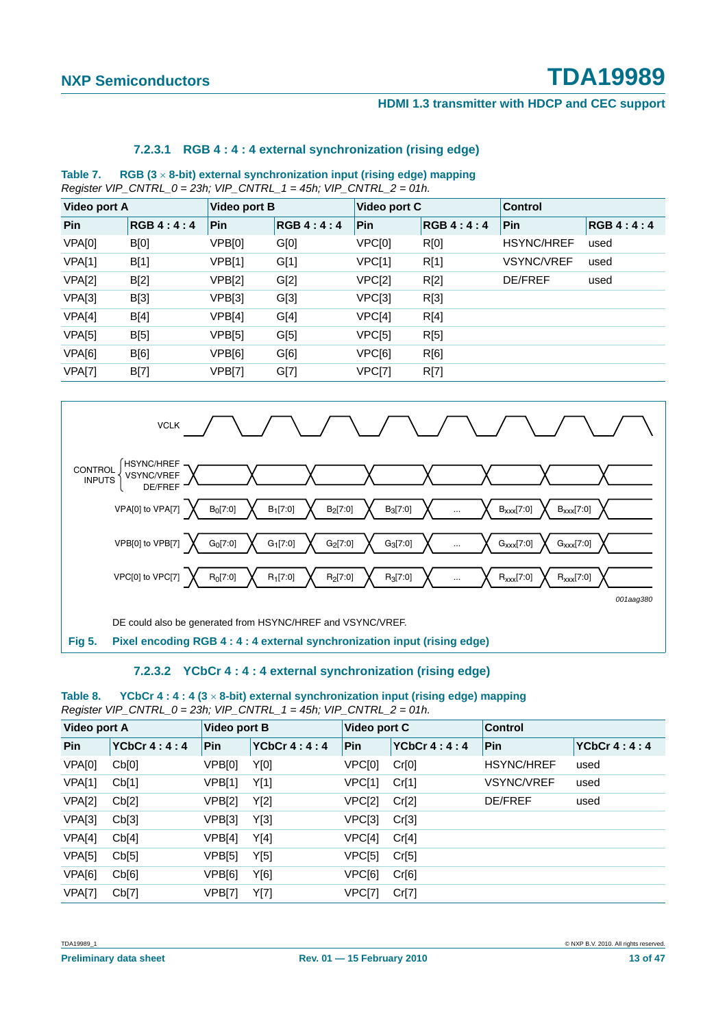#### **HDMI 1.3 transmitter with HDCP and CEC support**

#### **7.2.3.1 RGB 4 : 4 : 4 external synchronization (rising edge)**

**Table 7. RGB (3** × **8-bit) external synchronization input (rising edge) mapping** *Register VIP\_CNTRL\_0 = 23h; VIP\_CNTRL\_1 = 45h; VIP\_CNTRL\_2 = 01h.*

| Video port A |                  | Video port B  |           | Video port C |           | <b>Control</b>    |           |
|--------------|------------------|---------------|-----------|--------------|-----------|-------------------|-----------|
| Pin          | <b>RGB 4:4:4</b> | Pin           | RGB 4:4:4 | Pin          | RGB 4:4:4 | Pin               | RGB 4:4:4 |
| VPA[0]       | B[0]             | VPB[0]        | G[0]      | VPC[0]       | R[0]      | <b>HSYNC/HREF</b> | used      |
| VPA[1]       | B[1]             | VPB[1]        | G[1]      | VPC[1]       | R[1]      | VSYNC/VREF        | used      |
| VPA[2]       | B[2]             | <b>VPB[2]</b> | G[2]      | VPC[2]       | R[2]      | <b>DE/FREF</b>    | used      |
| VPA[3]       | B[3]             | VPB[3]        | G[3]      | VPC[3]       | R[3]      |                   |           |
| VPA[4]       | B[4]             | VPB[4]        | G[4]      | VPC[4]       | R[4]      |                   |           |
| VPA[5]       | B[5]             | VPB[5]        | G[5]      | VPC[5]       | R[5]      |                   |           |
| VPA[6]       | B[6]             | VPB[6]        | G[6]      | VPC[6]       | R[6]      |                   |           |
| VPA[7]       | B[7]             | VPB[7]        | G[7]      | VPC[7]       | R[7]      |                   |           |
|              |                  |               |           |              |           |                   |           |



#### **7.2.3.2 YCbCr 4 : 4 : 4 external synchronization (rising edge)**

#### **Table 8. YCbCr 4 : 4 : 4 (3** × **8-bit) external synchronization input (rising edge) mapping** *Register VIP\_CNTRL\_0 = 23h; VIP\_CNTRL\_1 = 45h; VIP\_CNTRL\_2 = 01h.*

| <b>Video port A</b> |               | <b>Video port B</b> |               | Video port C |             | <b>Control</b>    |               |
|---------------------|---------------|---------------------|---------------|--------------|-------------|-------------------|---------------|
| <b>Pin</b>          | YCbCr $4:4:4$ | <b>Pin</b>          | YCbCr $4:4:4$ | <b>Pin</b>   | YCbCr 4:4:4 | <b>Pin</b>        | YCbCr $4:4:4$ |
| VPA[0]              | Cb[0]         | VPB[0]              | Y[0]          | VPC[0]       | Cr[0]       | <b>HSYNC/HREF</b> | used          |
| <b>VPA[1]</b>       | Cb[1]         | VPB[1]              | Y[1]          | VPC[1]       | Cr[1]       | <b>VSYNC/VREF</b> | used          |
| VPA[2]              | Cb[2]         | VPB[2]              | Y[2]          | VPC[2]       | Cr[2]       | <b>DE/FREF</b>    | used          |
| VPA[3]              | Cb[3]         | VPB[3]              | Y[3]          | VPC[3]       | Cr[3]       |                   |               |
| VPA[4]              | Cb[4]         | VPB[4]              | Y[4]          | VPC[4]       | Cr[4]       |                   |               |
| <b>VPA[5]</b>       | Cb[5]         | VPB[5]              | Y[5]          | VPC[5]       | Cr[5]       |                   |               |
| VPA[6]              | Cb[6]         | VPB[6]              | Y[6]          | VPC[6]       | Cr[6]       |                   |               |
| <b>VPA[7]</b>       | Cb[7]         | <b>VPB[7]</b>       | Y[7]          | VPC[7]       | Cr[7]       |                   |               |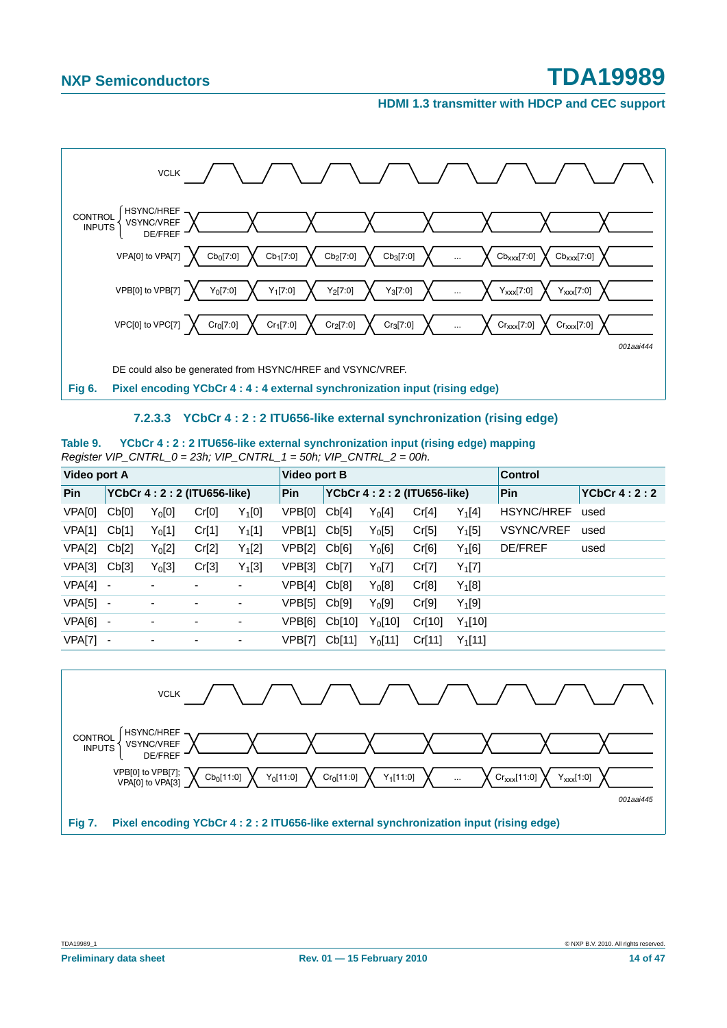**HDMI 1.3 transmitter with HDCP and CEC support**



#### **7.2.3.3 YCbCr 4 : 2 : 2 ITU656-like external synchronization (rising edge)**

| Table 9. | YCbCr 4 : 2 : 2 ITU656-like external synchronization input (rising edge) mapping |  |  |  |
|----------|----------------------------------------------------------------------------------|--|--|--|
|          | Register VIP_CNTRL_0 = 23h; VIP_CNTRL_1 = 50h; VIP_CNTRL_2 = 00h.                |  |  |  |

| Video port A |       |                             |       |          | Video port B |        |                             | <b>Control</b> |            |                   |               |
|--------------|-------|-----------------------------|-------|----------|--------------|--------|-----------------------------|----------------|------------|-------------------|---------------|
| Pin          |       | YCbCr 4: 2: 2 (ITU656-like) |       |          | Pin          |        | YCbCr 4: 2: 2 (ITU656-like) |                |            | Pin               | YCbCr $4:2:2$ |
| VPA[0]       | Cb[0] | $Y_0[0]$                    | Cr[0] | $Y_1[0]$ | VPB[0]       | Cb[4]  | $Y_0[4]$                    | Cr[4]          | $Y_1[4]$   | <b>HSYNC/HREF</b> | used          |
| VPA[1]       | Cb[1] | $Y_0[1]$                    | Cr[1] | $Y_1[1]$ | VPB[1]       | Cb[5]  | $Y_0[5]$                    | Cr[5]          | $Y_1[5]$   | <b>VSYNC/VREF</b> | used          |
| VPA[2]       | Cb[2] | $Y_0[2]$                    | Cr[2] | $Y_1[2]$ | VPB[2]       | Cb[6]  | $Y_0[6]$                    | Cr[6]          | $Y_1[6]$   | DE/FREF           | used          |
| VPA[3]       | Cb[3] | $Y_0[3]$                    | Cr[3] | $Y_1[3]$ | VPB[3]       | Cb[7]  | $Y_0[7]$                    | Cr[7]          | $Y_1[7]$   |                   |               |
| VPA[4]       | -     | ٠                           |       | ۰        | VPB[4]       | Cb[8]  | $Y_0[8]$                    | Cr[8]          | $Y_1[8]$   |                   |               |
| VPA[5]       | ۰     | ۰                           |       | ۰        | VPB[5]       | Cb[9]  | $Y_0[9]$                    | Cr[9]          | $Y_1[9]$   |                   |               |
| VPA[6]       |       | ٠                           | ۰     | ۰        | VPB[6]       | Cb[10] | $Y_0[10]$                   | Cr[10]         | $Y_1[10]$  |                   |               |
| VPA[7]       |       | ۰                           |       | ۰        | VPB[7]       | Cb[11] | $Y_0$ [11]                  | Cr[11]         | $Y_1$ [11] |                   |               |

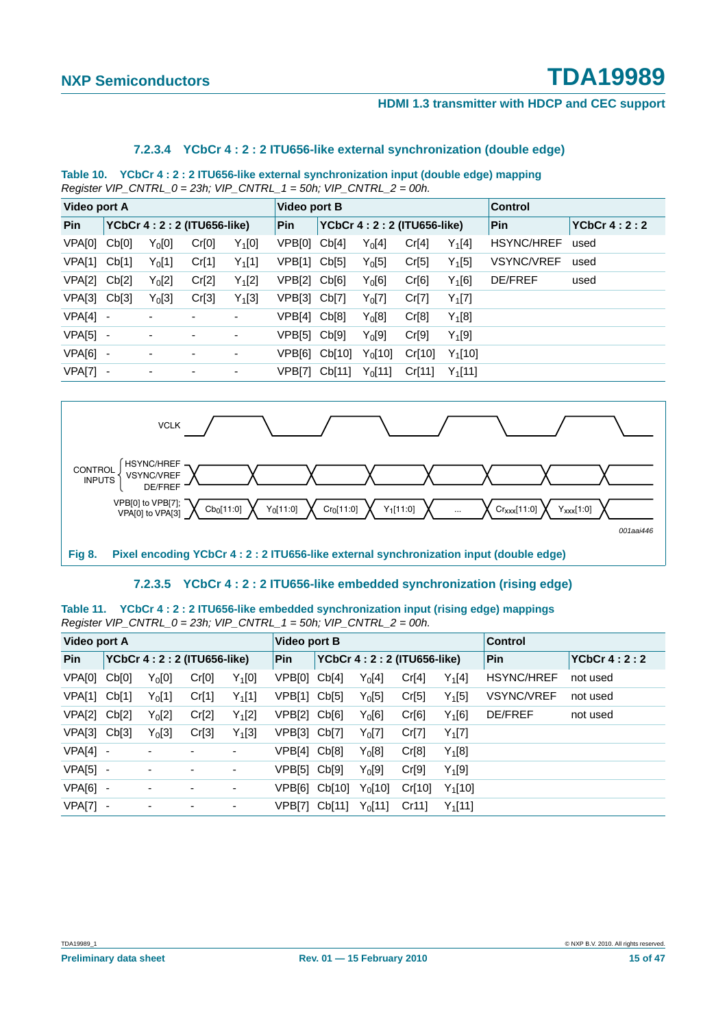#### **HDMI 1.3 transmitter with HDCP and CEC support**

#### **7.2.3.4 YCbCr 4 : 2 : 2 ITU656-like external synchronization (double edge)**

**Table 10. YCbCr 4 : 2 : 2 ITU656-like external synchronization input (double edge) mapping** *Register VIP\_CNTRL\_0 = 23h; VIP\_CNTRL\_1 = 50h; VIP\_CNTRL\_2 = 00h.*

| <b>Video port A</b> |                          |                          |                             |          | Video port B |               |            |                             | <b>Control</b> |                   |               |
|---------------------|--------------------------|--------------------------|-----------------------------|----------|--------------|---------------|------------|-----------------------------|----------------|-------------------|---------------|
| Pin                 |                          |                          | YCbCr 4: 2: 2 (ITU656-like) |          | Pin          |               |            | YCbCr 4: 2: 2 (ITU656-like) |                | Pin               | YCbCr $4:2:2$ |
| VPA[0]              | Cb[0]                    | $Y_0[0]$                 | Cr[0]                       | $Y_1[0]$ | VPB[0]       | Cb[4]         | $Y_0[4]$   | Cr[4]                       | $Y_1[4]$       | <b>HSYNC/HREF</b> | used          |
| VPA[1]              | Cb[1]                    | $Y_0[1]$                 | Cr[1]                       | $Y_1[1]$ | VPB[1]       | Cb[5]         | $Y_0[5]$   | Cr[5]                       | $Y_1[5]$       | <b>VSYNC/VREF</b> | used          |
| VPA[2]              | Cb[2]                    | $Y_0[2]$                 | Cr[2]                       | $Y_1[2]$ | VPB[2] Cb[6] |               | $Y_0[6]$   | Cr[6]                       | $Y_1[6]$       | <b>DE/FREF</b>    | used          |
| VPA[3]              | Cb[3]                    | $Y_0[3]$                 | Cr[3]                       | $Y_1[3]$ | VPB[3] Cb[7] |               | $Y_0$ [7]  | Cr[7]                       | $Y_1[7]$       |                   |               |
| VPA[4]              | $\overline{\phantom{a}}$ | $\blacksquare$           | -                           | ۰        | VPB[4]       | Cb[8]         | $Y_0[8]$   | Cr[8]                       | $Y_1[8]$       |                   |               |
| VPA[5]              | $\overline{\phantom{a}}$ | ۰                        | ۰                           | ٠        | VPB[5]       | Cb[9]         | $Y_0[9]$   | Cr[9]                       | $Y_1[9]$       |                   |               |
| VPA[6]              | $\overline{\phantom{a}}$ | $\blacksquare$           | ۰                           | ۰        | VPB[6]       | Cb[10]        | $Y_0[10]$  | Cr[10]                      | $Y_1[10]$      |                   |               |
| <b>VPA[7]</b>       | $\overline{\phantom{a}}$ | $\overline{\phantom{0}}$ | ۰                           | ٠        |              | VPB[7] Cb[11] | $Y_0$ [11] | Cr[11]                      | $Y_1$ [11]     |                   |               |



#### **7.2.3.5 YCbCr 4 : 2 : 2 ITU656-like embedded synchronization (rising edge)**

**Table 11. YCbCr 4 : 2 : 2 ITU656-like embedded synchronization input (rising edge) mappings** *Register VIP\_CNTRL\_0 = 23h; VIP\_CNTRL\_1 = 50h; VIP\_CNTRL\_2 = 00h.*

| <b>Video port A</b> |                          |                             |       |          | Video port B |        |                             |        |            | <b>Control</b>    |               |  |
|---------------------|--------------------------|-----------------------------|-------|----------|--------------|--------|-----------------------------|--------|------------|-------------------|---------------|--|
| Pin                 |                          | YCbCr 4: 2: 2 (ITU656-like) |       |          | <b>Pin</b>   |        | YCbCr 4: 2: 2 (ITU656-like) |        |            | Pin               | YCbCr $4:2:2$ |  |
| VPA[0]              | Cb[0]                    | $Y_0[0]$                    | Cr[0] | $Y_1[0]$ | VPB[0]       | Cb[4]  | $Y_0[4]$                    | Cr[4]  | $Y_1[4]$   | <b>HSYNC/HREF</b> | not used      |  |
| VPA[1]              | Cb[1]                    | $Y_0[1]$                    | Cr[1] | $Y_1[1]$ | VPB[1] Cb[5] |        | $Y_0[5]$                    | Cr[5]  | $Y_1[5]$   | <b>VSYNC/VREF</b> | not used      |  |
| VPA[2] Cb[2]        |                          | $Y_0[2]$                    | Cr[2] | $Y_1[2]$ | VPB[2] Cb[6] |        | $Y_0[6]$                    | Cr[6]  | $Y_1[6]$   | <b>DE/FREF</b>    | not used      |  |
| $VPA[3]$ $Cb[3]$    |                          | $Y_0[3]$                    | Cr[3] | $Y_1[3]$ | VPB[3] Cb[7] |        | $Y_0[7]$                    | Cr[7]  | $Y_1[7]$   |                   |               |  |
| $VPA[4] -$          |                          |                             |       | -        | VPB[4]       | Cb[8]  | $Y_0[8]$                    | Cr[8]  | $Y_1[8]$   |                   |               |  |
| VPA[5] -            |                          | $\blacksquare$              | ۰     | ۰        | VPB[5] Cb[9] |        | $Y_0[9]$                    | Cr[9]  | $Y_1[9]$   |                   |               |  |
| $VPA[6] -$          |                          | $\overline{\phantom{a}}$    | ۰     | ۰        | VPB[6]       | Cb[10] | $Y_0$ [10]                  | Cr[10] | $Y_1$ [10] |                   |               |  |
| VPA[7]              | $\overline{\phantom{a}}$ | $\overline{a}$              | ۰     | ۰        | VPB[7]       | Cb[11] | $Y_0$ [11]                  | Cr11   | $Y_1[11]$  |                   |               |  |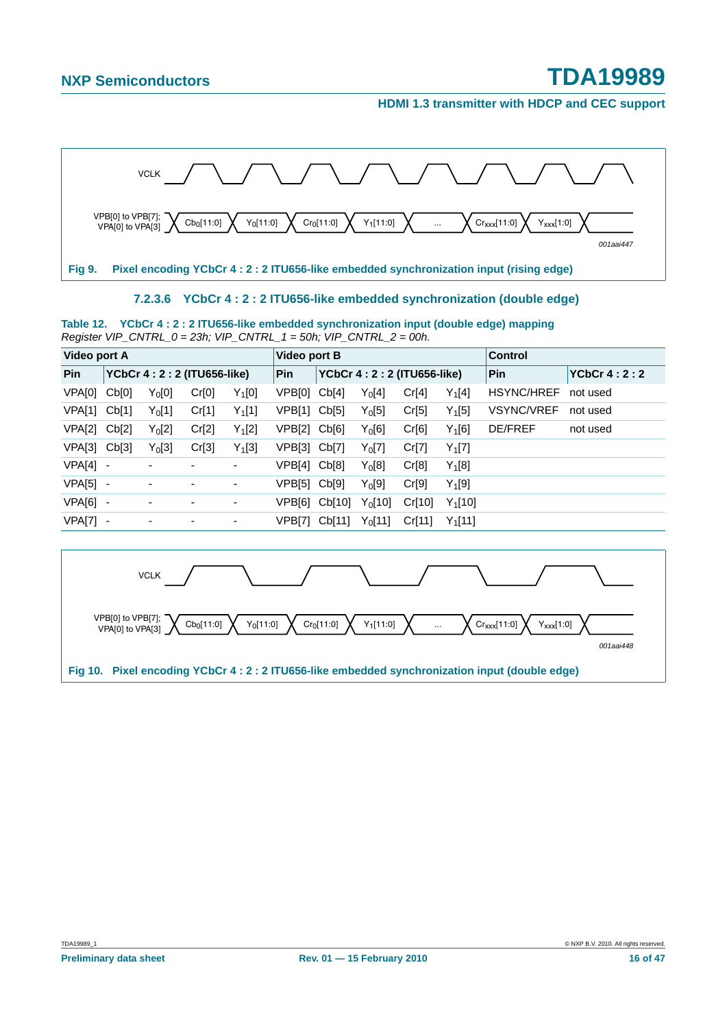**HDMI 1.3 transmitter with HDCP and CEC support**



#### **7.2.3.6 YCbCr 4 : 2 : 2 ITU656-like embedded synchronization (double edge)**

**Table 12. YCbCr 4 : 2 : 2 ITU656-like embedded synchronization input (double edge) mapping** *Register VIP\_CNTRL\_0 = 23h; VIP\_CNTRL\_1 = 50h; VIP\_CNTRL\_2 = 00h.*

| Video port A |                             |                          |       |                             | Video port B |        |            |               |            | Control           |          |
|--------------|-----------------------------|--------------------------|-------|-----------------------------|--------------|--------|------------|---------------|------------|-------------------|----------|
| Pin          | YCbCr 4: 2: 2 (ITU656-like) | <b>Pin</b>               |       | YCbCr 4: 2: 2 (ITU656-like) |              |        | Pin        | YCbCr $4:2:2$ |            |                   |          |
| VPA[0]       | Cb[0]                       | $Y_0[0]$                 | Cr[0] | $Y_1[0]$                    | VPB[0]       | Cb[4]  | $Y_0[4]$   | Cr[4]         | $Y_1[4]$   | <b>HSYNC/HREF</b> | not used |
| VPA[1]       | Cb[1]                       | $Y_0[1]$                 | Cr[1] | $Y_1[1]$                    | VPB[1]       | Cb[5]  | $Y_0[5]$   | Cr[5]         | $Y_1[5]$   | <b>VSYNC/VREF</b> | not used |
| VPA[2]       | Cb[2]                       | Y <sub>0</sub> [2]       | Cr[2] | $Y_1[2]$                    | VPB[2]       | Cb[6]  | $Y_0[6]$   | Cr[6]         | $Y_1[6]$   | <b>DE/FREF</b>    | not used |
| VPA[3]       | Cb[3]                       | $Y_0[3]$                 | Cr[3] | $Y_1[3]$                    | VPB[3]       | Cb[7]  | $Y_0[7]$   | Cr[7]         | $Y_1[7]$   |                   |          |
| VPA[4]       | $\overline{\phantom{a}}$    |                          |       | ٠                           | VPB[4]       | Cb[8]  | $Y_0[8]$   | Cr[8]         | $Y_1[8]$   |                   |          |
| VPA[5]       |                             | $\overline{\phantom{0}}$ | ۰     | ٠                           | VPB[5]       | Cb[9]  | $Y_0[9]$   | Cr[9]         | $Y_1[9]$   |                   |          |
| VPA[6]       | $\overline{\phantom{a}}$    | $\overline{\phantom{0}}$ |       | ۰                           | VPB[6]       | Cb[10] | $Y_0$ [10] | Cr[10]        | $Y_1[10]$  |                   |          |
| VPA[7]       |                             |                          | ٠     | ٠                           | VPB[7]       | Cb[11] | $Y_0$ [11] | Cr[11]        | $Y_1$ [11] |                   |          |

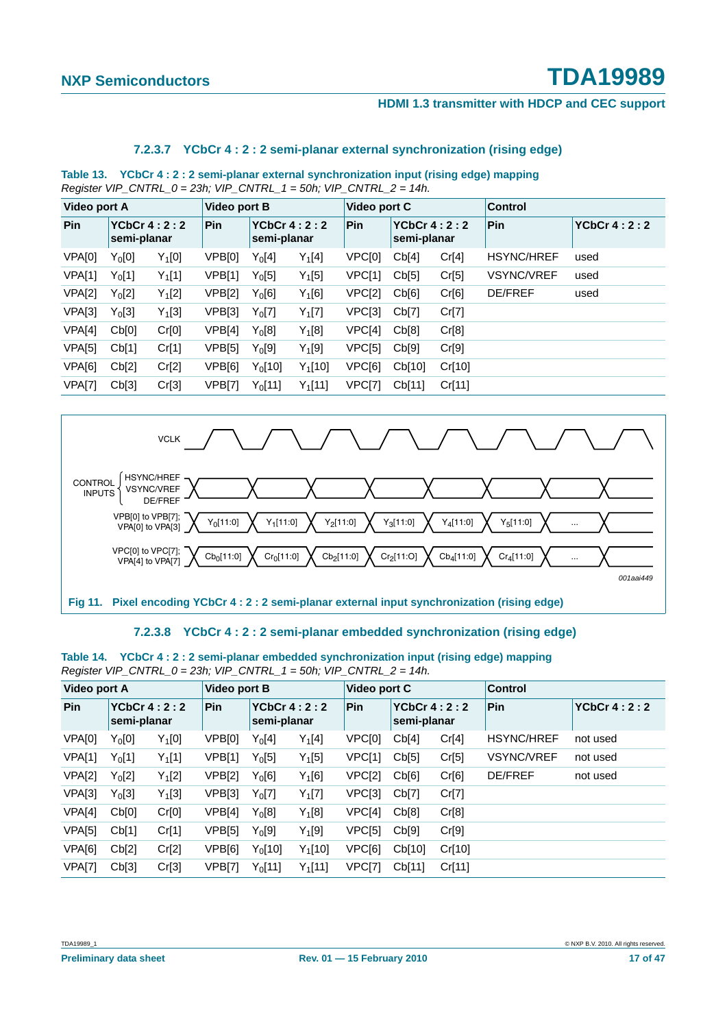#### **HDMI 1.3 transmitter with HDCP and CEC support**

#### **7.2.3.7 YCbCr 4 : 2 : 2 semi-planar external synchronization (rising edge)**

**Table 13. YCbCr 4 : 2 : 2 semi-planar external synchronization input (rising edge) mapping** *Register VIP\_CNTRL\_0 = 23h; VIP\_CNTRL\_1 = 50h; VIP\_CNTRL\_2 = 14h.*

| Video port A  |                              |          | Video port B       |                    |               | Video port C  |                                   |        | <b>Control</b>    |                    |
|---------------|------------------------------|----------|--------------------|--------------------|---------------|---------------|-----------------------------------|--------|-------------------|--------------------|
| Pin           | YCbCr $4:2:2$<br>semi-planar |          | Pin<br>semi-planar |                    | YCbCr $4:2:2$ | <b>Pin</b>    | <b>YCbCr 4:2:2</b><br>semi-planar |        | Pin               | <b>YCbCr 4:2:2</b> |
| VPA[0]        | $Y_0[0]$                     | $Y_1[0]$ | VPB[0]             | $Y_0[4]$           | $Y_1[4]$      | VPC[0]        | Cb[4]                             | Cr[4]  | <b>HSYNC/HREF</b> | used               |
| <b>VPA[1]</b> | $Y_0[1]$                     | $Y_1[1]$ | VPB[1]             | $Y_0[5]$           | $Y_1[5]$      | VPC[1]        | Cb[5]                             | Cr[5]  | <b>VSYNC/VREF</b> | used               |
| VPA[2]        | $Y_0[2]$                     | $Y_1[2]$ | VPB[2]             | $Y_0[6]$           | $Y_1[6]$      | VPC[2]        | Cb[6]                             | Cr[6]  | <b>DE/FREF</b>    | used               |
| <b>VPA[3]</b> | $Y_0[3]$                     | $Y_1[3]$ | VPB[3]             | $Y_0[7]$           | $Y_1[7]$      | VPC[3]        | Cb[7]                             | Cr[7]  |                   |                    |
| VPA[4]        | Cb[0]                        | Cr[0]    | VPB[4]             | $Y_0[8]$           | $Y_1[8]$      | VPC[4]        | Cb[8]                             | Cr[8]  |                   |                    |
| VPA[5]        | Cb[1]                        | Cr[1]    | VPB[5]             | Y <sub>0</sub> [9] | $Y_1[9]$      | VPC[5]        | Cb[9]                             | Cr[9]  |                   |                    |
| VPA[6]        | Cb[2]                        | Cr[2]    | VPB[6]             | $Y_0[10]$          | $Y_1[10]$     | VPC[6]        | Cb[10]                            | Cr[10] |                   |                    |
| <b>VPA[7]</b> | Cb[3]                        | Cr[3]    | <b>VPB[7]</b>      | $Y_0[11]$          | $Y_1[11]$     | <b>VPC[7]</b> | Cb[11]                            | Cr[11] |                   |                    |



#### **7.2.3.8 YCbCr 4 : 2 : 2 semi-planar embedded synchronization (rising edge)**

| Table 14. YCbCr 4: 2: 2 semi-planar embedded synchronization input (rising edge) mapping |  |
|------------------------------------------------------------------------------------------|--|
| Register VIP CNTRL $0 = 23h$ ; VIP CNTRL $1 = 50h$ ; VIP CNTRL $2 = 14h$ .               |  |

| <b>Video port A</b> |                              |          | Video port B |                              |            | Video port C |                            |        | Control           |               |
|---------------------|------------------------------|----------|--------------|------------------------------|------------|--------------|----------------------------|--------|-------------------|---------------|
| Pin                 | YCbCr $4:2:2$<br>semi-planar |          | Pin          | YCbCr $4:2:2$<br>semi-planar |            | Pin          | YCbCr 4:2:2<br>semi-planar |        | Pin               | YCbCr $4:2:2$ |
| VPA[0]              | $Y_0[0]$                     | $Y_1[0]$ | VPB[0]       | $Y_0[4]$                     | $Y_1[4]$   | VPC[0]       | Cb[4]                      | Cr[4]  | <b>HSYNC/HREF</b> | not used      |
| <b>VPA[1]</b>       | $Y_0[1]$                     | $Y_1[1]$ | VPB[1]       | $Y_0[5]$                     | $Y_1[5]$   | VPC[1]       | Cb[5]                      | Cr[5]  | <b>VSYNC/VREF</b> | not used      |
| VPA[2]              | $Y_0[2]$                     | $Y_1[2]$ | VPB[2]       | $Y_0[6]$                     | $Y_1[6]$   | VPC[2]       | Cb[6]                      | Cr[6]  | <b>DE/FREF</b>    | not used      |
| <b>VPA[3]</b>       | $Y_0[3]$                     | $Y_1[3]$ | VPB[3]       | $Y_0[7]$                     | $Y_1[7]$   | VPC[3]       | Cb[7]                      | Cr[7]  |                   |               |
| VPA[4]              | Cb[0]                        | Cr[0]    | VPB[4]       | $Y_0[8]$                     | $Y_1[8]$   | VPC[4]       | Cb[8]                      | Cr[8]  |                   |               |
| <b>VPA[5]</b>       | Cb[1]                        | Cr[1]    | VPB[5]       | $Y_0[9]$                     | $Y_1[9]$   | VPC[5]       | Cb[9]                      | Cr[9]  |                   |               |
| VPA[6]              | Cb[2]                        | Cr[2]    | VPB[6]       | $Y_0$ [10]                   | $Y_1$ [10] | VPC[6]       | Cb[10]                     | Cr[10] |                   |               |
| <b>VPA[7]</b>       | Cb[3]                        | Cr[3]    | VPB[7]       | $Y_0$ [11]                   | $Y_1$ [11] | VPC[7]       | Cb[11]                     | Cr[11] |                   |               |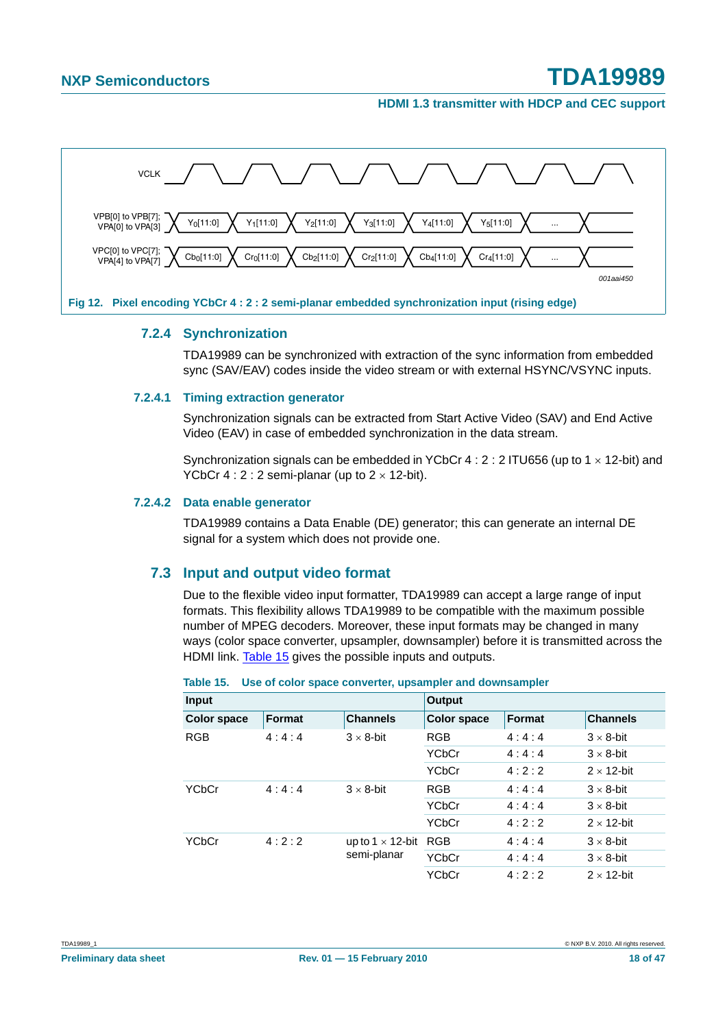**HDMI 1.3 transmitter with HDCP and CEC support**



#### **7.2.4 Synchronization**

TDA19989 can be synchronized with extraction of the sync information from embedded sync (SAV/EAV) codes inside the video stream or with external HSYNC/VSYNC inputs.

#### **7.2.4.1 Timing extraction generator**

Synchronization signals can be extracted from Start Active Video (SAV) and End Active Video (EAV) in case of embedded synchronization in the data stream.

Synchronization signals can be embedded in YCbCr 4 :  $2:2$  ITU656 (up to 1  $\times$  12-bit) and YCbCr  $4:2:2$  semi-planar (up to  $2 \times 12$ -bit).

#### **7.2.4.2 Data enable generator**

TDA19989 contains a Data Enable (DE) generator; this can generate an internal DE signal for a system which does not provide one.

#### **7.3 Input and output video format**

Due to the flexible video input formatter, TDA19989 can accept a large range of input formats. This flexibility allows TDA19989 to be compatible with the maximum possible number of MPEG decoders. Moreover, these input formats may be changed in many ways (color space converter, upsampler, downsampler) before it is transmitted across the HDMI link. Table 15 gives the possible inputs and outputs.

| <b>Input</b>       |        |                         | Output             |        |                    |  |  |  |
|--------------------|--------|-------------------------|--------------------|--------|--------------------|--|--|--|
| <b>Color space</b> | Format | <b>Channels</b>         | <b>Color space</b> | Format | <b>Channels</b>    |  |  |  |
| <b>RGB</b>         | 4:4:4  | $3 \times 8$ -bit       | <b>RGB</b>         | 4:4:4  | $3 \times 8$ -bit  |  |  |  |
|                    |        |                         | <b>YCbCr</b>       | 4:4:4  | $3 \times 8$ -bit  |  |  |  |
|                    |        |                         | <b>YCbCr</b>       | 4:2:2  | $2 \times 12$ -bit |  |  |  |
| YCbCr              | 4:4:4  | $3 \times 8$ -bit       | <b>RGB</b>         | 4:4:4  | $3 \times 8$ -bit  |  |  |  |
|                    |        |                         | <b>YCbCr</b>       | 4:4:4  | $3 \times 8$ -bit  |  |  |  |
|                    |        |                         | <b>YCbCr</b>       | 4:2:2  | $2 \times 12$ -bit |  |  |  |
| YCbCr              | 4:2:2  | up to 1 $\times$ 12-bit | <b>RGB</b>         | 4:4:4  | $3 \times 8$ -bit  |  |  |  |
|                    |        | semi-planar             | <b>YCbCr</b>       | 4:4:4  | $3 \times 8$ -bit  |  |  |  |
|                    |        |                         | <b>YCbCr</b>       | 4:2:2  | $2 \times 12$ -bit |  |  |  |

|  |  |  |  |  |  | Table 15. Use of color space converter, upsampler and downsampler |
|--|--|--|--|--|--|-------------------------------------------------------------------|
|--|--|--|--|--|--|-------------------------------------------------------------------|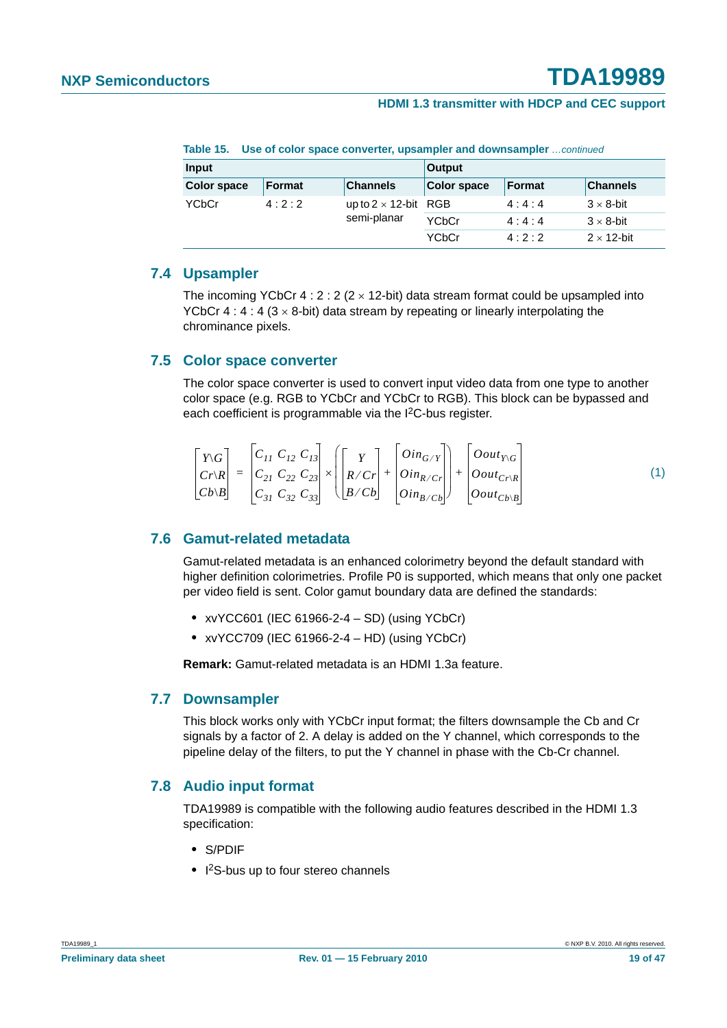| Input              |        |                              | <b>Output</b> |               |                    |  |  |
|--------------------|--------|------------------------------|---------------|---------------|--------------------|--|--|
| <b>Color space</b> | Format | <b>Channels</b>              | Color space   | <b>Format</b> | <b>Channels</b>    |  |  |
| YCbCr              | 4:2:2  | up to $2 \times 12$ -bit RGB |               | 4:4:4         | $3 \times 8$ -bit  |  |  |
|                    |        | semi-planar                  | <b>YCbCr</b>  | 4:4:4         | $3 \times 8$ -bit  |  |  |
|                    |        |                              | YCbCr         | 4:2:2         | $2 \times 12$ -bit |  |  |

**Table 15. Use of color space converter, upsampler and downsampler** *…continued*

#### **7.4 Upsampler**

The incoming YCbCr 4 : 2 : 2 ( $2 \times 12$ -bit) data stream format could be upsampled into YCbCr 4 : 4 : 4 ( $3 \times 8$ -bit) data stream by repeating or linearly interpolating the chrominance pixels.

#### **7.5 Color space converter**

The color space converter is used to convert input video data from one type to another color space (e.g. RGB to YCbCr and YCbCr to RGB). This block can be bypassed and each coefficient is programmable via the I2C-bus register.

$$
\begin{bmatrix}\nY \cdot G \\
C r \cdot R \\
C b \cdot B\n\end{bmatrix} =\n\begin{bmatrix}\nC_{11} & C_{12} & C_{13} \\
C_{21} & C_{22} & C_{23} \\
C_{31} & C_{32} & C_{33}\n\end{bmatrix}\n\times\n\begin{bmatrix}\nY \\
R \cdot C r \\
B \cdot C b\n\end{bmatrix} +\n\begin{bmatrix}\nOin_{G/Y} \\
Oin_{R/Cr} \\
Oin_{B/Cb}\n\end{bmatrix} +\n\begin{bmatrix}\nOout_{Y \cdot G} \\
Oout_{C r \cdot R} \\
Oout_{C b \cdot B}\n\end{bmatrix}
$$
\n(1)

#### **7.6 Gamut-related metadata**

Gamut-related metadata is an enhanced colorimetry beyond the default standard with higher definition colorimetries. Profile P0 is supported, which means that only one packet per video field is sent. Color gamut boundary data are defined the standards:

- **•** xvYCC601 (IEC 61966-2-4 SD) (using YCbCr)
- **•** xvYCC709 (IEC 61966-2-4 HD) (using YCbCr)

**Remark:** Gamut-related metadata is an HDMI 1.3a feature.

#### **7.7 Downsampler**

This block works only with YCbCr input format; the filters downsample the Cb and Cr signals by a factor of 2. A delay is added on the Y channel, which corresponds to the pipeline delay of the filters, to put the Y channel in phase with the Cb-Cr channel.

#### **7.8 Audio input format**

TDA19989 is compatible with the following audio features described in the HDMI 1.3 specification:

- **•** S/PDIF
- **•** I 2S-bus up to four stereo channels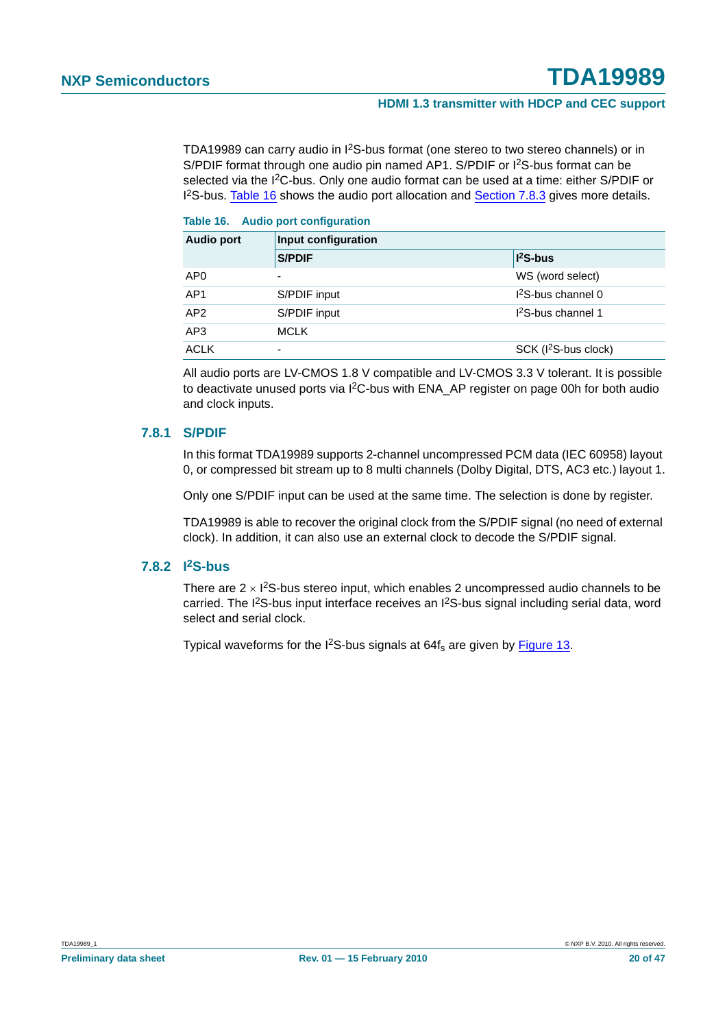TDA19989 can carry audio in I2S-bus format (one stereo to two stereo channels) or in S/PDIF format through one audio pin named AP1. S/PDIF or I<sup>2</sup>S-bus format can be selected via the I<sup>2</sup>C-bus. Only one audio format can be used at a time: either S/PDIF or 1<sup>2</sup>S-bus. Table 16 shows the audio port allocation and Section 7.8.3 gives more details.

| Table 16. |  | <b>Audio port configuration</b> |
|-----------|--|---------------------------------|
|           |  |                                 |

| <b>Audio port</b> | Input configuration |                                  |  |  |  |  |  |  |
|-------------------|---------------------|----------------------------------|--|--|--|--|--|--|
|                   | <b>S/PDIF</b>       | $ $ <sup>2</sup> S-bus           |  |  |  |  |  |  |
| AP <sub>0</sub>   | -                   | WS (word select)                 |  |  |  |  |  |  |
| AP <sub>1</sub>   | S/PDIF input        | $l^2$ S-bus channel 0            |  |  |  |  |  |  |
| AP2               | S/PDIF input        | $12S-bus channel 1$              |  |  |  |  |  |  |
| AP3               | <b>MCLK</b>         |                                  |  |  |  |  |  |  |
| <b>ACLK</b>       | -                   | SCK (I <sup>2</sup> S-bus clock) |  |  |  |  |  |  |

All audio ports are LV-CMOS 1.8 V compatible and LV-CMOS 3.3 V tolerant. It is possible to deactivate unused ports via I<sup>2</sup>C-bus with ENA\_AP register on page 00h for both audio and clock inputs.

#### **7.8.1 S/PDIF**

In this format TDA19989 supports 2-channel uncompressed PCM data (IEC 60958) layout 0, or compressed bit stream up to 8 multi channels (Dolby Digital, DTS, AC3 etc.) layout 1.

Only one S/PDIF input can be used at the same time. The selection is done by register.

TDA19989 is able to recover the original clock from the S/PDIF signal (no need of external clock). In addition, it can also use an external clock to decode the S/PDIF signal.

#### **7.8.2 I2S-bus**

There are  $2 \times 1^2$ S-bus stereo input, which enables 2 uncompressed audio channels to be carried. The I<sup>2</sup>S-bus input interface receives an I<sup>2</sup>S-bus signal including serial data, word select and serial clock.

Typical waveforms for the  $1^2$ S-bus signals at 64 $f_s$  are given by Figure 13.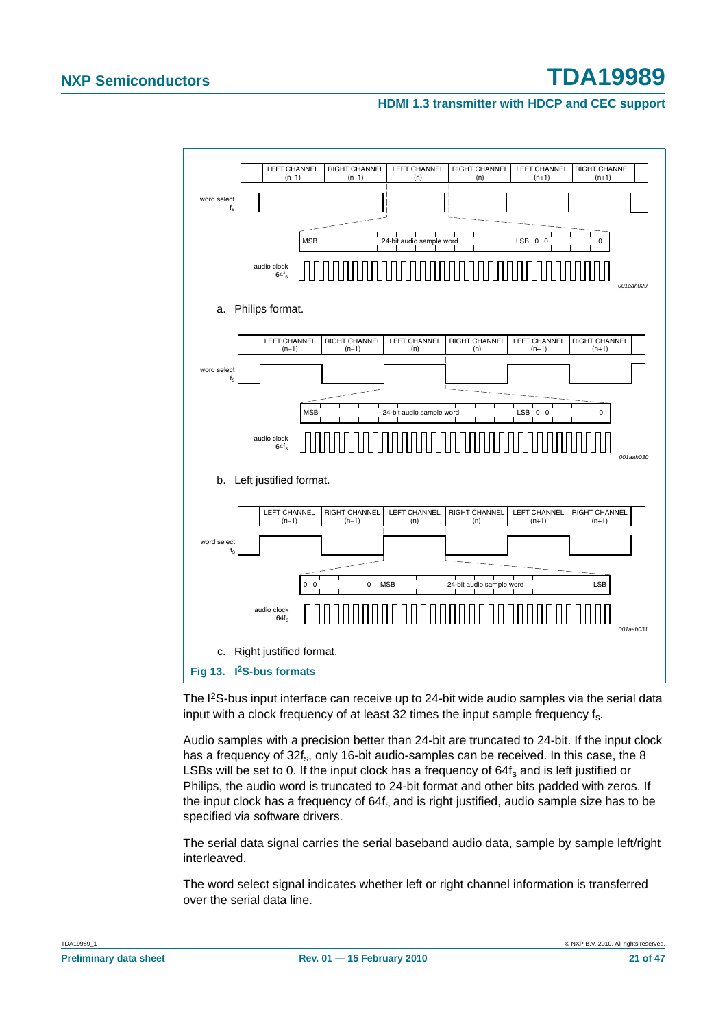**HDMI 1.3 transmitter with HDCP and CEC support**



The I<sup>2</sup>S-bus input interface can receive up to 24-bit wide audio samples via the serial data input with a clock frequency of at least 32 times the input sample frequency fs.

Audio samples with a precision better than 24-bit are truncated to 24-bit. If the input clock has a frequency of 32f<sub>s</sub>, only 16-bit audio-samples can be received. In this case, the 8 LSBs will be set to 0. If the input clock has a frequency of  $64f<sub>s</sub>$  and is left justified or Philips, the audio word is truncated to 24-bit format and other bits padded with zeros. If the input clock has a frequency of  $64f_s$  and is right justified, audio sample size has to be specified via software drivers.

The serial data signal carries the serial baseband audio data, sample by sample left/right interleaved.

The word select signal indicates whether left or right channel information is transferred over the serial data line.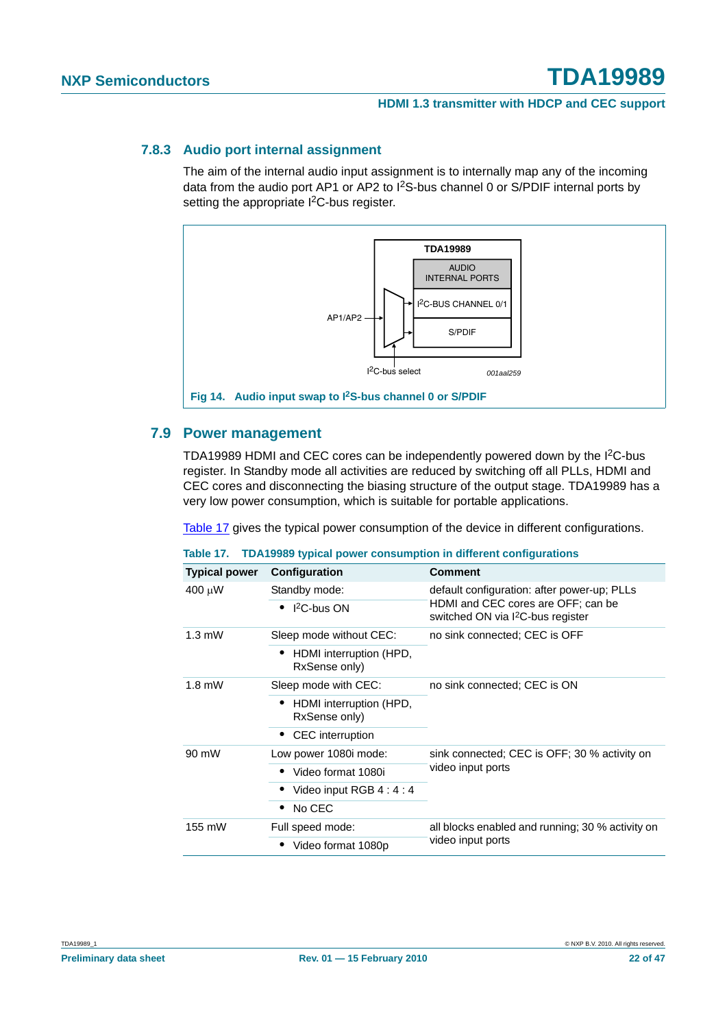#### **HDMI 1.3 transmitter with HDCP and CEC support**

#### **7.8.3 Audio port internal assignment**

The aim of the internal audio input assignment is to internally map any of the incoming data from the audio port AP1 or AP2 to I2S-bus channel 0 or S/PDIF internal ports by setting the appropriate I<sup>2</sup>C-bus register.



#### **7.9 Power management**

TDA19989 HDMI and CEC cores can be independently powered down by the I2C-bus register. In Standby mode all activities are reduced by switching off all PLLs, HDMI and CEC cores and disconnecting the biasing structure of the output stage. TDA19989 has a very low power consumption, which is suitable for portable applications.

Table 17 gives the typical power consumption of the device in different configurations.

|                      |                                          | Table 17. TDA19989 typical power consumption in different configurations            |  |  |  |
|----------------------|------------------------------------------|-------------------------------------------------------------------------------------|--|--|--|
| <b>Typical power</b> | Configuration                            | <b>Comment</b>                                                                      |  |  |  |
| 400 μW               | Standby mode:                            | default configuration: after power-up; PLLs                                         |  |  |  |
|                      | $\bullet$ 1 <sup>2</sup> C-bus ON        | HDMI and CEC cores are OFF; can be<br>switched ON via I <sup>2</sup> C-bus register |  |  |  |
| $1.3 \text{ mW}$     | Sleep mode without CEC:                  | no sink connected; CEC is OFF                                                       |  |  |  |
|                      | HDMI interruption (HPD,<br>RxSense only) |                                                                                     |  |  |  |
| $1.8$ mW             | Sleep mode with CEC:                     | no sink connected; CEC is ON                                                        |  |  |  |
|                      | HDMI interruption (HPD,<br>RxSense only) |                                                                                     |  |  |  |
|                      | • CEC interruption                       |                                                                                     |  |  |  |
| 90 mW                | Low power 1080i mode:                    | sink connected; CEC is OFF; 30 % activity on                                        |  |  |  |
|                      | • Video format 1080i                     | video input ports                                                                   |  |  |  |
|                      | Video input RGB 4 : 4 : 4                |                                                                                     |  |  |  |
|                      | No CEC                                   |                                                                                     |  |  |  |
| 155 mW               | Full speed mode:                         | all blocks enabled and running; 30 % activity on<br>video input ports               |  |  |  |
|                      | Video format 1080p                       |                                                                                     |  |  |  |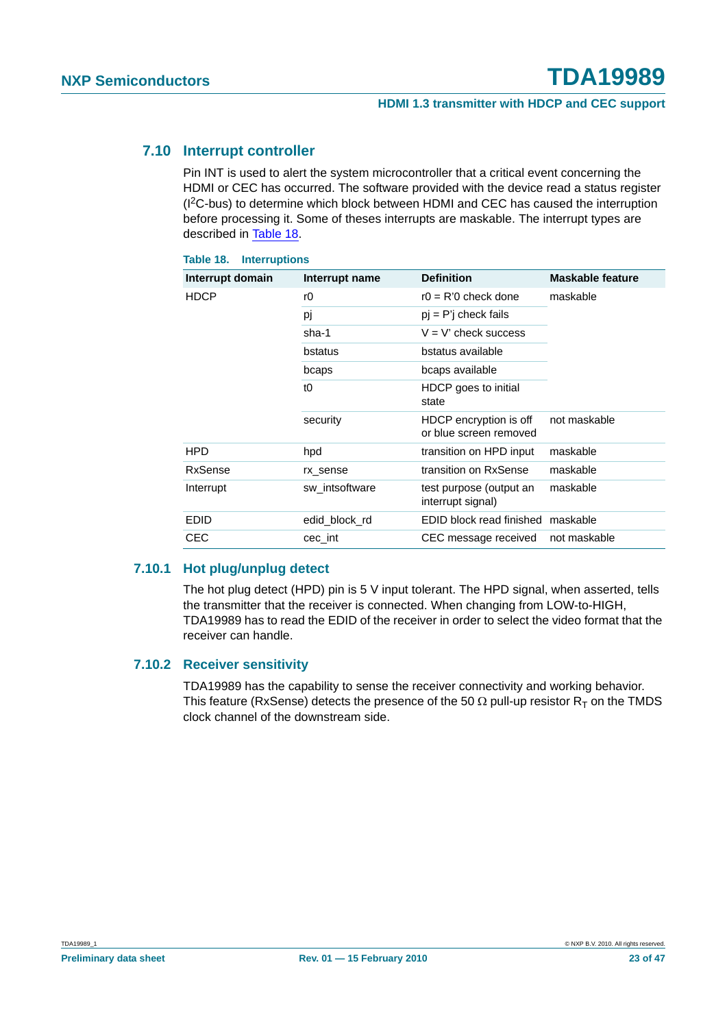#### **7.10 Interrupt controller**

Pin INT is used to alert the system microcontroller that a critical event concerning the HDMI or CEC has occurred. The software provided with the device read a status register (I2C-bus) to determine which block between HDMI and CEC has caused the interruption before processing it. Some of theses interrupts are maskable. The interrupt types are described in Table 18.

| <b>Table 18. Interruptions</b> |                |                                                  |                         |  |  |  |  |  |  |  |
|--------------------------------|----------------|--------------------------------------------------|-------------------------|--|--|--|--|--|--|--|
| Interrupt domain               | Interrupt name | <b>Definition</b>                                | <b>Maskable feature</b> |  |  |  |  |  |  |  |
| <b>HDCP</b>                    | rO             | $r0 = R'0$ check done                            | maskable                |  |  |  |  |  |  |  |
|                                | pj             | $pi = P'$ check fails                            |                         |  |  |  |  |  |  |  |
|                                | sha-1          | $V = V'$ check success                           |                         |  |  |  |  |  |  |  |
|                                | bstatus        | bstatus available                                |                         |  |  |  |  |  |  |  |
|                                | bcaps          | bcaps available                                  |                         |  |  |  |  |  |  |  |
|                                | t <sub>0</sub> | HDCP goes to initial<br>state                    |                         |  |  |  |  |  |  |  |
|                                | security       | HDCP encryption is off<br>or blue screen removed | not maskable            |  |  |  |  |  |  |  |
| <b>HPD</b>                     | hpd            | transition on HPD input                          | maskable                |  |  |  |  |  |  |  |
| RxSense                        | rx_sense       | transition on RxSense                            | maskable                |  |  |  |  |  |  |  |
| Interrupt                      | sw intsoftware | test purpose (output an<br>interrupt signal)     | maskable                |  |  |  |  |  |  |  |
| <b>EDID</b>                    | edid block rd  | EDID block read finished maskable                |                         |  |  |  |  |  |  |  |
| <b>CEC</b>                     | cec int        | CEC message received                             | not maskable            |  |  |  |  |  |  |  |

#### **7.10.1 Hot plug/unplug detect**

The hot plug detect (HPD) pin is 5 V input tolerant. The HPD signal, when asserted, tells the transmitter that the receiver is connected. When changing from LOW-to-HIGH, TDA19989 has to read the EDID of the receiver in order to select the video format that the receiver can handle.

#### **7.10.2 Receiver sensitivity**

TDA19989 has the capability to sense the receiver connectivity and working behavior. This feature (RxSense) detects the presence of the 50  $\Omega$  pull-up resistor R<sub>T</sub> on the TMDS clock channel of the downstream side.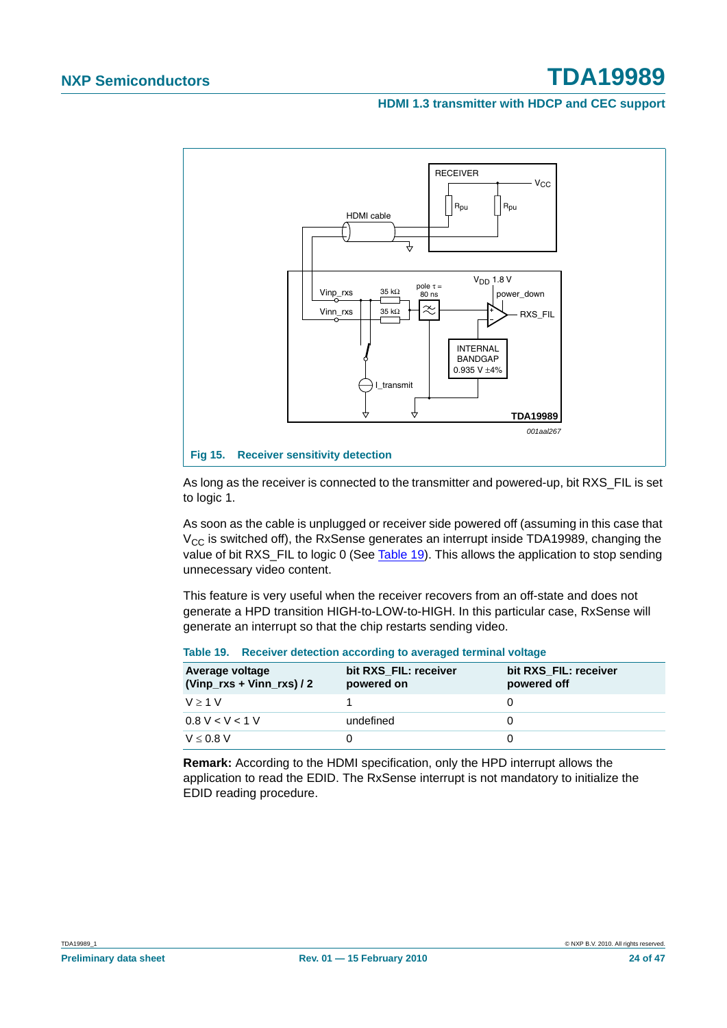**HDMI 1.3 transmitter with HDCP and CEC support**



As long as the receiver is connected to the transmitter and powered-up, bit RXS\_FIL is set to logic 1.

As soon as the cable is unplugged or receiver side powered off (assuming in this case that  $V_{CC}$  is switched off), the RxSense generates an interrupt inside TDA19989, changing the value of bit RXS FIL to logic 0 (See Table 19). This allows the application to stop sending unnecessary video content.

This feature is very useful when the receiver recovers from an off-state and does not generate a HPD transition HIGH-to-LOW-to-HIGH. In this particular case, RxSense will generate an interrupt so that the chip restarts sending video.

| Average voltage<br>$(Vinp_rxs + Vinn_rxs)/2$ | bit RXS FIL: receiver<br>powered on | bit RXS FIL: receiver<br>powered off |
|----------------------------------------------|-------------------------------------|--------------------------------------|
| $V > 1$ V                                    |                                     |                                      |
| 0.8 V < V < 1 V                              | undefined                           |                                      |
| $V \leq 0.8$ V                               |                                     |                                      |

#### **Table 19. Receiver detection according to averaged terminal voltage**

**Remark:** According to the HDMI specification, only the HPD interrupt allows the application to read the EDID. The RxSense interrupt is not mandatory to initialize the EDID reading procedure.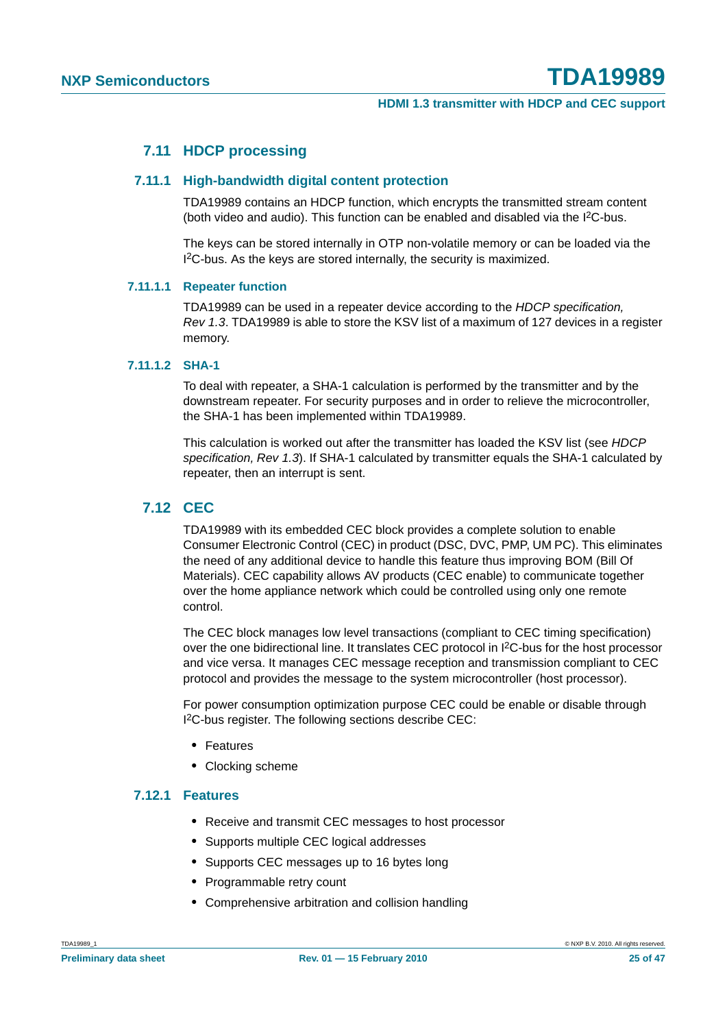#### **7.11 HDCP processing**

#### **7.11.1 High-bandwidth digital content protection**

TDA19989 contains an HDCP function, which encrypts the transmitted stream content (both video and audio). This function can be enabled and disabled via the I<sup>2</sup>C-bus.

The keys can be stored internally in OTP non-volatile memory or can be loaded via the I<sup>2</sup>C-bus. As the keys are stored internally, the security is maximized.

#### **7.11.1.1 Repeater function**

TDA19989 can be used in a repeater device according to the *HDCP specification, Rev 1.3*. TDA19989 is able to store the KSV list of a maximum of 127 devices in a register memory.

#### **7.11.1.2 SHA-1**

To deal with repeater, a SHA-1 calculation is performed by the transmitter and by the downstream repeater. For security purposes and in order to relieve the microcontroller, the SHA-1 has been implemented within TDA19989.

This calculation is worked out after the transmitter has loaded the KSV list (see *HDCP specification, Rev 1.3*). If SHA-1 calculated by transmitter equals the SHA-1 calculated by repeater, then an interrupt is sent.

#### **7.12 CEC**

TDA19989 with its embedded CEC block provides a complete solution to enable Consumer Electronic Control (CEC) in product (DSC, DVC, PMP, UM PC). This eliminates the need of any additional device to handle this feature thus improving BOM (Bill Of Materials). CEC capability allows AV products (CEC enable) to communicate together over the home appliance network which could be controlled using only one remote control.

The CEC block manages low level transactions (compliant to CEC timing specification) over the one bidirectional line. It translates CEC protocol in I2C-bus for the host processor and vice versa. It manages CEC message reception and transmission compliant to CEC protocol and provides the message to the system microcontroller (host processor).

For power consumption optimization purpose CEC could be enable or disable through I 2C-bus register. The following sections describe CEC:

- **•** Features
- **•** Clocking scheme

#### **7.12.1 Features**

- **•** Receive and transmit CEC messages to host processor
- **•** Supports multiple CEC logical addresses
- **•** Supports CEC messages up to 16 bytes long
- **•** Programmable retry count
- **•** Comprehensive arbitration and collision handling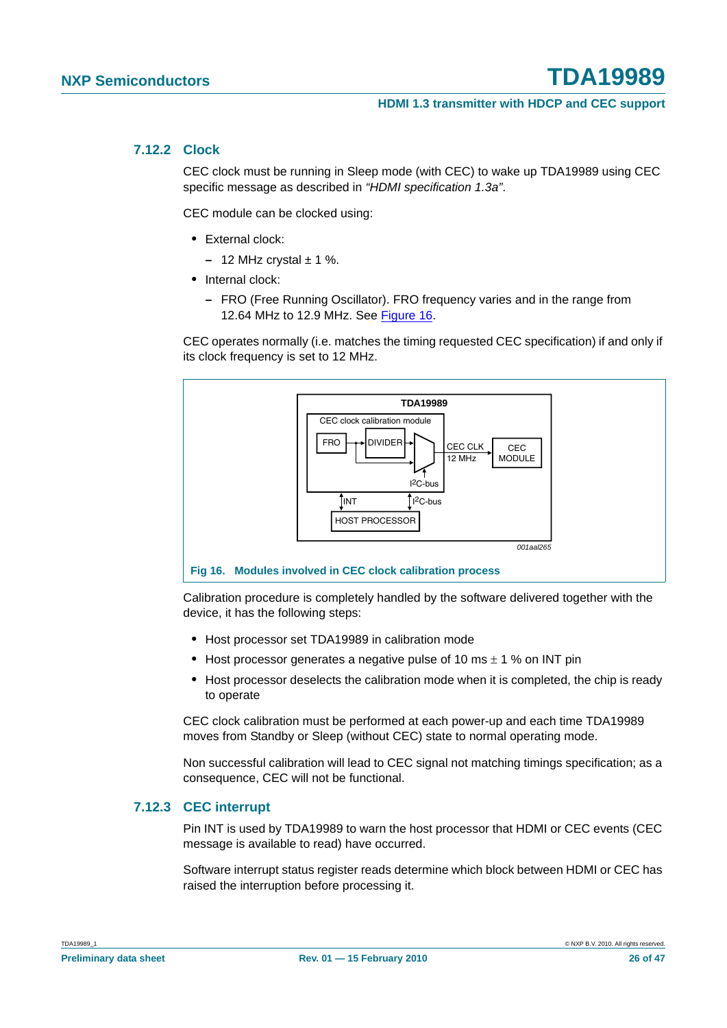#### **7.12.2 Clock**

CEC clock must be running in Sleep mode (with CEC) to wake up TDA19989 using CEC specific message as described in *"HDMI specification 1.3a"*.

CEC module can be clocked using:

- **•** External clock:
	- $-12$  MHz crystal  $\pm$  1 %.
- **•** Internal clock:
	- **–** FRO (Free Running Oscillator). FRO frequency varies and in the range from 12.64 MHz to 12.9 MHz. See Figure 16.

CEC operates normally (i.e. matches the timing requested CEC specification) if and only if its clock frequency is set to 12 MHz.



Calibration procedure is completely handled by the software delivered together with the device, it has the following steps:

- **•** Host processor set TDA19989 in calibration mode
- **•** Host processor generates a negative pulse of 10 ms ± 1 % on INT pin
- **•** Host processor deselects the calibration mode when it is completed, the chip is ready to operate

CEC clock calibration must be performed at each power-up and each time TDA19989 moves from Standby or Sleep (without CEC) state to normal operating mode.

Non successful calibration will lead to CEC signal not matching timings specification; as a consequence, CEC will not be functional.

#### **7.12.3 CEC interrupt**

Pin INT is used by TDA19989 to warn the host processor that HDMI or CEC events (CEC message is available to read) have occurred.

Software interrupt status register reads determine which block between HDMI or CEC has raised the interruption before processing it.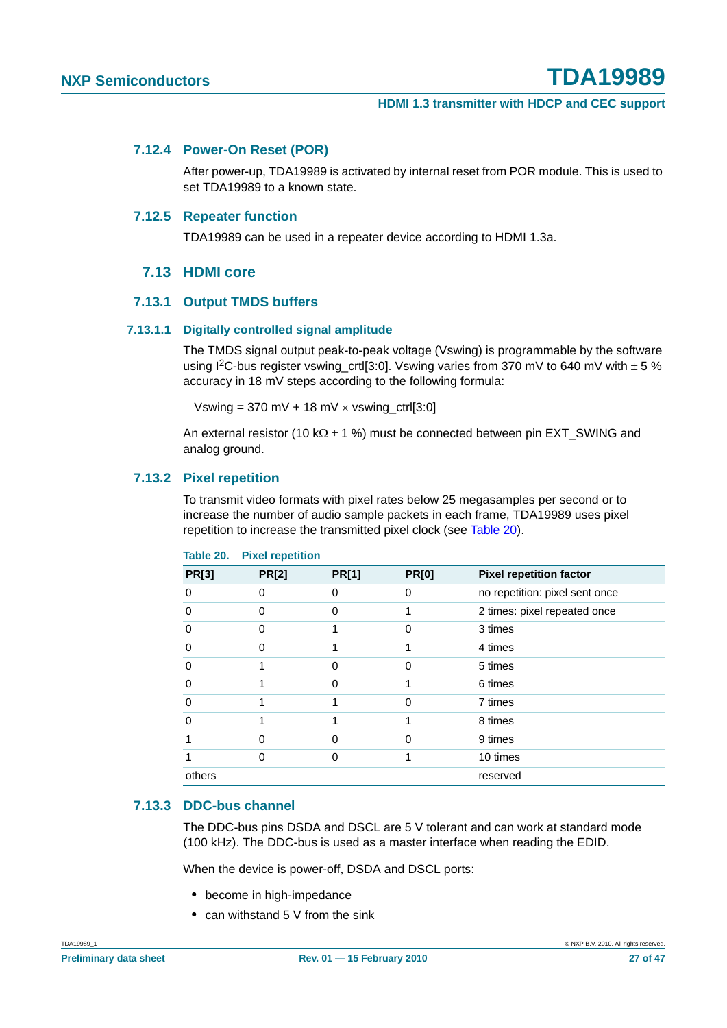#### **7.12.4 Power-On Reset (POR)**

After power-up, TDA19989 is activated by internal reset from POR module. This is used to set TDA19989 to a known state.

#### **7.12.5 Repeater function**

TDA19989 can be used in a repeater device according to HDMI 1.3a.

#### **7.13 HDMI core**

#### **7.13.1 Output TMDS buffers**

#### **7.13.1.1 Digitally controlled signal amplitude**

The TMDS signal output peak-to-peak voltage (Vswing) is programmable by the software using I<sup>2</sup>C-bus register vswing crtl[3:0]. Vswing varies from 370 mV to 640 mV with  $\pm$  5 % accuracy in 18 mV steps according to the following formula:

Vswing =  $370 \text{ mV} + 18 \text{ mV} \times \text{vswing\_ctrl}[3:0]$ 

An external resistor (10 k $\Omega$  ± 1 %) must be connected between pin EXT\_SWING and analog ground.

#### **7.13.2 Pixel repetition**

To transmit video formats with pixel rates below 25 megasamples per second or to increase the number of audio sample packets in each frame, TDA19989 uses pixel repetition to increase the transmitted pixel clock (see Table 20).

| <b>PR[3]</b> | <b>PR[2]</b> | <b>PR[1]</b> | <b>PR[0]</b> | <b>Pixel repetition factor</b> |
|--------------|--------------|--------------|--------------|--------------------------------|
| O            | O            | O            | 0            | no repetition: pixel sent once |
| 0            | O            | O            |              | 2 times: pixel repeated once   |
| 0            | O            |              | 0            | 3 times                        |
| 0            | 0            |              |              | 4 times                        |
| 0            |              | 0            | 0            | 5 times                        |
| 0            |              | 0            |              | 6 times                        |
| 0            |              |              | ი            | 7 times                        |
| O            |              |              |              | 8 times                        |
|              |              |              | ი            | 9 times                        |
|              | 0            | O            |              | 10 times                       |
| others       |              |              |              | reserved                       |

#### **Table 20. Pixel repetition**

#### **7.13.3 DDC-bus channel**

The DDC-bus pins DSDA and DSCL are 5 V tolerant and can work at standard mode (100 kHz). The DDC-bus is used as a master interface when reading the EDID.

When the device is power-off, DSDA and DSCL ports:

- **•** become in high-impedance
- **•** can withstand 5 V from the sink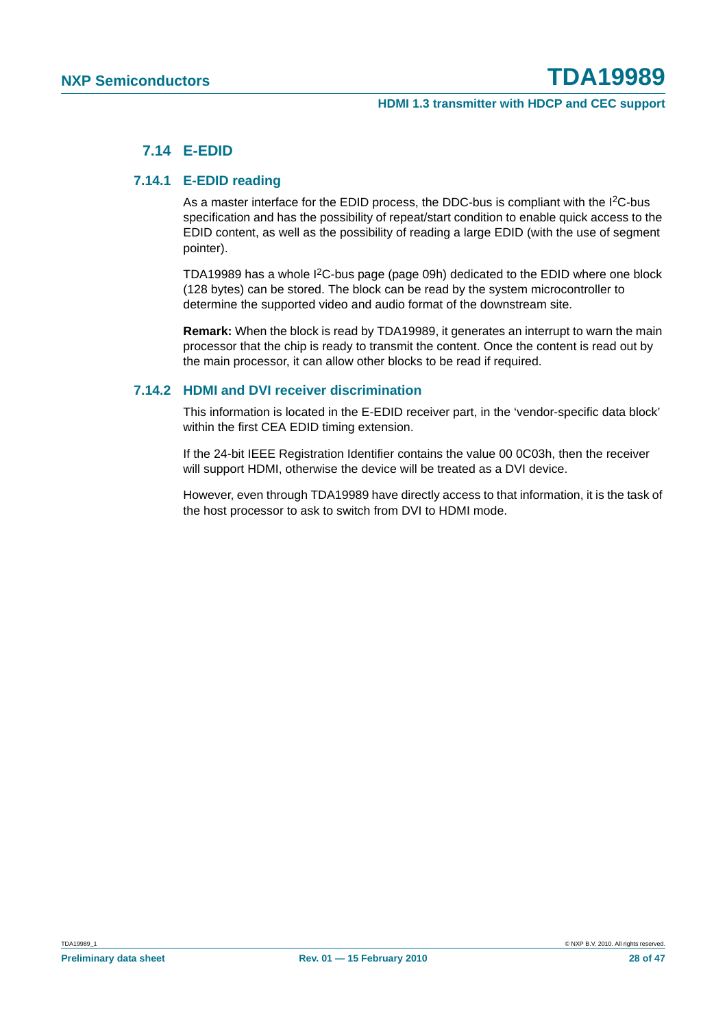#### **7.14 E-EDID**

#### **7.14.1 E-EDID reading**

As a master interface for the EDID process, the DDC-bus is compliant with the I<sup>2</sup>C-bus specification and has the possibility of repeat/start condition to enable quick access to the EDID content, as well as the possibility of reading a large EDID (with the use of segment pointer).

TDA19989 has a whole I2C-bus page (page 09h) dedicated to the EDID where one block (128 bytes) can be stored. The block can be read by the system microcontroller to determine the supported video and audio format of the downstream site.

**Remark:** When the block is read by TDA19989, it generates an interrupt to warn the main processor that the chip is ready to transmit the content. Once the content is read out by the main processor, it can allow other blocks to be read if required.

#### **7.14.2 HDMI and DVI receiver discrimination**

This information is located in the E-EDID receiver part, in the 'vendor-specific data block' within the first CEA EDID timing extension.

If the 24-bit IEEE Registration Identifier contains the value 00 0C03h, then the receiver will support HDMI, otherwise the device will be treated as a DVI device.

However, even through TDA19989 have directly access to that information, it is the task of the host processor to ask to switch from DVI to HDMI mode.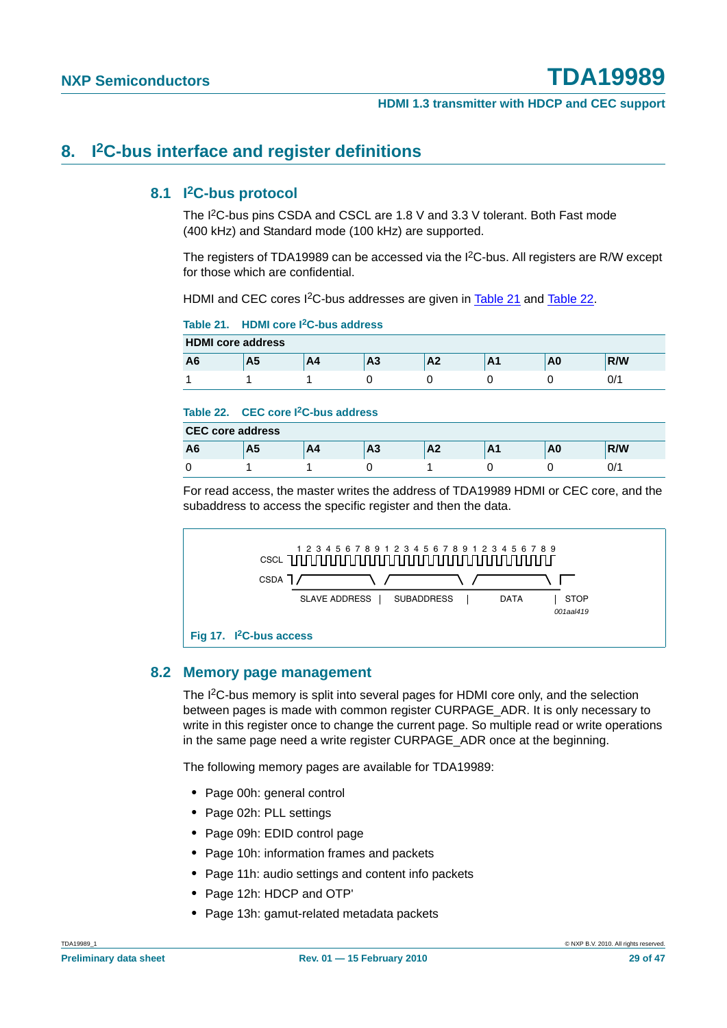#### **8. I2C-bus interface and register definitions**

#### **8.1 I2C-bus protocol**

The I2C-bus pins CSDA and CSCL are 1.8 V and 3.3 V tolerant. Both Fast mode (400 kHz) and Standard mode (100 kHz) are supported.

The registers of TDA19989 can be accessed via the I<sup>2</sup>C-bus. All registers are R/W except for those which are confidential.

HDMI and CEC cores I<sup>2</sup>C-bus addresses are given in Table 21 and Table 22.

**Table 21. HDMI core I2C-bus address**

| <b>HDMI</b> core address |         |    |    |                     |              |    |     |  |  |
|--------------------------|---------|----|----|---------------------|--------------|----|-----|--|--|
| A6                       | л<br>ma | A4 | А3 | $\mathbf{A}$<br>ЛÆ. | $\mathbf{r}$ | ΑU | R/W |  |  |
|                          |         |    |    |                     |              |    | U/1 |  |  |

#### **Table 22. CEC core I2C-bus address**

| <b>CEC core address</b> |    |    |   |                 |         |    |     |  |
|-------------------------|----|----|---|-----------------|---------|----|-----|--|
| A6                      | A5 | A4 | ⊶ | $\Lambda$<br>mΖ | n<br>лı | nu | R/W |  |
|                         |    |    |   |                 |         |    | ^/0 |  |

For read access, the master writes the address of TDA19989 HDMI or CEC core, and the subaddress to access the specific register and then the data.



#### **8.2 Memory page management**

The I2C-bus memory is split into several pages for HDMI core only, and the selection between pages is made with common register CURPAGE\_ADR. It is only necessary to write in this register once to change the current page. So multiple read or write operations in the same page need a write register CURPAGE\_ADR once at the beginning.

The following memory pages are available for TDA19989:

- **•** Page 00h: general control
- **•** Page 02h: PLL settings
- **•** Page 09h: EDID control page
- **•** Page 10h: information frames and packets
- **•** Page 11h: audio settings and content info packets
- **•** Page 12h: HDCP and OTP'
- **•** Page 13h: gamut-related metadata packets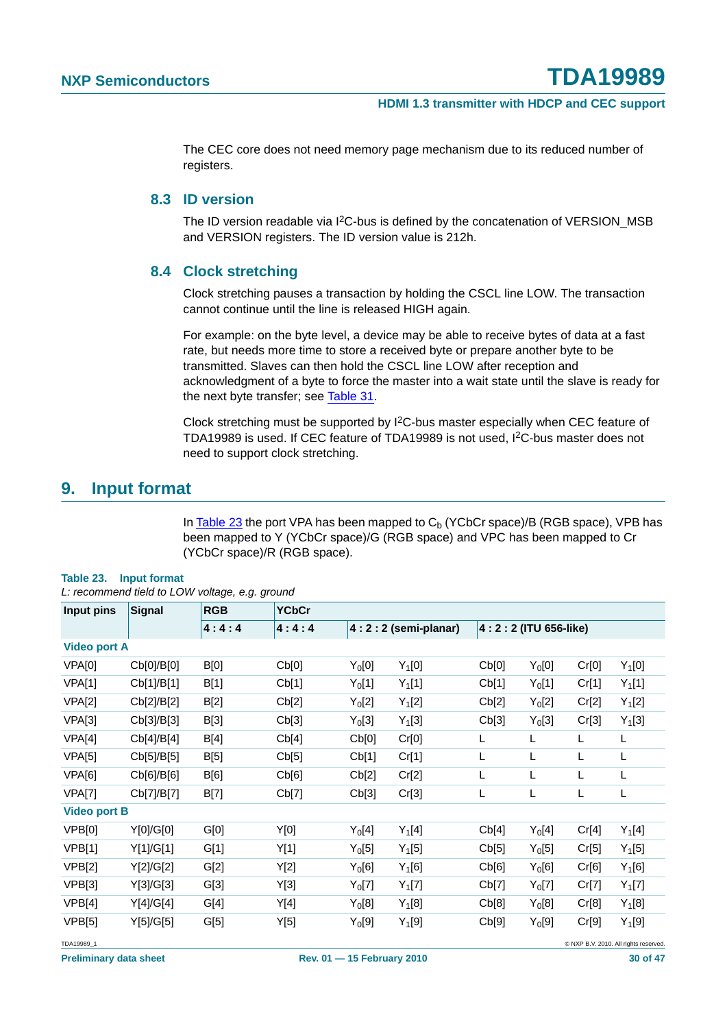The CEC core does not need memory page mechanism due to its reduced number of registers.

#### **8.3 ID version**

The ID version readable via I<sup>2</sup>C-bus is defined by the concatenation of VERSION\_MSB and VERSION registers. The ID version value is 212h.

#### **8.4 Clock stretching**

Clock stretching pauses a transaction by holding the CSCL line LOW. The transaction cannot continue until the line is released HIGH again.

For example: on the byte level, a device may be able to receive bytes of data at a fast rate, but needs more time to store a received byte or prepare another byte to be transmitted. Slaves can then hold the CSCL line LOW after reception and acknowledgment of a byte to force the master into a wait state until the slave is ready for the next byte transfer; see Table 31.

Clock stretching must be supported by I2C-bus master especially when CEC feature of TDA19989 is used. If CEC feature of TDA19989 is not used, I2C-bus master does not need to support clock stretching.

#### **9. Input format**

In Table 23 the port VPA has been mapped to  $C<sub>b</sub>$  (YCbCr space)/B (RGB space), VPB has been mapped to Y (YCbCr space)/G (RGB space) and VPC has been mapped to Cr (YCbCr space)/R (RGB space).

|                     | L: recommena tiela to LOW voltage, e.g. grouna |             |              |                    |                       |                          |                    |       |          |  |  |
|---------------------|------------------------------------------------|-------------|--------------|--------------------|-----------------------|--------------------------|--------------------|-------|----------|--|--|
| Input pins          | <b>Signal</b>                                  | <b>RGB</b>  | <b>YCbCr</b> |                    |                       |                          |                    |       |          |  |  |
|                     |                                                | 4:4:4       | 4:4:4        |                    | $4:2:2$ (semi-planar) | 4 : 2 : 2 (ITU 656-like) |                    |       |          |  |  |
| <b>Video port A</b> |                                                |             |              |                    |                       |                          |                    |       |          |  |  |
| VPA[0]              | Cb[0]/B[0]                                     | <b>B[0]</b> | Cb[0]        | $Y_0[0]$           | $Y_1[0]$              | Cb[0]                    | $Y_0[0]$           | Cr[0] | $Y_1[0]$ |  |  |
| VPA[1]              | Cb[1]/B[1]                                     | B[1]        | Cb[1]        | $Y_0[1]$           | $Y_1[1]$              | Cb[1]                    | $Y_0[1]$           | Cr[1] | $Y_1[1]$ |  |  |
| VPA[2]              | Cb[2]/B[2]                                     | B[2]        | Cb[2]        | Y <sub>0</sub> [2] | $Y_1[2]$              | Cb[2]                    | Y <sub>0</sub> [2] | Cr[2] | $Y_1[2]$ |  |  |
| VPA[3]              | Cb[3]/B[3]                                     | B[3]        | Cb[3]        | Y <sub>0</sub> [3] | $Y_1[3]$              | Cb[3]                    | Y <sub>0</sub> [3] | Cr[3] | $Y_1[3]$ |  |  |
| VPA[4]              | Cb[4]/B[4]                                     | B[4]        | Cb[4]        | Cb[0]              | Cr[0]                 | L                        | L                  | L     | L        |  |  |
| VPA[5]              | Cb[5]/B[5]                                     | B[5]        | Cb[5]        | Cb[1]              | Cr[1]                 | L                        | L                  | L     | L        |  |  |
| VPA[6]              | Cb[6]/B[6]                                     | B[6]        | Cb[6]        | Cb[2]              | Cr[2]                 | Г                        | L                  | L     | L        |  |  |
| VPA[7]              | Cb[7]/B[7]                                     | B[7]        | Cb[7]        | Cb[3]              | Cr[3]                 | L                        | L                  | L     | L        |  |  |
| <b>Video port B</b> |                                                |             |              |                    |                       |                          |                    |       |          |  |  |
| VPB[0]              | Y[0]/G[0]                                      | G[0]        | Y[0]         | $Y_0[4]$           | $Y_1[4]$              | Cb[4]                    | $Y_0[4]$           | Cr[4] | $Y_1[4]$ |  |  |
| <b>VPB[1]</b>       | Y[1]/G[1]                                      | G[1]        | Y[1]         | $Y_0[5]$           | $Y_1[5]$              | Cb[5]                    | $Y_0[5]$           | Cr[5] | $Y_1[5]$ |  |  |
| <b>VPB[2]</b>       | Y[2]/G[2]                                      | G[2]        | Y[2]         | $Y_0[6]$           | $Y_1[6]$              | Cb[6]                    | $Y_0[6]$           | Cr[6] | $Y_1[6]$ |  |  |
| VPB[3]              | Y[3]/G[3]                                      | G[3]        | Y[3]         | $Y_0[7]$           | $Y_1[7]$              | Cb[7]                    | $Y_0[7]$           | Cr[7] | $Y_1[7]$ |  |  |
| VPB[4]              | Y[4]/G[4]                                      | G[4]        | Y[4]         | $Y_0[8]$           | $Y_1[8]$              | Cb[8]                    | $Y_0[8]$           | Cr[8] | $Y_1[8]$ |  |  |
| VPB[5]              | Y[5]/G[5]                                      | G[5]        | Y[5]         | Y <sub>0</sub> [9] | $Y_1[9]$              | Cb[9]                    | Y <sub>0</sub> [9] | Cr[9] | $Y_1[9]$ |  |  |

#### **Table 23. Input format**

*L: recommend tield to LOW voltage, e.g. ground*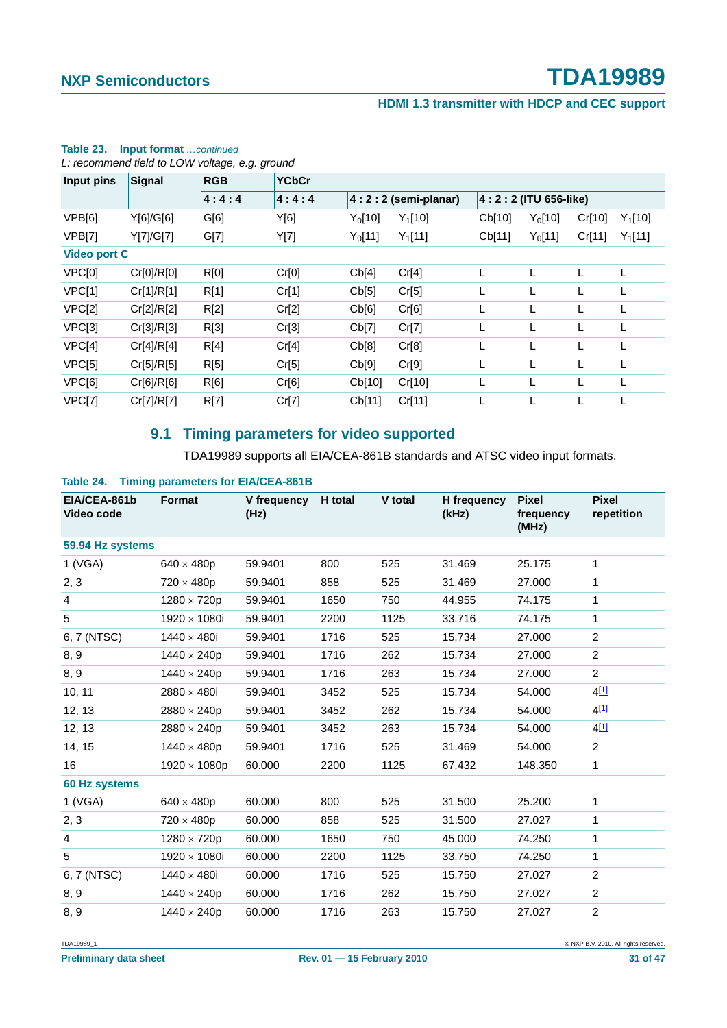#### **HDMI 1.3 transmitter with HDCP and CEC support**

| L: recommend tield to LOW voltage, e.g. ground |            |            |              |                       |           |                          |           |        |           |
|------------------------------------------------|------------|------------|--------------|-----------------------|-----------|--------------------------|-----------|--------|-----------|
| Input pins                                     | Signal     | <b>RGB</b> | <b>YCbCr</b> |                       |           |                          |           |        |           |
|                                                |            | 4:4:4      | 4:4:4        | $4:2:2$ (semi-planar) |           | 4 : 2 : 2 (ITU 656-like) |           |        |           |
| VPB[6]                                         | Y[6]/G[6]  | G[6]       | Y[6]         | $Y_0$ [10]            | $Y_1[10]$ | Cb[10]                   | $Y_0[10]$ | Cr[10] | $Y_1[10]$ |
| VPB[7]                                         | Y[7]/G[7]  | G[7]       | Y[7]         | $Y_0$ [11]            | $Y_1[11]$ | Cb[11]                   | $Y_0[11]$ | Cr[11] | $Y_1[11]$ |
| <b>Video port C</b>                            |            |            |              |                       |           |                          |           |        |           |
| VPC[0]                                         | Cr[0]/R[0] | R[0]       | Cr[0]        | Cb[4]                 | Cr[4]     |                          | L         | L      | L         |
| VPC[1]                                         | Cr[1]/R[1] | R[1]       | Cr[1]        | Cb[5]                 | Cr[5]     |                          |           |        |           |
| VPC[2]                                         | Cr[2]/R[2] | R[2]       | Cr[2]        | Cb[6]                 | Cr[6]     | L                        |           |        | L         |
| VPC[3]                                         | Cr[3]/R[3] | R[3]       | Cr[3]        | Cb[7]                 | Cr[7]     | L                        | L         | L      |           |
| VPC[4]                                         | Cr[4]/R[4] | R[4]       | Cr[4]        | Cb[8]                 | Cr[8]     |                          | L         |        |           |
| VPC[5]                                         | Cr[5]/R[5] | R[5]       | Cr[5]        | Cb[9]                 | Cr[9]     | L                        |           |        | L         |
| VPC[6]                                         | Cr[6]/R[6] | R[6]       | Cr[6]        | Cb[10]                | Cr[10]    | L                        | L         | L      |           |
| VPC[7]                                         | Cr[7]/R[7] | R[7]       | Cr[7]        | Cb[11]                | Cr[11]    |                          | L         |        | L         |

### **Table 23. Input format** *…continued*

#### **9.1 Timing parameters for video supported**

TDA19989 supports all EIA/CEA-861B standards and ATSC video input formats.

| $\sim$                     |                     |                             |      |         |                      |                                    |                            |  |  |
|----------------------------|---------------------|-----------------------------|------|---------|----------------------|------------------------------------|----------------------------|--|--|
| EIA/CEA-861b<br>Video code | Format              | V frequency H total<br>(Hz) |      | V total | H frequency<br>(kHz) | <b>Pixel</b><br>frequency<br>(MHz) | <b>Pixel</b><br>repetition |  |  |
| 59.94 Hz systems           |                     |                             |      |         |                      |                                    |                            |  |  |
| 1 (VGA)                    | $640 \times 480p$   | 59.9401                     | 800  | 525     | 31.469               | 25.175                             | 1                          |  |  |
| 2, 3                       | $720 \times 480p$   | 59.9401                     | 858  | 525     | 31.469               | 27.000                             | $\mathbf{1}$               |  |  |
| $\overline{4}$             | $1280 \times 720p$  | 59.9401                     | 1650 | 750     | 44.955               | 74.175                             | 1                          |  |  |
| 5                          | 1920 $\times$ 1080i | 59.9401                     | 2200 | 1125    | 33.716               | 74.175                             | 1                          |  |  |
| 6, 7 (NTSC)                | $1440 \times 480i$  | 59.9401                     | 1716 | 525     | 15.734               | 27,000                             | $\overline{2}$             |  |  |
| 8, 9                       | $1440 \times 240p$  | 59.9401                     | 1716 | 262     | 15.734               | 27.000                             | $\overline{c}$             |  |  |
| 8, 9                       | $1440 \times 240p$  | 59.9401                     | 1716 | 263     | 15.734               | 27,000                             | 2                          |  |  |
| 10, 11                     | 2880 $\times$ 480i  | 59.9401                     | 3452 | 525     | 15.734               | 54.000                             | 4[1]                       |  |  |
| 12, 13                     | $2880 \times 240p$  | 59.9401                     | 3452 | 262     | 15.734               | 54.000                             | 4 <sup>[1]</sup>           |  |  |
| 12, 13                     | $2880 \times 240p$  | 59.9401                     | 3452 | 263     | 15.734               | 54.000                             | 4[1]                       |  |  |
| 14, 15                     | $1440 \times 480p$  | 59.9401                     | 1716 | 525     | 31.469               | 54.000                             | $\overline{c}$             |  |  |
| 16                         | $1920 \times 1080p$ | 60.000                      | 2200 | 1125    | 67.432               | 148.350                            | 1                          |  |  |
| 60 Hz systems              |                     |                             |      |         |                      |                                    |                            |  |  |
| 1 (VGA)                    | $640 \times 480p$   | 60.000                      | 800  | 525     | 31.500               | 25.200                             | 1                          |  |  |
| 2, 3                       | $720 \times 480p$   | 60.000                      | 858  | 525     | 31.500               | 27.027                             | $\mathbf{1}$               |  |  |
| $\overline{4}$             | $1280 \times 720p$  | 60.000                      | 1650 | 750     | 45.000               | 74.250                             | $\mathbf{1}$               |  |  |
| 5                          | 1920 × 1080i        | 60.000                      | 2200 | 1125    | 33.750               | 74.250                             | 1                          |  |  |
| 6, 7 (NTSC)                | $1440 \times 480i$  | 60.000                      | 1716 | 525     | 15.750               | 27.027                             | 2                          |  |  |
| 8, 9                       | $1440 \times 240p$  | 60.000                      | 1716 | 262     | 15.750               | 27.027                             | $\overline{c}$             |  |  |
| 8, 9                       | $1440 \times 240p$  | 60.000                      | 1716 | 263     | 15.750               | 27.027                             | $\overline{c}$             |  |  |

#### **Table 24. Timing parameters for EIA/CEA-861B**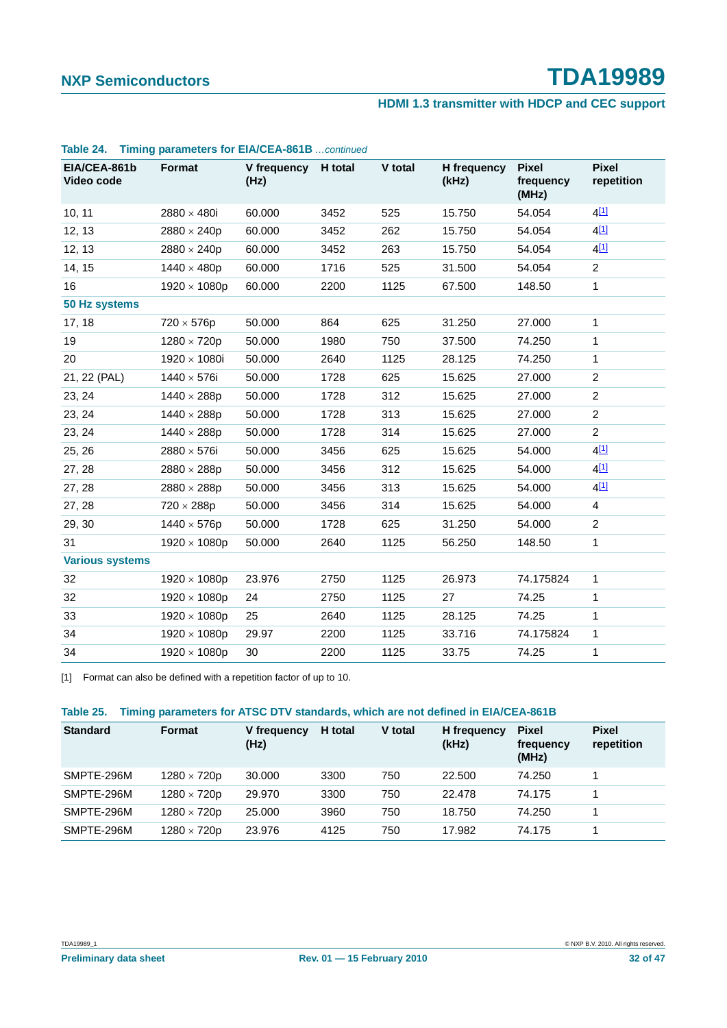#### **HDMI 1.3 transmitter with HDCP and CEC support**

| EIA/CEA-861b<br>Video code | Format              | V frequency H total<br>(Hz) |      | V total | H frequency<br>(kHz) | <b>Pixel</b><br>frequency<br>(MHz) | <b>Pixel</b><br>repetition |
|----------------------------|---------------------|-----------------------------|------|---------|----------------------|------------------------------------|----------------------------|
| 10, 11                     | 2880 $\times$ 480i  | 60.000                      | 3452 | 525     | 15.750               | 54.054                             | 4[1]                       |
| 12, 13                     | $2880 \times 240p$  | 60.000                      | 3452 | 262     | 15.750               | 54.054                             | 4[1]                       |
| 12, 13                     | $2880 \times 240p$  | 60.000                      | 3452 | 263     | 15.750               | 54.054                             | 4[1]                       |
| 14, 15                     | $1440 \times 480p$  | 60.000                      | 1716 | 525     | 31.500               | 54.054                             | $\overline{2}$             |
| 16                         | $1920 \times 1080p$ | 60.000                      | 2200 | 1125    | 67.500               | 148.50                             | $\mathbf{1}$               |
| 50 Hz systems              |                     |                             |      |         |                      |                                    |                            |
| 17, 18                     | $720 \times 576p$   | 50.000                      | 864  | 625     | 31.250               | 27.000                             | $\mathbf{1}$               |
| 19                         | $1280 \times 720p$  | 50.000                      | 1980 | 750     | 37.500               | 74.250                             | 1                          |
| 20                         | 1920 × 1080i        | 50.000                      | 2640 | 1125    | 28.125               | 74.250                             | 1                          |
| 21, 22 (PAL)               | $1440 \times 576i$  | 50.000                      | 1728 | 625     | 15.625               | 27.000                             | $\overline{c}$             |
| 23, 24                     | $1440 \times 288p$  | 50.000                      | 1728 | 312     | 15.625               | 27.000                             | $\overline{2}$             |
| 23, 24                     | $1440 \times 288p$  | 50.000                      | 1728 | 313     | 15.625               | 27,000                             | 2                          |
| 23, 24                     | $1440 \times 288p$  | 50.000                      | 1728 | 314     | 15.625               | 27.000                             | $\overline{2}$             |
| 25, 26                     | 2880 $\times$ 576i  | 50.000                      | 3456 | 625     | 15.625               | 54.000                             | 4 <sup>[1]</sup>           |
| 27, 28                     | $2880 \times 288p$  | 50.000                      | 3456 | 312     | 15.625               | 54.000                             | $4^{[1]}$                  |
| 27, 28                     | $2880 \times 288p$  | 50.000                      | 3456 | 313     | 15.625               | 54.000                             | $4^{[1]}$                  |
| 27, 28                     | $720 \times 288p$   | 50.000                      | 3456 | 314     | 15.625               | 54.000                             | $\overline{4}$             |
| 29, 30                     | $1440 \times 576p$  | 50.000                      | 1728 | 625     | 31.250               | 54.000                             | $\overline{2}$             |
| 31                         | $1920 \times 1080p$ | 50.000                      | 2640 | 1125    | 56.250               | 148.50                             | 1                          |
| <b>Various systems</b>     |                     |                             |      |         |                      |                                    |                            |
| 32                         | $1920 \times 1080p$ | 23.976                      | 2750 | 1125    | 26.973               | 74.175824                          | $\mathbf{1}$               |
| 32                         | $1920 \times 1080p$ | 24                          | 2750 | 1125    | 27                   | 74.25                              | 1                          |
| 33                         | $1920 \times 1080p$ | 25                          | 2640 | 1125    | 28.125               | 74.25                              | 1                          |
| 34                         | $1920 \times 1080p$ | 29.97                       | 2200 | 1125    | 33.716               | 74.175824                          | 1                          |
| 34                         | $1920 \times 1080p$ | 30                          | 2200 | 1125    | 33.75                | 74.25                              | 1                          |

#### **Table 24. Timing parameters for EIA/CEA-861B** *…continued*

[1] Format can also be defined with a repetition factor of up to 10.

#### **Table 25. Timing parameters for ATSC DTV standards, which are not defined in EIA/CEA-861B**

| <b>Standard</b> | <b>Format</b>      | V frequency<br>(Hz) | H total | V total | H frequency<br>(kHz) | <b>Pixel</b><br>frequency<br>(MHz) | <b>Pixel</b><br>repetition |
|-----------------|--------------------|---------------------|---------|---------|----------------------|------------------------------------|----------------------------|
| SMPTE-296M      | $1280 \times 720p$ | 30,000              | 3300    | 750     | 22.500               | 74.250                             |                            |
| SMPTE-296M      | $1280 \times 720p$ | 29.970              | 3300    | 750     | 22.478               | 74.175                             |                            |
| SMPTE-296M      | $1280 \times 720p$ | 25.000              | 3960    | 750     | 18.750               | 74.250                             |                            |
| SMPTE-296M      | $1280 \times 720p$ | 23.976              | 4125    | 750     | 17.982               | 74.175                             |                            |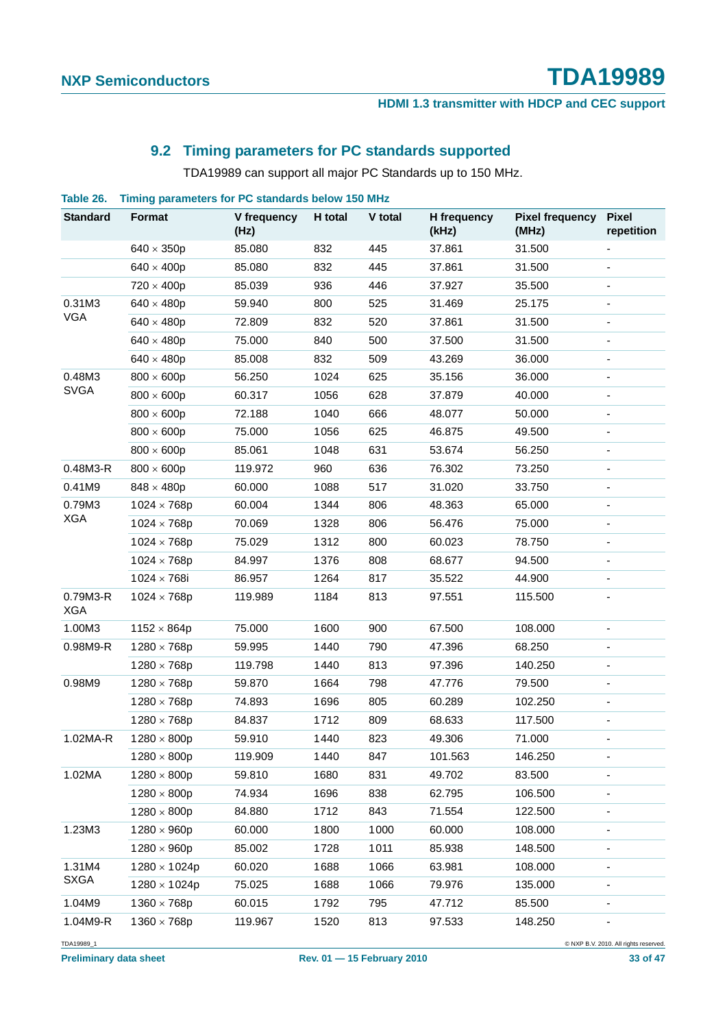#### **HDMI 1.3 transmitter with HDCP and CEC support**

#### **9.2 Timing parameters for PC standards supported**

TDA19989 can support all major PC Standards up to 150 MHz.

**Table 26. Timing parameters for PC standards below 150 MHz**

| <b>Standard</b>        | <b>Format</b>       | V frequency<br>(Hz) | H total | V total | H frequency<br>(kHz) | <b>Pixel frequency</b><br>(MHz) | <b>Pixel</b><br>repetition |
|------------------------|---------------------|---------------------|---------|---------|----------------------|---------------------------------|----------------------------|
|                        | $640 \times 350p$   | 85.080              | 832     | 445     | 37.861               | 31.500                          |                            |
|                        | $640 \times 400p$   | 85.080              | 832     | 445     | 37.861               | 31.500                          |                            |
|                        | $720 \times 400p$   | 85.039              | 936     | 446     | 37.927               | 35.500                          |                            |
| 0.31M3                 | $640 \times 480p$   | 59.940              | 800     | 525     | 31.469               | 25.175                          |                            |
| <b>VGA</b>             | $640 \times 480p$   | 72.809              | 832     | 520     | 37.861               | 31.500                          |                            |
|                        | $640 \times 480p$   | 75.000              | 840     | 500     | 37.500               | 31.500                          |                            |
|                        | $640 \times 480p$   | 85.008              | 832     | 509     | 43.269               | 36.000                          |                            |
| 0.48M3                 | $800 \times 600p$   | 56.250              | 1024    | 625     | 35.156               | 36.000                          |                            |
| <b>SVGA</b>            | $800 \times 600p$   | 60.317              | 1056    | 628     | 37.879               | 40.000                          |                            |
|                        | $800 \times 600p$   | 72.188              | 1040    | 666     | 48.077               | 50.000                          | $\overline{\phantom{0}}$   |
|                        | $800 \times 600p$   | 75.000              | 1056    | 625     | 46.875               | 49.500                          |                            |
|                        | $800 \times 600p$   | 85.061              | 1048    | 631     | 53.674               | 56.250                          |                            |
| 0.48M3-R               | $800 \times 600p$   | 119.972             | 960     | 636     | 76.302               | 73.250                          |                            |
| 0.41M9                 | $848 \times 480p$   | 60.000              | 1088    | 517     | 31.020               | 33.750                          |                            |
| 0.79M3                 | $1024 \times 768p$  | 60.004              | 1344    | 806     | 48.363               | 65.000                          |                            |
| <b>XGA</b>             | $1024 \times 768p$  | 70.069              | 1328    | 806     | 56.476               | 75.000                          |                            |
|                        | $1024 \times 768p$  | 75.029              | 1312    | 800     | 60.023               | 78.750                          |                            |
|                        | $1024 \times 768p$  | 84.997              | 1376    | 808     | 68.677               | 94.500                          |                            |
|                        | $1024 \times 768i$  | 86.957              | 1264    | 817     | 35.522               | 44.900                          |                            |
| 0.79M3-R<br><b>XGA</b> | $1024 \times 768p$  | 119.989             | 1184    | 813     | 97.551               | 115.500                         |                            |
| 1.00M3                 | $1152 \times 864p$  | 75.000              | 1600    | 900     | 67.500               | 108.000                         | $\blacksquare$             |
| 0.98M9-R               | $1280 \times 768p$  | 59.995              | 1440    | 790     | 47.396               | 68.250                          |                            |
|                        | $1280 \times 768p$  | 119.798             | 1440    | 813     | 97.396               | 140.250                         |                            |
| 0.98M9                 | $1280 \times 768p$  | 59.870              | 1664    | 798     | 47.776               | 79.500                          |                            |
|                        | $1280 \times 768p$  | 74.893              | 1696    | 805     | 60.289               | 102.250                         |                            |
|                        | $1280 \times 768p$  | 84.837              | 1712    | 809     | 68.633               | 117.500                         |                            |
| 1.02MA-R               | $1280 \times 800p$  | 59.910              | 1440    | 823     | 49.306               | 71.000                          |                            |
|                        | $1280 \times 800p$  | 119.909             | 1440    | 847     | 101.563              | 146.250                         |                            |
| 1.02MA                 | $1280 \times 800p$  | 59.810              | 1680    | 831     | 49.702               | 83.500                          |                            |
|                        | $1280 \times 800p$  | 74.934              | 1696    | 838     | 62.795               | 106.500                         |                            |
|                        | $1280 \times 800p$  | 84.880              | 1712    | 843     | 71.554               | 122.500                         |                            |
| 1.23M3                 | $1280 \times 960p$  | 60.000              | 1800    | 1000    | 60.000               | 108.000                         | $\overline{\phantom{a}}$   |
|                        | $1280 \times 960p$  | 85.002              | 1728    | 1011    | 85.938               | 148.500                         |                            |
| 1.31M4                 | $1280 \times 1024p$ | 60.020              | 1688    | 1066    | 63.981               | 108.000                         |                            |
| <b>SXGA</b>            | $1280 \times 1024p$ | 75.025              | 1688    | 1066    | 79.976               | 135.000                         |                            |
| 1.04M9                 | $1360 \times 768p$  | 60.015              | 1792    | 795     | 47.712               | 85.500                          |                            |
| 1.04M9-R               | $1360 \times 768p$  | 119.967             | 1520    | 813     | 97.533               | 148.250                         |                            |

TDA19989\_1 © NXP B.V. 2010. All rights reserved.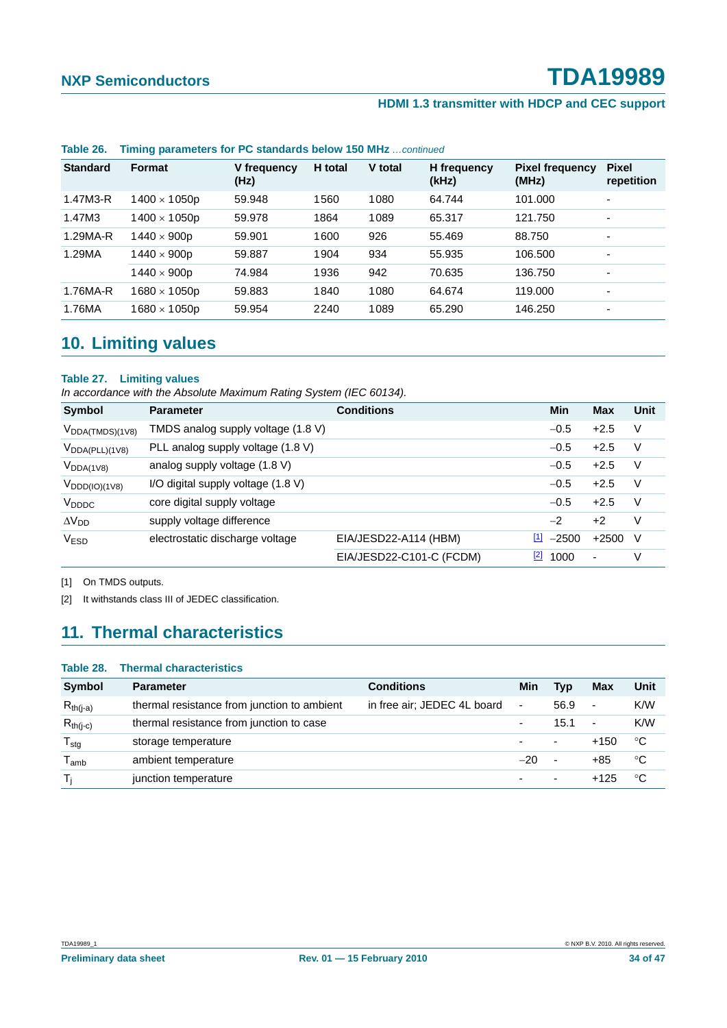#### **HDMI 1.3 transmitter with HDCP and CEC support**

| <b>Standard</b> | <b>Format</b>       | V frequency<br>(Hz) | H total | V total | H frequency<br>(kHz) | <b>Pixel frequency</b><br>(MHz) | <b>Pixel</b><br>repetition |
|-----------------|---------------------|---------------------|---------|---------|----------------------|---------------------------------|----------------------------|
| 1.47M3-R        | $1400 \times 1050p$ | 59.948              | 1560    | 1080    | 64.744               | 101.000                         | $\overline{\phantom{0}}$   |
| 1.47M3          | $1400 \times 1050p$ | 59.978              | 1864    | 1089    | 65.317               | 121.750                         | $\blacksquare$             |
| 1.29MA-R        | $1440 \times 900p$  | 59.901              | 1600    | 926     | 55.469               | 88.750                          | $\overline{\phantom{0}}$   |
| 1.29MA          | $1440 \times 900p$  | 59.887              | 1904    | 934     | 55.935               | 106.500                         | $\blacksquare$             |
|                 | $1440 \times 900p$  | 74.984              | 1936    | 942     | 70.635               | 136.750                         | $\blacksquare$             |
| 1.76MA-R        | $1680 \times 1050p$ | 59.883              | 1840    | 1080    | 64.674               | 119,000                         | $\overline{\phantom{0}}$   |
| 1.76MA          | $1680 \times 1050p$ | 59.954              | 2240    | 1089    | 65.290               | 146.250                         | $\blacksquare$             |
|                 |                     |                     |         |         |                      |                                 |                            |

#### **Table 26. Timing parameters for PC standards below 150 MHz** *…continued*

### **10. Limiting values**

#### **Table 27. Limiting values**

*In accordance with the Absolute Maximum Rating System (IEC 60134).*

| Symbol                    | <b>Parameter</b>                   | <b>Conditions</b>        | <b>Min</b>                                   | <b>Max</b>               | Unit   |
|---------------------------|------------------------------------|--------------------------|----------------------------------------------|--------------------------|--------|
| $V_{DDA(TMDS)(1V8)}$      | TMDS analog supply voltage (1.8 V) |                          | $-0.5$                                       | $+2.5$                   | $\vee$ |
| $V_{DDA(PLL)(1V8)}$       | PLL analog supply voltage (1.8 V)  |                          | $-0.5$                                       | $+2.5$                   | V      |
| $V_{DDA(1V8)}$            | analog supply voltage (1.8 V)      |                          | $-0.5$                                       | $+2.5$                   | V      |
| $V_{\text{DDD}(IO)(1V8)}$ | I/O digital supply voltage (1.8 V) |                          | $-0.5$                                       | $+2.5$                   | V      |
| V <sub>DDDC</sub>         | core digital supply voltage        |                          | $-0.5$                                       | $+2.5$                   | V      |
| $\Delta V_{DD}$           | supply voltage difference          |                          | $-2$                                         | $+2$                     | V      |
| <b>VESD</b>               | electrostatic discharge voltage    | EIA/JESD22-A114 (HBM)    | $\begin{bmatrix} 1 \end{bmatrix}$<br>$-2500$ | $+2500$                  | -V     |
|                           |                                    | EIA/JESD22-C101-C (FCDM) | $\boxed{2}$<br>1000                          | $\overline{\phantom{a}}$ | V      |

[1] On TMDS outputs.

[2] It withstands class III of JEDEC classification.

### **11. Thermal characteristics**

#### **Table 28. Thermal characteristics**

| <b>Symbol</b>              | <b>Parameter</b>                            | <b>Conditions</b>           | Min                      | <b>Typ</b>               | Max                      | Unit       |
|----------------------------|---------------------------------------------|-----------------------------|--------------------------|--------------------------|--------------------------|------------|
| $R_{th(j-a)}$              | thermal resistance from junction to ambient | in free air; JEDEC 4L board | ۰                        | 56.9                     | $\overline{\phantom{a}}$ | <b>K/W</b> |
| $R_{th(j-c)}$              | thermal resistance from junction to case    |                             | $\overline{\phantom{0}}$ | 15.1                     | ٠                        | K/W        |
| ${\mathsf T}_{\text{stg}}$ | storage temperature                         |                             | $\overline{\phantom{0}}$ | $\overline{\phantom{a}}$ | $+150$                   | °C         |
| <sup>l</sup> amb           | ambient temperature                         |                             | $-20$                    | $\overline{\phantom{0}}$ | $+85$                    | °C         |
| Ti                         | junction temperature                        |                             | $\overline{\phantom{0}}$ | $\overline{\phantom{a}}$ | $+125$                   | °C         |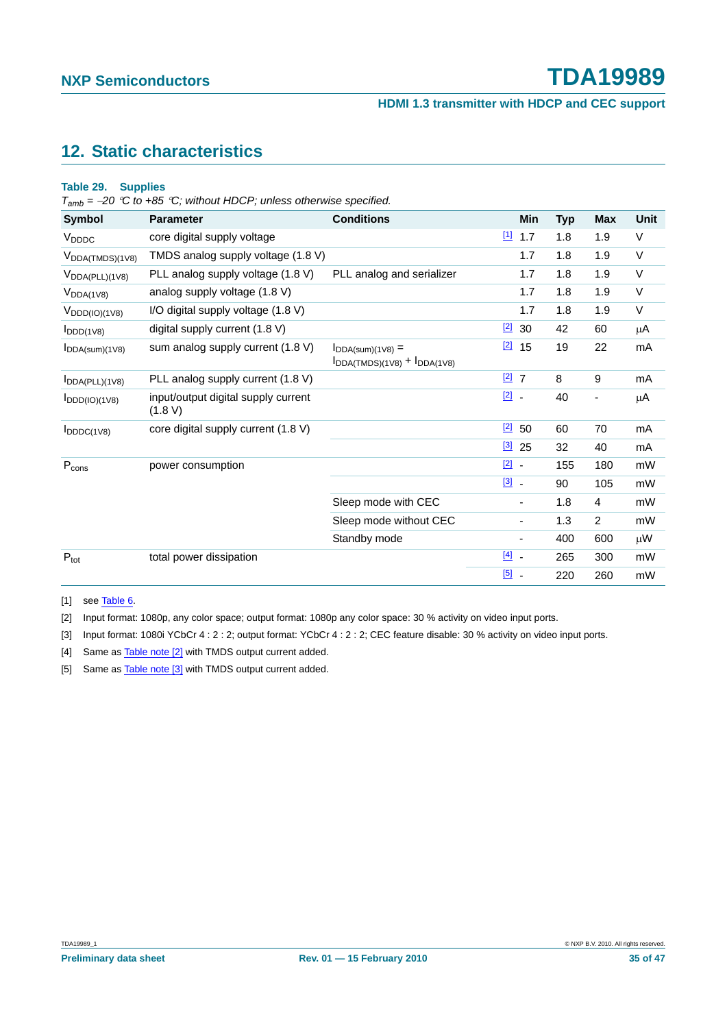**HDMI 1.3 transmitter with HDCP and CEC support**

#### **12. Static characteristics**

#### **Table 29. Supplies**

*Tamb =* <sup>−</sup>*20* °*C to +85* °*C; without HDCP; unless otherwise specified.*

| Symbol                       | <b>Parameter</b>                               | <b>Conditions</b>                                            |                                   | Min                      | <b>Typ</b> | Max                      | Unit    |
|------------------------------|------------------------------------------------|--------------------------------------------------------------|-----------------------------------|--------------------------|------------|--------------------------|---------|
| V <sub>DDDC</sub>            | core digital supply voltage                    |                                                              | $\boxed{1}$                       | 1.7                      | 1.8        | 1.9                      | V       |
| $V_{DDA(TMDS)(1V8)}$         | TMDS analog supply voltage (1.8 V)             |                                                              |                                   | 1.7                      | 1.8        | 1.9                      | V       |
| $V_{\text{DDA(PLL)}(1V8)}$   | PLL analog supply voltage (1.8 V)              | PLL analog and serializer                                    |                                   | 1.7                      | 1.8        | 1.9                      | V       |
| $V_{DDA(1V8)}$               | analog supply voltage (1.8 V)                  |                                                              |                                   | 1.7                      | 1.8        | 1.9                      | V       |
| $V_{\text{DDD}(IO)(1V8)}$    | I/O digital supply voltage (1.8 V)             |                                                              |                                   | 1.7                      | 1.8        | 1.9                      | V       |
| $I_{DDD(1V8)}$               | digital supply current (1.8 V)                 |                                                              | $[2]$                             | 30                       | 42         | 60                       | $\mu$ A |
| $I_{DDA(sum)(1V8)}$          | sum analog supply current (1.8 V)              | $I_{DDA(sum)(1V8)} =$<br>$I_{DDA(TMDS)(1V8)} + I_{DDA(1V8)}$ | $[2]$                             | 15                       | 19         | 22                       | mA      |
| IDDA(PLL)(1V8)               | PLL analog supply current (1.8 V)              |                                                              | $\boxed{2}$ 7                     |                          | 8          | 9                        | mA      |
| $I_{DDD(IO)(1V8)}$           | input/output digital supply current<br>(1.8 V) |                                                              | $\boxed{2}$ -                     |                          | 40         | $\overline{\phantom{a}}$ | $\mu$ A |
| $I_{DDDC(1V8)}$              | core digital supply current (1.8 V)            |                                                              | $\boxed{2}$                       | 50                       | 60         | 70                       | mA      |
|                              |                                                |                                                              | $\boxed{3}$                       | 25                       | 32         | 40                       | mA      |
| $\mathsf{P}_{\mathsf{cons}}$ | power consumption                              |                                                              | $\boxed{2}$ .                     |                          | 155        | 180                      | mW      |
|                              |                                                |                                                              | $\boxed{3}$ .                     |                          | 90         | 105                      | mW      |
|                              |                                                | Sleep mode with CEC                                          |                                   | $\overline{\phantom{a}}$ | 1.8        | 4                        | mW      |
|                              |                                                | Sleep mode without CEC                                       |                                   | $\overline{\phantom{a}}$ | 1.3        | $\overline{2}$           | mW      |
|                              |                                                | Standby mode                                                 |                                   | $\overline{\phantom{a}}$ | 400        | 600                      | μW      |
| $P_{\text{tot}}$             | total power dissipation                        |                                                              | $\begin{bmatrix} 4 \end{bmatrix}$ |                          | 265        | 300                      | mW      |
|                              |                                                |                                                              | $\boxed{5}$ .                     |                          | 220        | 260                      | mW      |

[1] see Table 6.

[2] Input format: 1080p, any color space; output format: 1080p any color space: 30 % activity on video input ports.

[3] Input format: 1080i YCbCr 4 : 2 : 2; output format: YCbCr 4 : 2 : 2; CEC feature disable: 30 % activity on video input ports.

[4] Same as Table note [2] with TMDS output current added.

[5] Same as **Table note [3]** with TMDS output current added.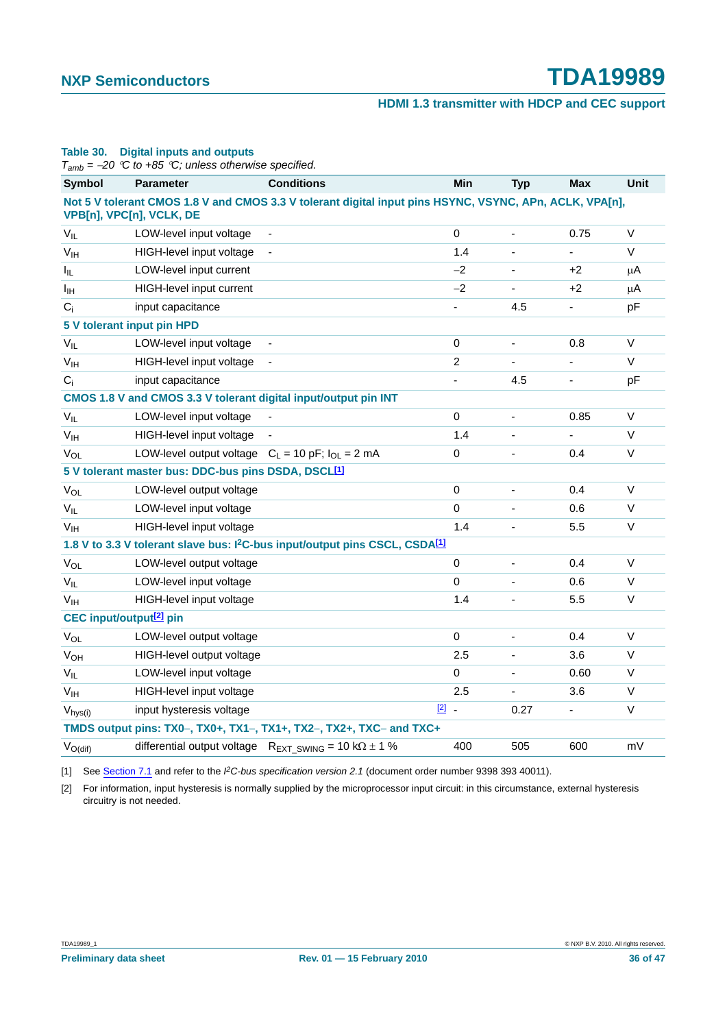#### **HDMI 1.3 transmitter with HDCP and CEC support**

|                                     | $T_{amb}$ = -20 °C to +85 °C; unless otherwise specified.       |                                                                                                         |                          |                          |            |         |
|-------------------------------------|-----------------------------------------------------------------|---------------------------------------------------------------------------------------------------------|--------------------------|--------------------------|------------|---------|
| <b>Symbol</b>                       | <b>Parameter</b>                                                | <b>Conditions</b>                                                                                       | Min                      | <b>Typ</b>               | <b>Max</b> | Unit    |
|                                     | VPB[n], VPC[n], VCLK, DE                                        | Not 5 V tolerant CMOS 1.8 V and CMOS 3.3 V tolerant digital input pins HSYNC, VSYNC, APn, ACLK, VPA[n], |                          |                          |            |         |
| $V_{IL}$                            | LOW-level input voltage                                         |                                                                                                         | $\mathbf 0$              | $\blacksquare$           | 0.75       | V       |
| V <sub>IH</sub>                     | HIGH-level input voltage                                        |                                                                                                         | 1.4                      |                          | ÷.         | V       |
| I <sub>IL</sub>                     | LOW-level input current                                         |                                                                                                         | $-2$                     |                          | +2         | $\mu$ A |
| I <sub>IH</sub>                     | HIGH-level input current                                        |                                                                                                         | $-2$                     | $\overline{\phantom{a}}$ | +2         | $\mu$ A |
| $C_i$                               | input capacitance                                               |                                                                                                         | $\overline{\phantom{a}}$ | 4.5                      | ٠          | pF      |
| 5 V tolerant input pin HPD          |                                                                 |                                                                                                         |                          |                          |            |         |
| $V_{IL}$                            | LOW-level input voltage                                         |                                                                                                         | $\pmb{0}$                | $\blacksquare$           | 0.8        | $\vee$  |
| V <sub>IH</sub>                     | HIGH-level input voltage                                        |                                                                                                         | 2                        |                          | -          | V       |
| $C_i$                               | input capacitance                                               |                                                                                                         | ä,                       | 4.5                      | ÷,         | pF      |
|                                     |                                                                 | CMOS 1.8 V and CMOS 3.3 V tolerant digital input/output pin INT                                         |                          |                          |            |         |
| $V_{IL}$                            | LOW-level input voltage                                         |                                                                                                         | 0                        | $\overline{\phantom{a}}$ | 0.85       | V       |
| V <sub>IH</sub>                     | HIGH-level input voltage                                        |                                                                                                         | 1.4                      |                          | ÷,         | V       |
| $V_{OL}$                            | LOW-level output voltage $C_L = 10$ pF; $I_{OL} = 2$ mA         |                                                                                                         | 0                        |                          | 0.4        | $\vee$  |
|                                     | 5 V tolerant master bus: DDC-bus pins DSDA, DSCL <sup>[1]</sup> |                                                                                                         |                          |                          |            |         |
| $V_{OL}$                            | LOW-level output voltage                                        |                                                                                                         | 0                        |                          | 0.4        | V       |
| $V_{IL}$                            | LOW-level input voltage                                         |                                                                                                         | $\mathbf 0$              |                          | 0.6        | V       |
| V <sub>IH</sub>                     | HIGH-level input voltage                                        |                                                                                                         | 1.4                      |                          | 5.5        | V       |
|                                     |                                                                 | 1.8 V to 3.3 V tolerant slave bus: I <sup>2</sup> C-bus input/output pins CSCL, CSDA <sup>[1]</sup>     |                          |                          |            |         |
| $V_{OL}$                            | LOW-level output voltage                                        |                                                                                                         | $\pmb{0}$                | $\overline{\phantom{a}}$ | 0.4        | V       |
| $V_{IL}$                            | LOW-level input voltage                                         |                                                                                                         | $\mathbf 0$              |                          | 0.6        | V       |
| V <sub>IH</sub>                     | HIGH-level input voltage                                        |                                                                                                         | 1.4                      |                          | 5.5        | $\sf V$ |
| CEC input/output <sup>[2]</sup> pin |                                                                 |                                                                                                         |                          |                          |            |         |
| $V_{OL}$                            | LOW-level output voltage                                        |                                                                                                         | $\mathbf 0$              |                          | 0.4        | V       |
| <b>V<sub>OH</sub></b>               | HIGH-level output voltage                                       |                                                                                                         | 2.5                      |                          | 3.6        | V       |
| $V_{IL}$                            | LOW-level input voltage                                         |                                                                                                         | $\pmb{0}$                |                          | 0.60       | V       |
| V <sub>IH</sub>                     | HIGH-level input voltage                                        |                                                                                                         | 2.5                      |                          | 3.6        | V       |
| $V_{hys(i)}$                        | input hysteresis voltage                                        | $\boxed{2}$ .                                                                                           |                          | 0.27                     |            | V       |
|                                     |                                                                 | TMDS output pins: TX0-, TX0+, TX1-, TX1+, TX2-, TX2+, TXC- and TXC+                                     |                          |                          |            |         |
| $V_{O(di)}$                         |                                                                 | differential output voltage $R_{EXT\_SWING} = 10 k\Omega \pm 1$ %                                       | 400                      | 505                      | 600        | mV      |

**Table 30. Digital inputs and outputs**

[1] See Section 7.1 and refer to the *I 2C-bus specification version 2.1* (document order number 9398 393 40011).

[2] For information, input hysteresis is normally supplied by the microprocessor input circuit: in this circumstance, external hysteresis circuitry is not needed.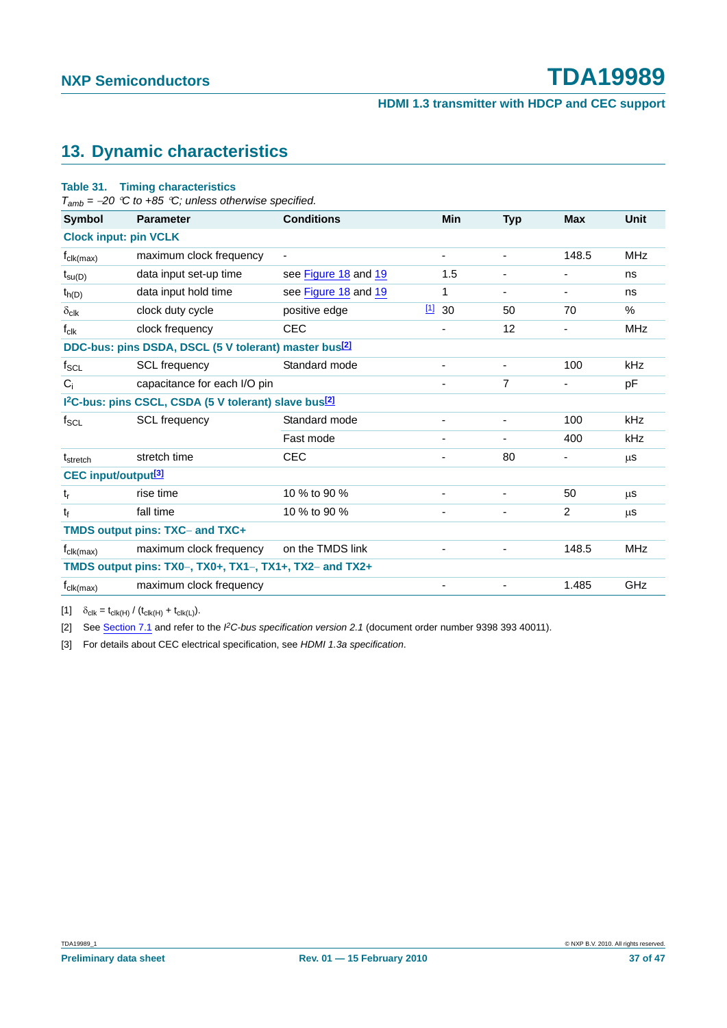#### **13. Dynamic characteristics**

#### **Table 31. Timing characteristics**

*Tamb =* <sup>−</sup>*20* °*C to +85* °*C; unless otherwise specified.*

| Symbol                                                            | <b>Parameter</b>                                                              | <b>Conditions</b>    |      | Min                      | <b>Typ</b>               | <b>Max</b>               | Unit       |
|-------------------------------------------------------------------|-------------------------------------------------------------------------------|----------------------|------|--------------------------|--------------------------|--------------------------|------------|
| <b>Clock input: pin VCLK</b>                                      |                                                                               |                      |      |                          |                          |                          |            |
| $f_{\text{clk}(\text{max})}$                                      | maximum clock frequency                                                       |                      |      | $\overline{\phantom{a}}$ | $\overline{\phantom{a}}$ | 148.5                    | <b>MHz</b> |
| $t_{\text{SU}(D)}$                                                | data input set-up time                                                        | see Figure 18 and 19 |      | 1.5                      | $\overline{\phantom{a}}$ | $\overline{\phantom{a}}$ | ns         |
| $t_{h(D)}$                                                        | data input hold time                                                          | see Figure 18 and 19 |      | 1                        | ۰                        | -                        | ns         |
| $\delta_{\text{clk}}$                                             | clock duty cycle                                                              | positive edge        | 1130 |                          | 50                       | 70                       | $\%$       |
| $f_{\text{clk}}$                                                  | clock frequency                                                               | <b>CEC</b>           |      |                          | 12                       |                          | <b>MHz</b> |
| DDC-bus: pins DSDA, DSCL (5 V tolerant) master bus <sup>[2]</sup> |                                                                               |                      |      |                          |                          |                          |            |
| $f_{\text{SCL}}$                                                  | <b>SCL</b> frequency                                                          | Standard mode        |      |                          |                          | 100                      | kHz        |
| $C_i$                                                             | capacitance for each I/O pin                                                  |                      |      |                          | $\overline{7}$           |                          | рF         |
|                                                                   | I <sup>2</sup> C-bus: pins CSCL, CSDA (5 V tolerant) slave bus <sup>[2]</sup> |                      |      |                          |                          |                          |            |
| $f_{SCL}$                                                         | <b>SCL</b> frequency                                                          | Standard mode        |      |                          |                          | 100                      | kHz        |
|                                                                   |                                                                               | Fast mode            |      | $\blacksquare$           | ۰                        | 400                      | kHz        |
| t <sub>stretch</sub>                                              | stretch time                                                                  | <b>CEC</b>           |      |                          | 80                       |                          | μS         |
| <b>CEC</b> input/output <sup>[3]</sup>                            |                                                                               |                      |      |                          |                          |                          |            |
| $t_{r}$                                                           | rise time                                                                     | 10 % to 90 %         |      |                          |                          | 50                       | μS         |
| t                                                                 | fall time                                                                     | 10 % to 90 %         |      | -                        | $\overline{\phantom{a}}$ | $\overline{2}$           | μS         |
| TMDS output pins: TXC- and TXC+                                   |                                                                               |                      |      |                          |                          |                          |            |
| $f_{\text{clk}(\text{max})}$                                      | maximum clock frequency                                                       | on the TMDS link     |      |                          |                          | 148.5                    | <b>MHz</b> |
|                                                                   | TMDS output pins: $TX0-$ , $TX0+$ , $TX1-$ , $TX1+$ , $TX2-$ and $TX2+$       |                      |      |                          |                          |                          |            |
| $f_{\text{clk}(\text{max})}$                                      | maximum clock frequency                                                       |                      |      |                          |                          | 1.485                    | GHz        |

[1]  $\delta_{\text{clk}} = t_{\text{clk}(H)} / (t_{\text{clk}(H)} + t_{\text{clk}(L)}).$ 

[2] See Section 7.1 and refer to the *I 2C-bus specification version 2.1* (document order number 9398 393 40011).

[3] For details about CEC electrical specification, see *HDMI 1.3a specification*.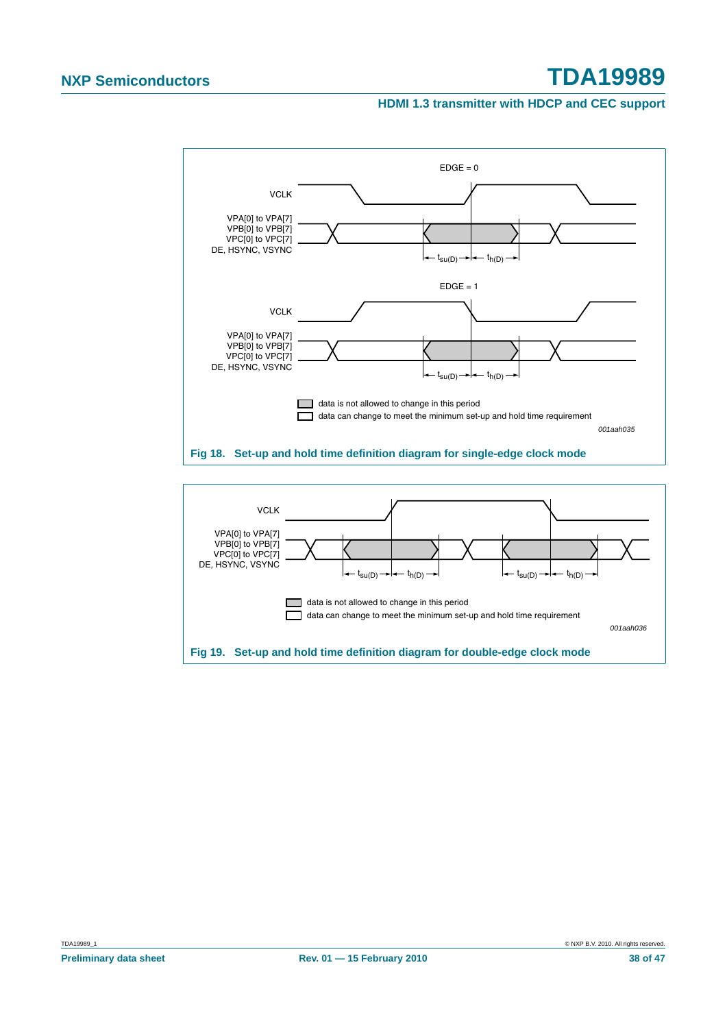#### **HDMI 1.3 transmitter with HDCP and CEC support**



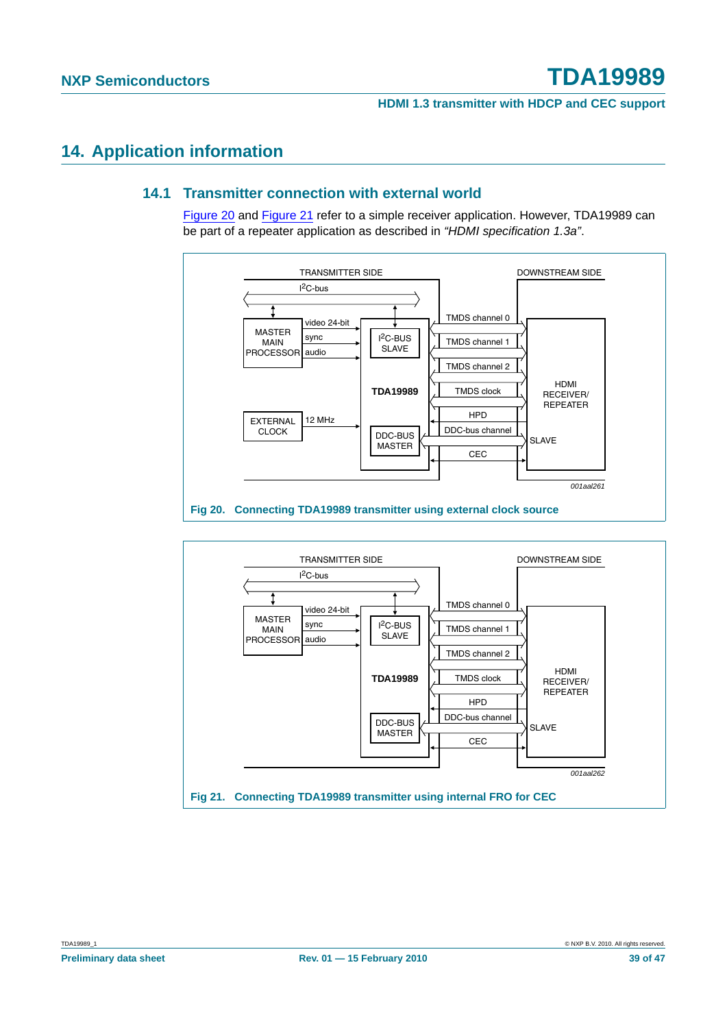#### **14. Application information**

#### **14.1 Transmitter connection with external world**

Figure 20 and Figure 21 refer to a simple receiver application. However, TDA19989 can be part of a repeater application as described in *"HDMI specification 1.3a"*.



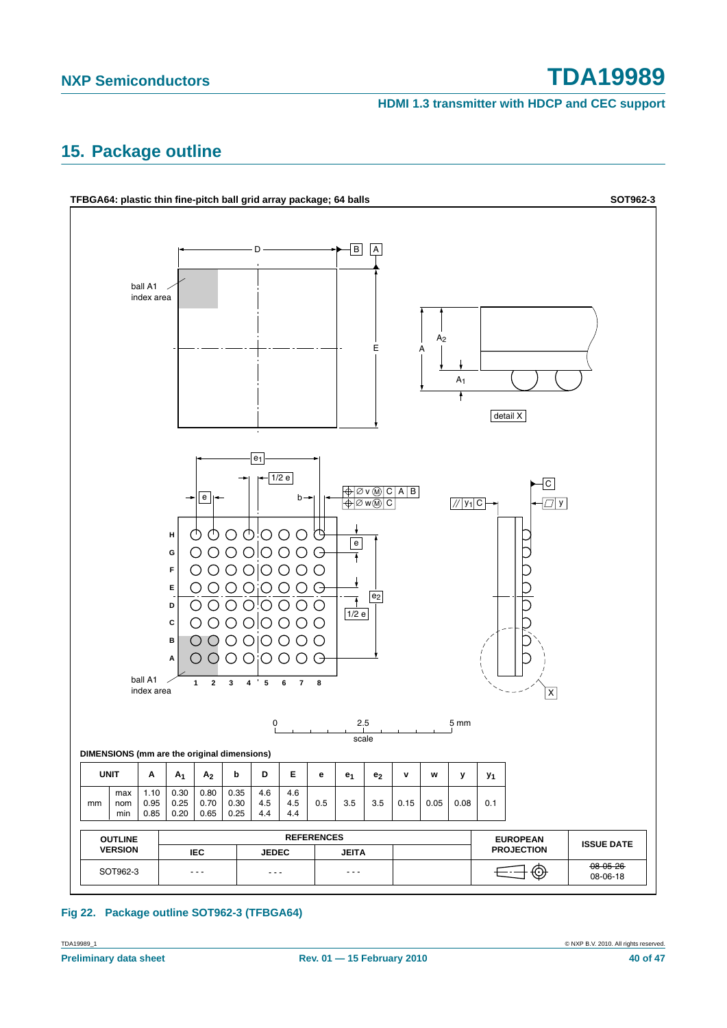**HDMI 1.3 transmitter with HDCP and CEC support**

### **15. Package outline**



#### **Fig 22. Package outline SOT962-3 (TFBGA64)**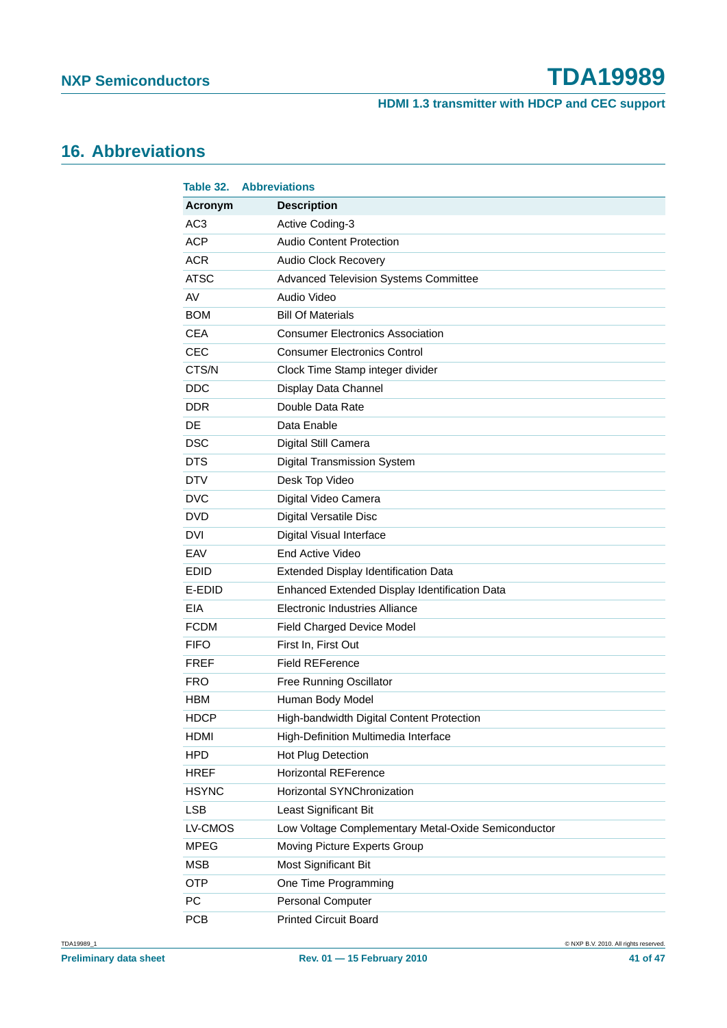**HDMI 1.3 transmitter with HDCP and CEC support**

### **16. Abbreviations**

| Table 32.       | <b>Abbreviations</b>                                |
|-----------------|-----------------------------------------------------|
| Acronym         | <b>Description</b>                                  |
| AC <sub>3</sub> | Active Coding-3                                     |
| <b>ACP</b>      | <b>Audio Content Protection</b>                     |
| <b>ACR</b>      | Audio Clock Recovery                                |
| <b>ATSC</b>     | <b>Advanced Television Systems Committee</b>        |
| AV              | Audio Video                                         |
| <b>BOM</b>      | <b>Bill Of Materials</b>                            |
| <b>CEA</b>      | <b>Consumer Electronics Association</b>             |
| <b>CEC</b>      | <b>Consumer Electronics Control</b>                 |
| CTS/N           | Clock Time Stamp integer divider                    |
| <b>DDC</b>      | Display Data Channel                                |
| DDR             | Double Data Rate                                    |
| DE              | Data Enable                                         |
| <b>DSC</b>      | Digital Still Camera                                |
| <b>DTS</b>      | <b>Digital Transmission System</b>                  |
| <b>DTV</b>      | Desk Top Video                                      |
| <b>DVC</b>      | Digital Video Camera                                |
| <b>DVD</b>      | Digital Versatile Disc                              |
| <b>DVI</b>      | Digital Visual Interface                            |
| EAV             | <b>End Active Video</b>                             |
| <b>EDID</b>     | Extended Display Identification Data                |
| E-EDID          | Enhanced Extended Display Identification Data       |
| <b>EIA</b>      | <b>Electronic Industries Alliance</b>               |
| <b>FCDM</b>     | Field Charged Device Model                          |
| <b>FIFO</b>     | First In, First Out                                 |
| <b>FREF</b>     | <b>Field REFerence</b>                              |
| FRO             | <b>Free Running Oscillator</b>                      |
| HBM             | Human Body Model                                    |
| HDCP            | High-bandwidth Digital Content Protection           |
| <b>HDMI</b>     | High-Definition Multimedia Interface                |
| <b>HPD</b>      | Hot Plug Detection                                  |
| HREF            | <b>Horizontal REFerence</b>                         |
| <b>HSYNC</b>    | Horizontal SYNChronization                          |
| <b>LSB</b>      | Least Significant Bit                               |
| LV-CMOS         | Low Voltage Complementary Metal-Oxide Semiconductor |
| <b>MPEG</b>     | Moving Picture Experts Group                        |
| <b>MSB</b>      | Most Significant Bit                                |
| <b>OTP</b>      | One Time Programming                                |
| PC              | Personal Computer                                   |
| <b>PCB</b>      | <b>Printed Circuit Board</b>                        |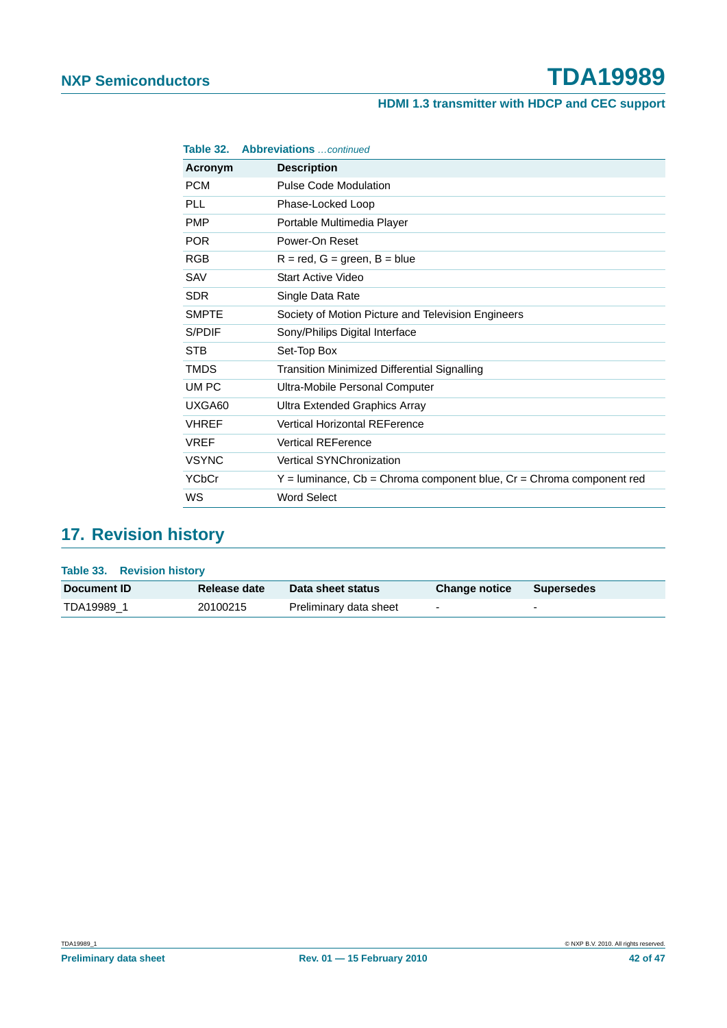#### **HDMI 1.3 transmitter with HDCP and CEC support**

| Table 32.    | <b>Abbreviations</b> continued                                             |
|--------------|----------------------------------------------------------------------------|
| Acronym      | <b>Description</b>                                                         |
| <b>PCM</b>   | <b>Pulse Code Modulation</b>                                               |
| PLL          | Phase-Locked Loop                                                          |
| <b>PMP</b>   | Portable Multimedia Player                                                 |
| <b>POR</b>   | Power-On Reset                                                             |
| <b>RGB</b>   | $R = red$ , $G = green$ , $B = blue$                                       |
| <b>SAV</b>   | <b>Start Active Video</b>                                                  |
| <b>SDR</b>   | Single Data Rate                                                           |
| <b>SMPTE</b> | Society of Motion Picture and Television Engineers                         |
| S/PDIF       | Sony/Philips Digital Interface                                             |
| <b>STB</b>   | Set-Top Box                                                                |
| <b>TMDS</b>  | <b>Transition Minimized Differential Signalling</b>                        |
| UM PC        | Ultra-Mobile Personal Computer                                             |
| UXGA60       | Ultra Extended Graphics Array                                              |
| <b>VHREF</b> | <b>Vertical Horizontal REFerence</b>                                       |
| <b>VREF</b>  | <b>Vertical REFerence</b>                                                  |
| <b>VSYNC</b> | <b>Vertical SYNChronization</b>                                            |
| YCbCr        | $Y =$ luminance, $Cb =$ Chroma component blue, $Cr =$ Chroma component red |
| WS           | <b>Word Select</b>                                                         |

### **17. Revision history**

| Table 33. Revision history |              |                        |                          |                          |
|----------------------------|--------------|------------------------|--------------------------|--------------------------|
| Document <b>ID</b>         | Release date | Data sheet status      | <b>Change notice</b>     | <b>Supersedes</b>        |
| TDA19989 1                 | 20100215     | Preliminary data sheet | $\overline{\phantom{a}}$ | $\overline{\phantom{0}}$ |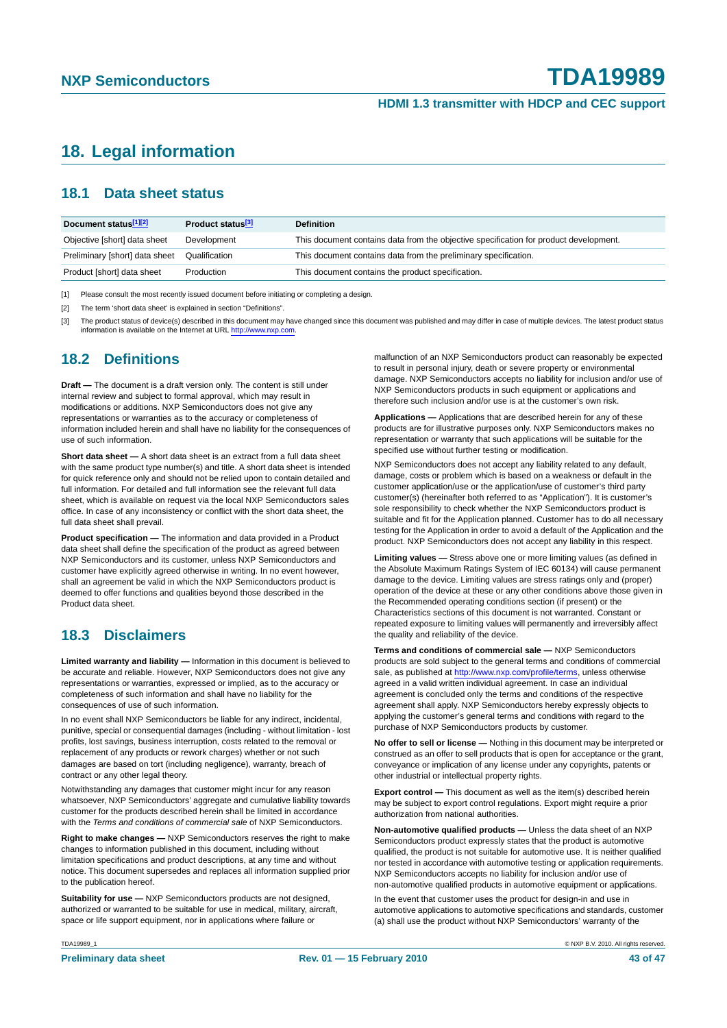#### **18. Legal information**

#### **18.1 Data sheet status**

| Document status[1][2]          | Product status <sup>[3]</sup> | <b>Definition</b>                                                                     |
|--------------------------------|-------------------------------|---------------------------------------------------------------------------------------|
| Objective [short] data sheet   | Development                   | This document contains data from the objective specification for product development. |
| Preliminary [short] data sheet | Qualification                 | This document contains data from the preliminary specification.                       |
| Product [short] data sheet     | Production                    | This document contains the product specification.                                     |

[1] Please consult the most recently issued document before initiating or completing a design.

[2] The term 'short data sheet' is explained in section "Definitions".

[3] The product status of device(s) described in this document may have changed since this document was published and may differ in case of multiple devices. The latest product status<br>information is available on the Intern

#### **18.2 Definitions**

**Draft —** The document is a draft version only. The content is still under internal review and subject to formal approval, which may result in modifications or additions. NXP Semiconductors does not give any representations or warranties as to the accuracy or completeness of information included herein and shall have no liability for the consequences of use of such information.

**Short data sheet —** A short data sheet is an extract from a full data sheet with the same product type number(s) and title. A short data sheet is intended for quick reference only and should not be relied upon to contain detailed and full information. For detailed and full information see the relevant full data sheet, which is available on request via the local NXP Semiconductors sales office. In case of any inconsistency or conflict with the short data sheet, the full data sheet shall prevail.

**Product specification —** The information and data provided in a Product data sheet shall define the specification of the product as agreed between NXP Semiconductors and its customer, unless NXP Semiconductors and customer have explicitly agreed otherwise in writing. In no event however, shall an agreement be valid in which the NXP Semiconductors product is deemed to offer functions and qualities beyond those described in the Product data sheet.

#### **18.3 Disclaimers**

**Limited warranty and liability —** Information in this document is believed to be accurate and reliable. However, NXP Semiconductors does not give any representations or warranties, expressed or implied, as to the accuracy or completeness of such information and shall have no liability for the consequences of use of such information.

In no event shall NXP Semiconductors be liable for any indirect, incidental, punitive, special or consequential damages (including - without limitation - lost profits, lost savings, business interruption, costs related to the removal or replacement of any products or rework charges) whether or not such damages are based on tort (including negligence), warranty, breach of contract or any other legal theory.

Notwithstanding any damages that customer might incur for any reason whatsoever, NXP Semiconductors' aggregate and cumulative liability towards customer for the products described herein shall be limited in accordance with the *Terms and conditions of commercial sale* of NXP Semiconductors.

**Right to make changes —** NXP Semiconductors reserves the right to make changes to information published in this document, including without limitation specifications and product descriptions, at any time and without notice. This document supersedes and replaces all information supplied prior to the publication hereof.

**Suitability for use —** NXP Semiconductors products are not designed, authorized or warranted to be suitable for use in medical, military, aircraft, space or life support equipment, nor in applications where failure or

malfunction of an NXP Semiconductors product can reasonably be expected to result in personal injury, death or severe property or environmental damage. NXP Semiconductors accepts no liability for inclusion and/or use of NXP Semiconductors products in such equipment or applications and therefore such inclusion and/or use is at the customer's own risk.

**Applications —** Applications that are described herein for any of these products are for illustrative purposes only. NXP Semiconductors makes no representation or warranty that such applications will be suitable for the specified use without further testing or modification.

NXP Semiconductors does not accept any liability related to any default, damage, costs or problem which is based on a weakness or default in the customer application/use or the application/use of customer's third party customer(s) (hereinafter both referred to as "Application"). It is customer's sole responsibility to check whether the NXP Semiconductors product is suitable and fit for the Application planned. Customer has to do all necessary testing for the Application in order to avoid a default of the Application and the product. NXP Semiconductors does not accept any liability in this respect.

**Limiting values —** Stress above one or more limiting values (as defined in the Absolute Maximum Ratings System of IEC 60134) will cause permanent damage to the device. Limiting values are stress ratings only and (proper) operation of the device at these or any other conditions above those given in the Recommended operating conditions section (if present) or the Characteristics sections of this document is not warranted. Constant or repeated exposure to limiting values will permanently and irreversibly affect the quality and reliability of the device.

**Terms and conditions of commercial sale —** NXP Semiconductors products are sold subject to the general terms and conditions of commercial sale, as published at http://www.nxp.com/profile/terms, unless otherwise agreed in a valid written individual agreement. In case an individual agreement is concluded only the terms and conditions of the respective agreement shall apply. NXP Semiconductors hereby expressly objects to applying the customer's general terms and conditions with regard to the purchase of NXP Semiconductors products by customer.

**No offer to sell or license —** Nothing in this document may be interpreted or construed as an offer to sell products that is open for acceptance or the grant, conveyance or implication of any license under any copyrights, patents or other industrial or intellectual property rights.

**Export control —** This document as well as the item(s) described herein may be subject to export control regulations. Export might require a prior authorization from national authorities.

**Non-automotive qualified products —** Unless the data sheet of an NXP Semiconductors product expressly states that the product is automotive qualified, the product is not suitable for automotive use. It is neither qualified nor tested in accordance with automotive testing or application requirements. NXP Semiconductors accepts no liability for inclusion and/or use of non-automotive qualified products in automotive equipment or applications.

In the event that customer uses the product for design-in and use in automotive applications to automotive specifications and standards, customer (a) shall use the product without NXP Semiconductors' warranty of the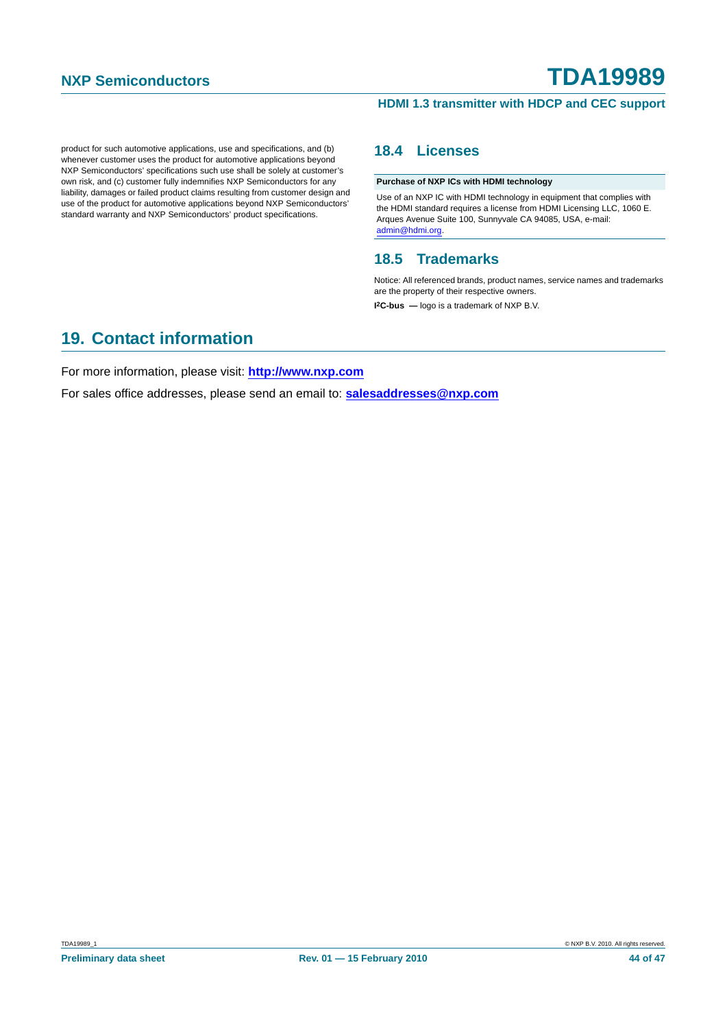#### **HDMI 1.3 transmitter with HDCP and CEC support**

product for such automotive applications, use and specifications, and (b) whenever customer uses the product for automotive applications beyond NXP Semiconductors' specifications such use shall be solely at customer's own risk, and (c) customer fully indemnifies NXP Semiconductors for any liability, damages or failed product claims resulting from customer design and use of the product for automotive applications beyond NXP Semiconductors' standard warranty and NXP Semiconductors' product specifications.

#### **18.4 Licenses**

**Purchase of NXP ICs with HDMI technology**

Use of an NXP IC with HDMI technology in equipment that complies with the HDMI standard requires a license from HDMI Licensing LLC, 1060 E. Arques Avenue Suite 100, Sunnyvale CA 94085, USA, e-mail: admin@hdmi.org.

#### **18.5 Trademarks**

Notice: All referenced brands, product names, service names and trademarks are the property of their respective owners.

**I 2C-bus —** logo is a trademark of NXP B.V.

#### **19. Contact information**

For more information, please visit: **http://www.nxp.com**

For sales office addresses, please send an email to: **salesaddresses@nxp.com**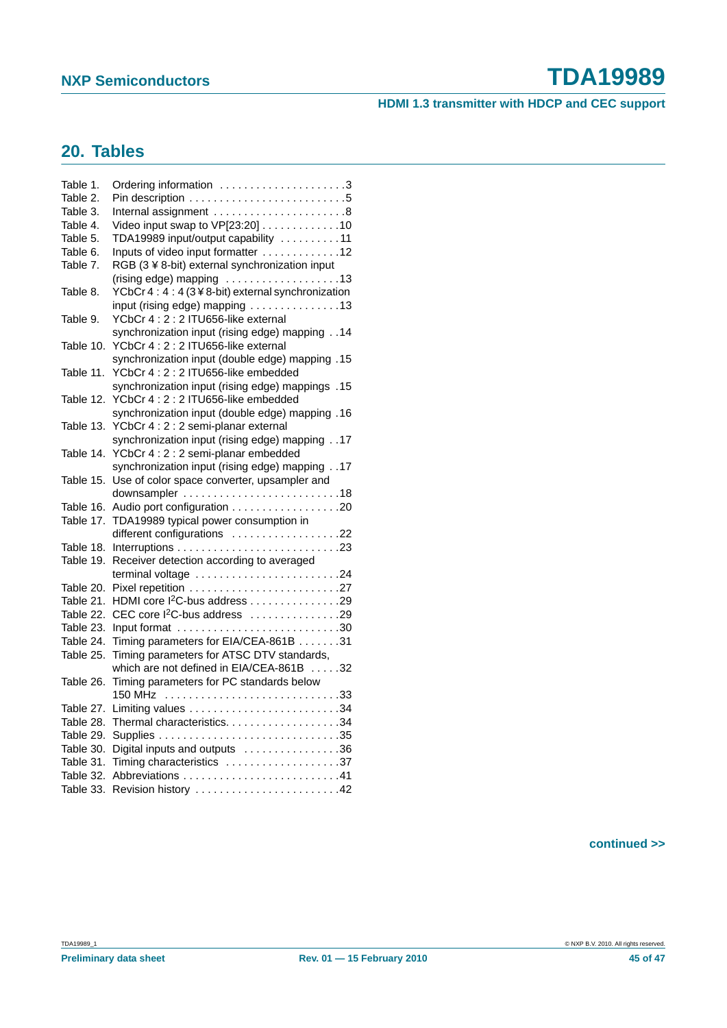#### **HDMI 1.3 transmitter with HDCP and CEC support**

### **20. Tables**

| Table 1.  | Ordering information 3                                                 |
|-----------|------------------------------------------------------------------------|
| Table 2.  |                                                                        |
| Table 3.  | Internal assignment $\ldots \ldots \ldots \ldots \ldots \ldots$ .      |
| Table 4.  | Video input swap to VP[23:20] 10                                       |
| Table 5.  | TDA19989 input/output capability 11                                    |
| Table 6.  | Inputs of video input formatter 12                                     |
| Table 7.  | RGB (3 ¥ 8-bit) external synchronization input                         |
|           | $(rising edge)$ mapping $\ldots \ldots \ldots \ldots \ldots \ldots$ 13 |
| Table 8.  | YCbCr 4: 4: 4 (3¥8-bit) external synchronization                       |
|           | input (rising edge) mapping 13                                         |
| Table 9.  | YCbCr 4: 2: 2 ITU656-like external                                     |
|           | synchronization input (rising edge) mapping 14                         |
| Table 10. | YCbCr 4: 2: 2 ITU656-like external                                     |
|           | synchronization input (double edge) mapping .15                        |
| Table 11. | YCbCr 4: 2: 2 ITU656-like embedded                                     |
|           | synchronization input (rising edge) mappings .15                       |
| Table 12. | YCbCr 4: 2: 2 ITU656-like embedded                                     |
|           | synchronization input (double edge) mapping .16                        |
| Table 13. | YCbCr 4 : 2 : 2 semi-planar external                                   |
|           | synchronization input (rising edge) mapping 17                         |
| Table 14. | YCbCr 4 : 2 : 2 semi-planar embedded                                   |
|           | synchronization input (rising edge) mapping 17                         |
| Table 15. | Use of color space converter, upsampler and                            |
|           |                                                                        |
| Table 16. | Audio port configuration 20                                            |
| Table 17. | TDA19989 typical power consumption in                                  |
|           | different configurations 22                                            |
| Table 18. |                                                                        |
| Table 19. | Receiver detection according to averaged                               |
|           | terminal voltage 24                                                    |
| Table 20. |                                                                        |
| Table 21. | HDMI core l <sup>2</sup> C-bus address 29                              |
| Table 22. | CEC core l <sup>2</sup> C-bus address 29                               |
| Table 23. |                                                                        |
| Table 24. | Timing parameters for EIA/CEA-861B 31                                  |
| Table 25. | Timing parameters for ATSC DTV standards,                              |
|           | which are not defined in EIA/CEA-861B 32                               |
| Table 26. | Timing parameters for PC standards below                               |
|           |                                                                        |
| Table 27. |                                                                        |
| Table 28. |                                                                        |
| Table 29. |                                                                        |
| Table 30. | Digital inputs and outputs 36                                          |
| Table 31. | Timing characteristics 37                                              |
| Table 32. |                                                                        |
| Table 33. |                                                                        |

#### **continued >>**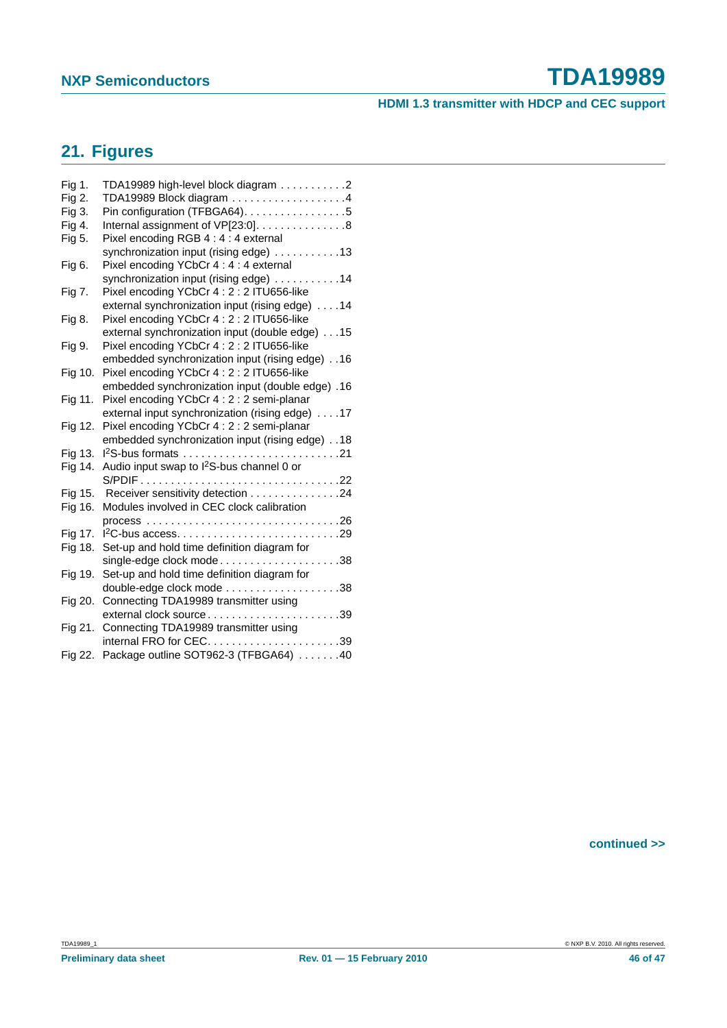#### **HDMI 1.3 transmitter with HDCP and CEC support**

### **21. Figures**

| Fig 1.  | TDA19989 high-level block diagram 2                   |
|---------|-------------------------------------------------------|
| Fig 2.  | TDA19989 Block diagram 4                              |
| Fig 3.  | Pin configuration (TFBGA64). 5                        |
| Fig 4.  | Internal assignment of VP[23:0]. 8                    |
| Fig 5.  | Pixel encoding RGB 4 : 4 : 4 external                 |
|         | synchronization input (rising edge) 13                |
| Fig 6.  | Pixel encoding YCbCr 4 : 4 : 4 external               |
|         | synchronization input (rising edge) 14                |
| Fig 7.  | Pixel encoding YCbCr 4: 2: 2 ITU656-like              |
|         | external synchronization input (rising edge) 14       |
| Fig 8.  | Pixel encoding YCbCr 4: 2: 2 ITU656-like              |
|         | external synchronization input (double edge) 15       |
| Fig 9.  | Pixel encoding YCbCr 4: 2: 2 ITU656-like              |
|         | embedded synchronization input (rising edge) 16       |
| Fig 10. | Pixel encoding YCbCr 4: 2: 2 ITU656-like              |
|         | embedded synchronization input (double edge) .16      |
| Fig 11. | Pixel encoding YCbCr 4 : 2 : 2 semi-planar            |
|         | external input synchronization (rising edge) 17       |
| Fig 12. | Pixel encoding YCbCr 4 : 2 : 2 semi-planar            |
|         | embedded synchronization input (rising edge) 18       |
| Fig 13. |                                                       |
| Fig 14. | Audio input swap to I <sup>2</sup> S-bus channel 0 or |
|         |                                                       |
| Fig 15. | Receiver sensitivity detection 24                     |
| Fig 16. | Modules involved in CEC clock calibration             |
|         |                                                       |
| Fig 17. |                                                       |
| Fig 18. | Set-up and hold time definition diagram for           |
|         | single-edge clock mode38                              |
| Fig 19. | Set-up and hold time definition diagram for           |
|         |                                                       |
| Fig 20. | Connecting TDA19989 transmitter using                 |
|         | external clock source39                               |
| Fig 21. | Connecting TDA19989 transmitter using                 |
|         | internal FRO for CEC39                                |
| Fig 22. | Package outline SOT962-3 (TFBGA64) 40                 |

**continued >>**